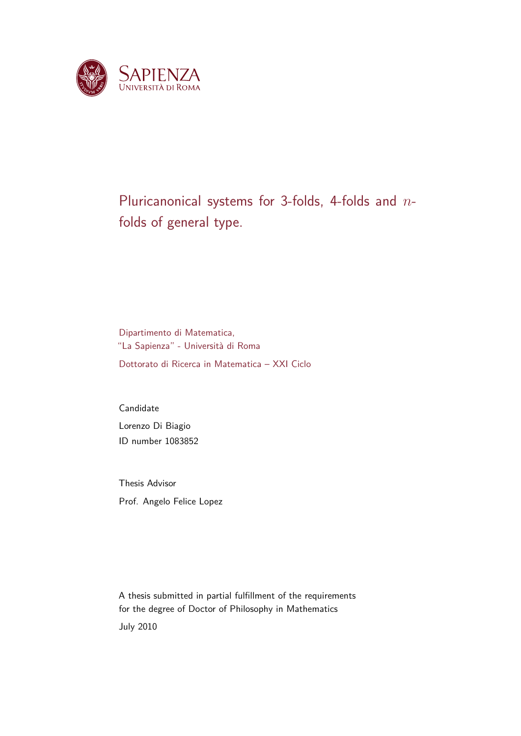

## Pluricanonical systems for 3-folds, 4-folds and *n*folds of general type.

Dipartimento di Matematica, "La Sapienza" - Università di Roma Dottorato di Ricerca in Matematica – XXI Ciclo

Candidate Lorenzo Di Biagio ID number 1083852

Thesis Advisor Prof. Angelo Felice Lopez

A thesis submitted in partial fulfillment of the requirements for the degree of Doctor of Philosophy in Mathematics July 2010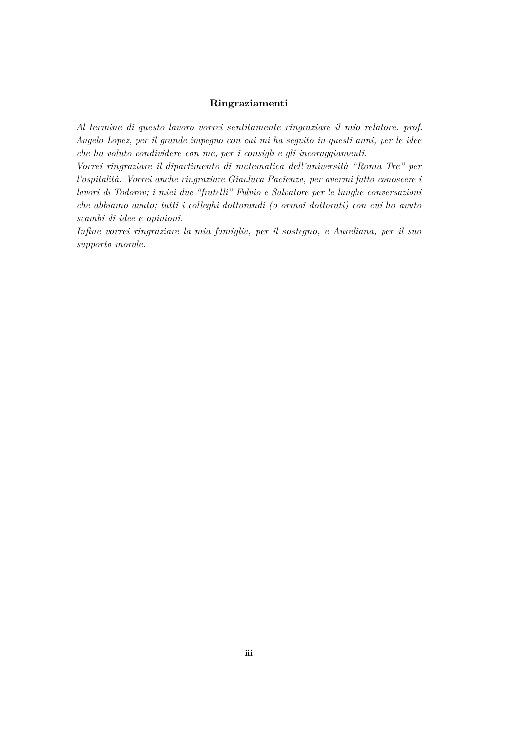#### **Ringraziamenti**

*Al termine di questo lavoro vorrei sentitamente ringraziare il mio relatore, prof. Angelo Lopez, per il grande impegno con cui mi ha seguito in questi anni, per le idee che ha voluto condividere con me, per i consigli e gli incoraggiamenti.*

*Vorrei ringraziare il dipartimento di matematica dell'università "Roma Tre" per l'ospitalità. Vorrei anche ringraziare Gianluca Pacienza, per avermi fatto conoscere i lavori di Todorov; i miei due "fratelli" Fulvio e Salvatore per le lunghe conversazioni che abbiamo avuto; tutti i colleghi dottorandi (o ormai dottorati) con cui ho avuto scambi di idee e opinioni.*

*Infine vorrei ringraziare la mia famiglia, per il sostegno, e Aureliana, per il suo supporto morale.*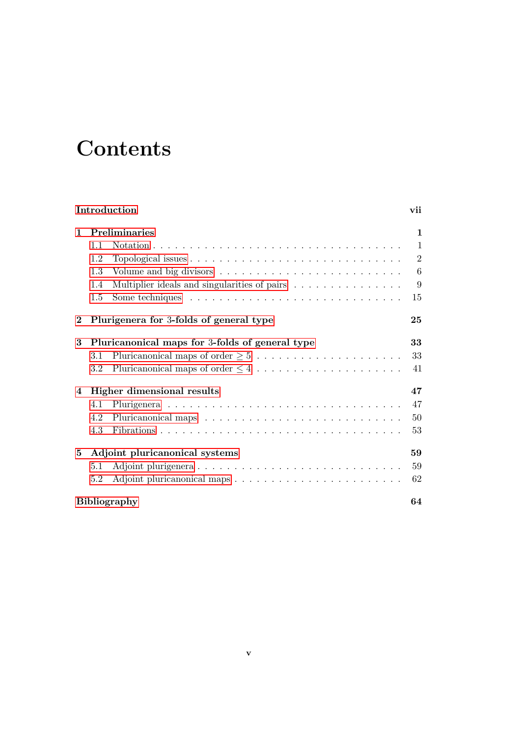# **Contents**

| Introduction |                                |                                                                                     |                |  |  |  |  |  |
|--------------|--------------------------------|-------------------------------------------------------------------------------------|----------------|--|--|--|--|--|
| 1            | <b>Preliminaries</b>           | 1                                                                                   |                |  |  |  |  |  |
|              | 1.1                            |                                                                                     | $\mathbf{1}$   |  |  |  |  |  |
|              | 1.2                            |                                                                                     | $\overline{2}$ |  |  |  |  |  |
|              | 1.3                            | Volume and big divisors $\dots \dots \dots \dots \dots \dots \dots \dots$           | 6              |  |  |  |  |  |
|              | 1.4                            | Multiplier ideals and singularities of pairs                                        | 9              |  |  |  |  |  |
|              | 1.5                            | Some techniques $\dots \dots \dots \dots \dots \dots \dots \dots \dots \dots \dots$ | 15             |  |  |  |  |  |
| $\bf{2}$     |                                | Plurigenera for 3-folds of general type                                             |                |  |  |  |  |  |
| 3            |                                | Pluricanonical maps for 3-folds of general type                                     | 33             |  |  |  |  |  |
|              | 3.1                            |                                                                                     | 33             |  |  |  |  |  |
|              | 3.2                            |                                                                                     | 41             |  |  |  |  |  |
| 4            | Higher dimensional results     |                                                                                     |                |  |  |  |  |  |
|              | 4.1                            |                                                                                     | 47             |  |  |  |  |  |
|              | 4.2                            |                                                                                     | 50             |  |  |  |  |  |
|              | 4.3                            |                                                                                     | 53             |  |  |  |  |  |
| 5            | Adjoint pluricanonical systems |                                                                                     |                |  |  |  |  |  |
|              | 5.1                            |                                                                                     | 59             |  |  |  |  |  |
|              | 5.2                            |                                                                                     | 62             |  |  |  |  |  |
|              | <b>Bibliography</b>            |                                                                                     |                |  |  |  |  |  |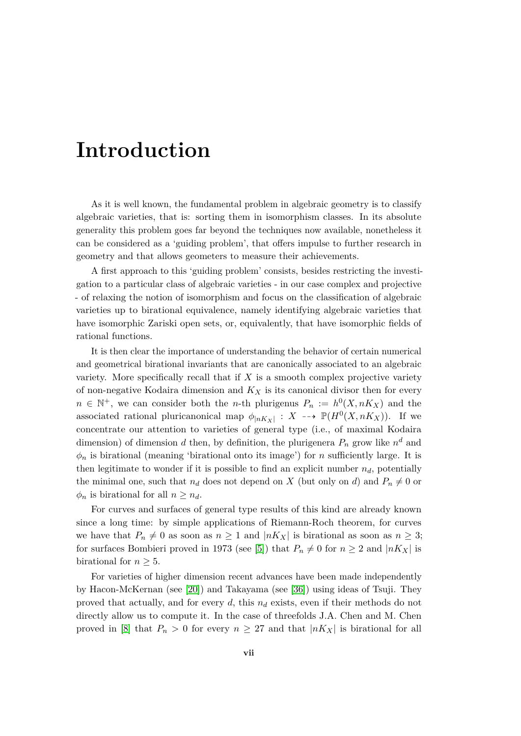## <span id="page-6-0"></span>**Introduction**

As it is well known, the fundamental problem in algebraic geometry is to classify algebraic varieties, that is: sorting them in isomorphism classes. In its absolute generality this problem goes far beyond the techniques now available, nonetheless it can be considered as a 'guiding problem', that offers impulse to further research in geometry and that allows geometers to measure their achievements.

A first approach to this 'guiding problem' consists, besides restricting the investigation to a particular class of algebraic varieties - in our case complex and projective - of relaxing the notion of isomorphism and focus on the classification of algebraic varieties up to birational equivalence, namely identifying algebraic varieties that have isomorphic Zariski open sets, or, equivalently, that have isomorphic fields of rational functions.

It is then clear the importance of understanding the behavior of certain numerical and geometrical birational invariants that are canonically associated to an algebraic variety. More specifically recall that if *X* is a smooth complex projective variety of non-negative Kodaira dimension and *K<sup>X</sup>* is its canonical divisor then for every  $n \in \mathbb{N}^+$ , we can consider both the *n*-th plurigenus  $P_n := h^0(X, nK_X)$  and the associated rational pluricanonical map  $\phi_{|nK_X|}: X \dashrightarrow \mathbb{P}(H^0(X, nK_X)).$  If we concentrate our attention to varieties of general type (i.e., of maximal Kodaira dimension) of dimension *d* then, by definition, the plurigenera  $P_n$  grow like  $n^d$  and  $\phi_n$  is birational (meaning 'birational onto its image') for *n* sufficiently large. It is then legitimate to wonder if it is possible to find an explicit number  $n_d$ , potentially the minimal one, such that  $n_d$  does not depend on *X* (but only on *d*) and  $P_n \neq 0$  or  $\phi_n$  is birational for all  $n \geq n_d$ .

For curves and surfaces of general type results of this kind are already known since a long time: by simple applications of Riemann-Roch theorem, for curves we have that  $P_n \neq 0$  as soon as  $n \geq 1$  and  $|nK_X|$  is birational as soon as  $n \geq 3$ ; for surfaces Bombieri proved in 1973 (see [\[5\]](#page-74-0)) that  $P_n \neq 0$  for  $n \geq 2$  and  $|nK_X|$  is birational for  $n \geq 5$ .

For varieties of higher dimension recent advances have been made independently by Hacon-McKernan (see [\[20\]](#page-75-0)) and Takayama (see [\[36\]](#page-76-0)) using ideas of Tsuji. They proved that actually, and for every *d*, this *n<sup>d</sup>* exists, even if their methods do not directly allow us to compute it. In the case of threefolds J.A. Chen and M. Chen proved in [\[8\]](#page-74-1) that  $P_n > 0$  for every  $n \geq 27$  and that  $|nK_X|$  is birational for all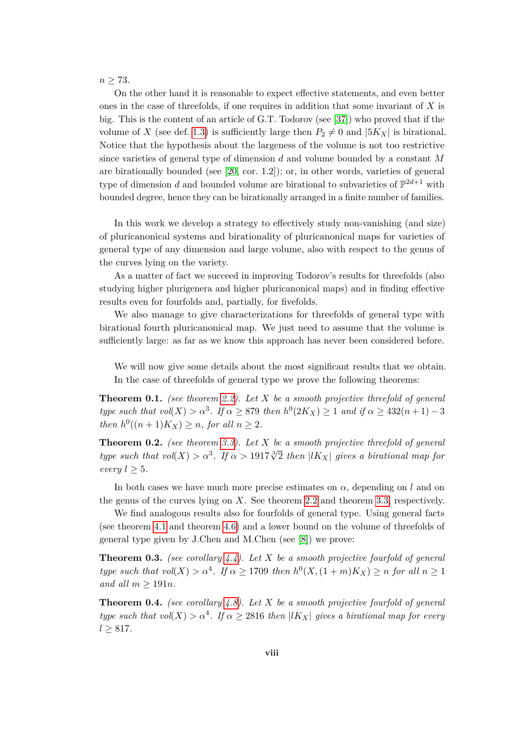*n ≥* 73.

On the other hand it is reasonable to expect effective statements, and even better ones in the case of threefolds, if one requires in addition that some invariant of *X* is big. This is the content of an article of G.T. Todorov (see [\[37\]](#page-76-1)) who proved that if the volume of *X* (see def. [1.3\)](#page-15-0) is sufficiently large then  $P_2 \neq 0$  and  $|5K_X|$  is birational. Notice that the hypothesis about the largeness of the volume is not too restrictive since varieties of general type of dimension *d* and volume bounded by a constant *M* are birationally bounded (see [\[20,](#page-75-0) cor. 1.2]); or, in other words, varieties of general type of dimension *d* and bounded volume are birational to subvarieties of  $\mathbb{P}^{2d+1}$  with bounded degree, hence they can be birationally arranged in a finite number of families.

In this work we develop a strategy to effectively study non-vanishing (and size) of pluricanonical systems and birationality of pluricanonical maps for varieties of general type of any dimension and large volume, also with respect to the genus of the curves lying on the variety.

As a matter of fact we succeed in improving Todorov's results for threefolds (also studying higher plurigenera and higher pluricanonical maps) and in finding effective results even for fourfolds and, partially, for fivefolds.

We also manage to give characterizations for threefolds of general type with birational fourth pluricanonical map. We just need to assume that the volume is sufficiently large: as far as we know this approach has never been considered before.

We will now give some details about the most significant results that we obtain. In the case of threefolds of general type we prove the following theorems:

**Theorem 0.1.** *(see theorem [2.2\)](#page-34-1). Let X be a smooth projective threefold of general type such that*  $vol(X) > \alpha^3$ . If  $\alpha \geq 879$  *then*  $h^0(2K_X) \geq 1$  *and* if  $\alpha \geq 432(n+1) - 3$ *then*  $h^0((n+1)K_X) \geq n$ *, for all*  $n \geq 2$ *.* 

**Theorem 0.2.** *(see theorem [3.3\)](#page-43-0). Let X be a smooth projective threefold of general type such that*  $vol(X) > \alpha^3$ . If  $\alpha > 1917\sqrt[3]{2}$  *then*  $|lK_X|$  *gives a birational map for every*  $l \geq 5$ *.* 

In both cases we have much more precise estimates on  $\alpha$ , depending on *l* and on the genus of the curves lying on *X*. See theorem [2.2](#page-34-1) and theorem [3.3,](#page-43-0) respectively.

We find analogous results also for fourfolds of general type. Using general facts (see theorem [4.1](#page-56-2) and theorem [4.6\)](#page-59-1) and a lower bound on the volume of threefolds of general type given by J.Chen and M.Chen (see [\[8\]](#page-74-1)) we prove:

**Theorem 0.3.** *(see corollary [4.4\)](#page-58-0). Let X be a smooth projective fourfold of general type such that*  $vol(X) > \alpha^4$ . If  $\alpha \ge 1709$  *then*  $h^0(X, (1+m)K_X) \ge n$  *for all*  $n \ge 1$ *and all*  $m \geq 191n$ *.* 

**Theorem 0.4.** *(see corollary [4.8\)](#page-60-0). Let X be a smooth projective fourfold of general type such that*  $vol(X) > \alpha^4$ . If  $\alpha \geq 2816$  *then*  $|lK_X|$  *gives a birational map for every l ≥* 817*.*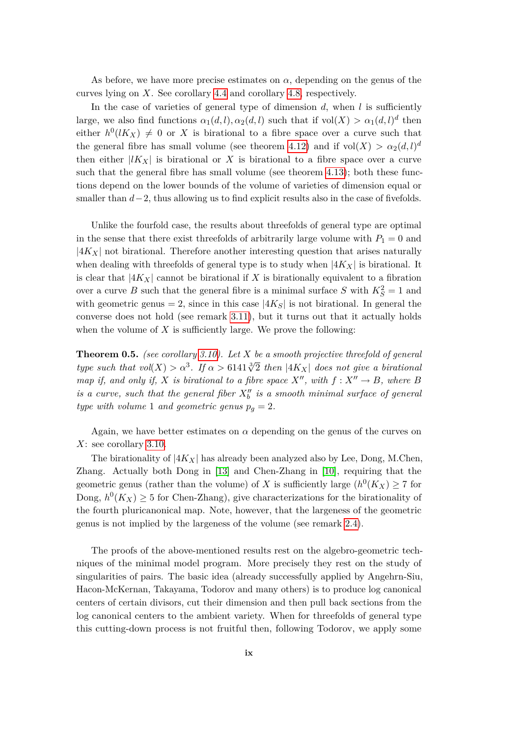As before, we have more precise estimates on  $\alpha$ , depending on the genus of the curves lying on *X*. See corollary [4.4](#page-58-0) and corollary [4.8,](#page-60-0) respectively.

In the case of varieties of general type of dimension  $d$ , when  $l$  is sufficiently large, we also find functions  $\alpha_1(d, l), \alpha_2(d, l)$  such that if  $vol(X) > \alpha_1(d, l)^d$  then either  $h^0(lK_X) \neq 0$  or X is birational to a fibre space over a curve such that the general fibre has small volume (see theorem [4.12\)](#page-62-1) and if  $vol(X) > \alpha_2(d, l)^d$ then either  $|lK_X|$  is birational or X is birational to a fibre space over a curve such that the general fibre has small volume (see theorem [4.13\)](#page-65-0); both these functions depend on the lower bounds of the volume of varieties of dimension equal or smaller than *d*−2, thus allowing us to find explicit results also in the case of fivefolds.

Unlike the fourfold case, the results about threefolds of general type are optimal in the sense that there exist threefolds of arbitrarily large volume with  $P_1 = 0$  and *|*4*KX|* not birational. Therefore another interesting question that arises naturally when dealing with threefolds of general type is to study when  $|4K_X|$  is birational. It is clear that  $|4K_X|$  cannot be birational if X is birationally equivalent to a fibration over a curve *B* such that the general fibre is a minimal surface *S* with  $K_S^2 = 1$  and with geometric genus = 2, since in this case  $|4K_{S}|$  is not birational. In general the converse does not hold (see remark [3.11\)](#page-51-0), but it turns out that it actually holds when the volume of  $X$  is sufficiently large. We prove the following:

**Theorem 0.5.** *(see corollary [3.10\)](#page-51-1). Let X be a smooth projective threefold of general type such that*  $vol(X) > \alpha^3$ . If  $\alpha > 6141\sqrt[3]{2}$  *then*  $|4K_X|$  *does not give a birational map if, and only if, X is birational to a fibre space*  $X''$ *, with*  $f: X'' \to B$ *, where B is a curve, such that the general fiber*  $X_b^{\prime\prime}$  *is a smooth minimal surface of general type with volume* 1 *and geometric genus*  $p_g = 2$ *.* 

Again, we have better estimates on  $\alpha$  depending on the genus of the curves on *X*: see corollary [3.10.](#page-51-1)

The birationality of  $|4K_X|$  has already been analyzed also by Lee, Dong, M.Chen, Zhang. Actually both Dong in [\[13\]](#page-75-1) and Chen-Zhang in [\[10\]](#page-74-2), requiring that the geometric genus (rather than the volume) of *X* is sufficiently large  $(h^0(K_X) \ge 7$  for Dong,  $h^0(K_X) \geq 5$  for Chen-Zhang), give characterizations for the birationality of the fourth pluricanonical map. Note, however, that the largeness of the geometric genus is not implied by the largeness of the volume (see remark [2.4\)](#page-40-0).

The proofs of the above-mentioned results rest on the algebro-geometric techniques of the minimal model program. More precisely they rest on the study of singularities of pairs. The basic idea (already successfully applied by Angehrn-Siu, Hacon-McKernan, Takayama, Todorov and many others) is to produce log canonical centers of certain divisors, cut their dimension and then pull back sections from the log canonical centers to the ambient variety. When for threefolds of general type this cutting-down process is not fruitful then, following Todorov, we apply some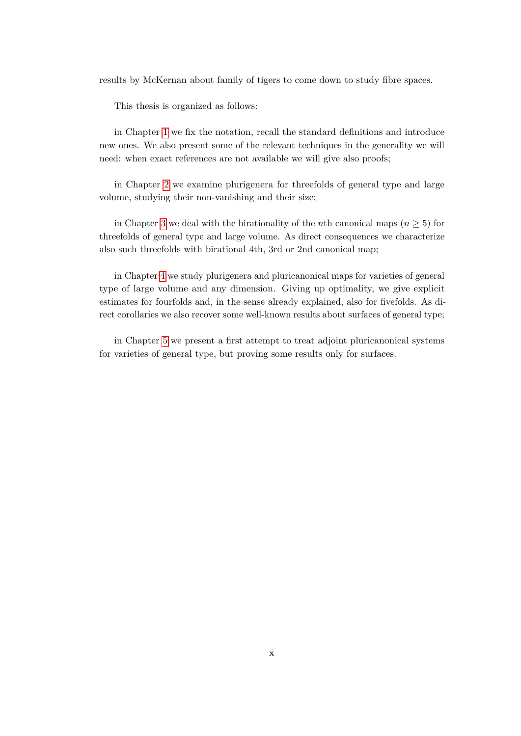results by McKernan about family of tigers to come down to study fibre spaces.

This thesis is organized as follows:

in Chapter [1](#page-10-0) we fix the notation, recall the standard definitions and introduce new ones. We also present some of the relevant techniques in the generality we will need: when exact references are not available we will give also proofs;

in Chapter [2](#page-34-0) we examine plurigenera for threefolds of general type and large volume, studying their non-vanishing and their size;

in Chapter [3](#page-42-0) we deal with the birationality of the *n*th canonical maps ( $n \geq 5$ ) for threefolds of general type and large volume. As direct consequences we characterize also such threefolds with birational 4th, 3rd or 2nd canonical map;

in Chapter [4](#page-56-0) we study plurigenera and pluricanonical maps for varieties of general type of large volume and any dimension. Giving up optimality, we give explicit estimates for fourfolds and, in the sense already explained, also for fivefolds. As direct corollaries we also recover some well-known results about surfaces of general type;

in Chapter [5](#page-68-0) we present a first attempt to treat adjoint pluricanonical systems for varieties of general type, but proving some results only for surfaces.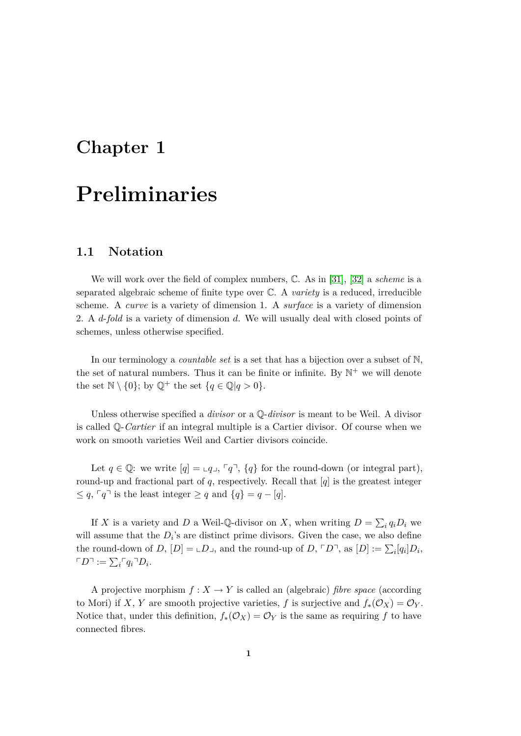### <span id="page-10-0"></span>**Chapter 1**

## **Preliminaries**

#### <span id="page-10-1"></span>**1.1 Notation**

We will work over the field of complex numbers, C. As in [\[31\]](#page-76-2), [\[32\]](#page-76-3) a *scheme* is a separated algebraic scheme of finite type over C. A *variety* is a reduced, irreducible scheme. A *curve* is a variety of dimension 1. A *surface* is a variety of dimension 2. A *d*-*fold* is a variety of dimension *d*. We will usually deal with closed points of schemes, unless otherwise specified.

In our terminology a *countable set* is a set that has a bijection over a subset of N, the set of natural numbers. Thus it can be finite or infinite. By  $\mathbb{N}^+$  we will denote the set  $\mathbb{N} \setminus \{0\}$ ; by  $\mathbb{Q}^+$  the set  $\{q \in \mathbb{Q} | q > 0\}$ .

Unless otherwise specified a *divisor* or a Q-*divisor* is meant to be Weil. A divisor is called Q-*Cartier* if an integral multiple is a Cartier divisor. Of course when we work on smooth varieties Weil and Cartier divisors coincide.

Let  $q \in \mathbb{Q}$ : we write  $[q] = \mathfrak{c}_q \mathfrak{c}_q$ ,  $\lceil q \rceil$ ,  $\{q\}$  for the round-down (or integral part), round-up and fractional part of *q*, respectively. Recall that [*q*] is the greatest integer  $\leq q, \lceil q \rceil$  is the least integer  $\geq q$  and  $\{q\} = q - [q].$ 

If *X* is a variety and *D* a Weil-Q-divisor on *X*, when writing  $D = \sum_i q_i D_i$  we will assume that the  $D_i$ 's are distinct prime divisors. Given the case, we also define the round-down of *D*,  $[D] = L_{\text{max}}$ , and the round-up of *D*,  $\ulcorner D \urcorner$ , as  $[D] := \sum_i [q_i] D_i$ ,  $\ulcorner D \urcorner := \sum_i \ulcorner q_i \urcorner D_i.$ 

A projective morphism  $f: X \to Y$  is called an (algebraic) *fibre space* (according to Mori) if *X*, *Y* are smooth projective varieties, *f* is surjective and  $f_*(\mathcal{O}_X) = \mathcal{O}_Y$ . Notice that, under this definition,  $f_*(\mathcal{O}_X) = \mathcal{O}_Y$  is the same as requiring  $f$  to have connected fibres.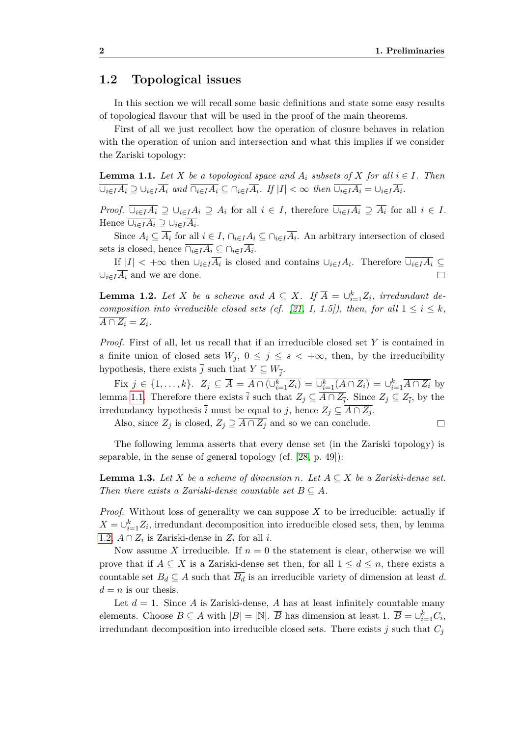#### <span id="page-11-0"></span>**1.2 Topological issues**

In this section we will recall some basic definitions and state some easy results of topological flavour that will be used in the proof of the main theorems.

First of all we just recollect how the operation of closure behaves in relation with the operation of union and intersection and what this implies if we consider the Zariski topology:

<span id="page-11-1"></span>**Lemma 1.1.** *Let*  $X$  *be a topological space and*  $A_i$  *subsets of*  $X$  *for all*  $i \in I$ *. Then*  $\overline{\cup_{i\in I}A_i} \supseteq \cup_{i\in I} \overline{A_i}$  and  $\overline{\cap_{i\in I}A_i} \subseteq \cap_{i\in I} \overline{A_i}$ . If  $|I| < \infty$  then  $\overline{\cup_{i\in I}A_i} = \cup_{i\in I} \overline{A_i}$ .

*Proof.*  $\overline{\bigcup_{i\in I}A_i} \supseteq \bigcup_{i\in I}A_i \supseteq A_i$  for all  $i \in I$ , therefore  $\overline{\bigcup_{i\in I}A_i} \supseteq \overline{A_i}$  for all  $i \in I$ .  $Hence \ \overline{\cup_{i \in I} A_i} \supseteq \cup_{i \in I} \overline{A_i}.$ 

Since  $A_i \subseteq \overline{A_i}$  for all  $i \in I$ ,  $\bigcap_{i \in I} A_i \subseteq \bigcap_{i \in I} \overline{A_i}$ . An arbitrary intersection of closed sets is closed, hence  $\bigcap_{i \in I} A_i \subseteq \bigcap_{i \in I} A_i$ .

If  $|I| < +\infty$  then  $\cup_{i \in I} A_i$  is closed and contains  $\cup_{i \in I} A_i$ . Therefore  $\cup_{i \in I} A_i \subseteq$  $∪_{i \in I} \overline{A_i}$  and we are done.  $\Box$ 

<span id="page-11-2"></span>**Lemma 1.2.** *Let X be a scheme and*  $A \subseteq X$ *. If*  $\overline{A} = \bigcup_{i=1}^{k} Z_i$ *, irredundant de-composition into irreducible closed sets (cf. [\[21,](#page-75-2) I, 1.5]), then, for all*  $1 \leq i \leq k$ ,  $\overline{A \cap Z_i} = Z_i$ .

*Proof.* First of all, let us recall that if an irreducible closed set *Y* is contained in a finite union of closed sets  $W_j$ ,  $0 \leq j \leq s < +\infty$ , then, by the irreducibility hypothesis, there exists  $\overline{j}$  such that  $Y \subseteq W_{\overline{j}}$ .

Fix  $j \in \{1, ..., k\}$ .  $Z_j \subseteq \overline{A} = A \cap (\cup_{i=1}^k Z_i) = \cup_{i=1}^k (A \cap Z_i) = \cup_{i=1}^k \overline{A \cap Z_i}$  by lemma [1.1.](#page-11-1) Therefore there exists  $\overline{i}$  such that  $Z_j \subseteq A \cap Z_{\overline{i}}$ . Since  $Z_j \subseteq Z_{\overline{i}}$ , by the irredundancy hypothesis  $\overline{i}$  must be equal to *j*, hence  $Z_j \subseteq \overline{A \cap Z_j}$ .

Also, since  $Z_j$  is closed,  $Z_j \supseteq \overline{A \cap Z_j}$  and so we can conclude.  $\Box$ 

The following lemma asserts that every dense set (in the Zariski topology) is separable, in the sense of general topology (cf. [\[28,](#page-76-4) p. 49]):

<span id="page-11-3"></span>**Lemma 1.3.** Let *X* be a scheme of dimension *n*. Let  $A \subseteq X$  be a Zariski-dense set. *Then there exists a Zariski-dense countable set*  $B \subseteq A$ *.* 

*Proof.* Without loss of generality we can suppose *X* to be irreducible: actually if  $X = \bigcup_{i=1}^{k} Z_i$ , irredundant decomposition into irreducible closed sets, then, by lemma [1.2,](#page-11-2)  $A \cap Z_i$  is Zariski-dense in  $Z_i$  for all *i*.

Now assume *X* irreducible. If  $n = 0$  the statement is clear, otherwise we will prove that if  $A \subseteq X$  is a Zariski-dense set then, for all  $1 \leq d \leq n$ , there exists a countable set  $B_d \subseteq A$  such that  $\overline{B_d}$  is an irreducible variety of dimension at least *d*.  $d = n$  is our thesis.

Let  $d = 1$ . Since A is Zariski-dense, A has at least infinitely countable many elements. Choose  $B \subseteq A$  with  $|B| = |\mathbb{N}|$ .  $\overline{B}$  has dimension at least 1.  $\overline{B} = \bigcup_{i=1}^{k} C_i$ , irredundant decomposition into irreducible closed sets. There exists  $j$  such that  $C_j$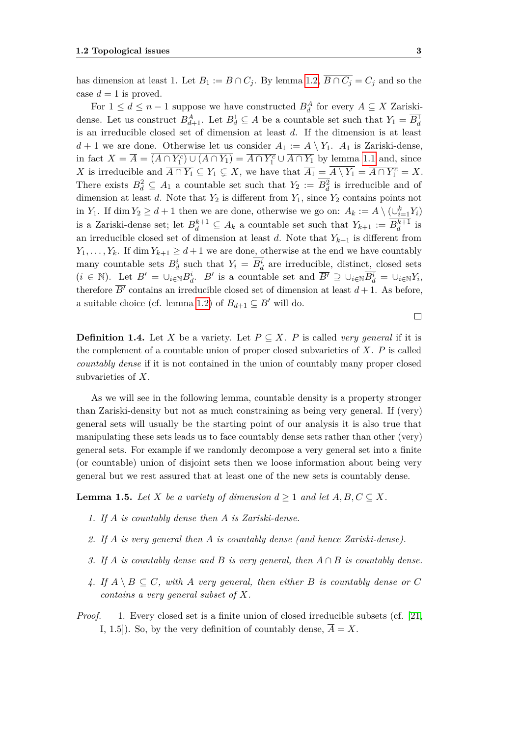has dimension at least 1. Let  $B_1 := B \cap C_j$ . By lemma [1.2,](#page-11-2)  $\overline{B \cap C_j} = C_j$  and so the case  $d=1$  is proved.

For  $1 \leq d \leq n-1$  suppose we have constructed  $B_d^A$  for every  $A \subseteq X$  Zariskidense. Let us construct  $B_{d+1}^A$ . Let  $B_d^1 \subseteq A$  be a countable set such that  $Y_1 = \overline{B_d^1}$ is an irreducible closed set of dimension at least *d*. If the dimension is at least  $d+1$  we are done. Otherwise let us consider  $A_1 := A \setminus Y_1$ .  $A_1$  is Zariski-dense, in fact  $X = \overline{A} = \overline{(A \cap Y_1^c) \cup (A \cap Y_1)} = \overline{A \cap Y_1^c} \cup \overline{A \cap Y_1}$  by lemma [1.1](#page-11-1) and, since *X* is irreducible and  $\overline{A \cap Y_1} \subseteq Y_1 \subsetneq X$ , we have that  $\overline{A_1} = \overline{A \setminus Y_1} = \overline{A \cap Y_1^c} = X$ . There exists  $B_d^2 \subseteq A_1$  a countable set such that  $Y_2 := \overline{B_d^2}$  is irreducible and of dimension at least *d*. Note that  $Y_2$  is different from  $Y_1$ , since  $Y_2$  contains points not in *Y*<sub>1</sub>. If dim *Y*<sub>2</sub>  $\geq d+1$  then we are done, otherwise we go on:  $A_k := A \setminus (\cup_{i=1}^k Y_i)$ is a Zariski-dense set; let  $B_d^{k+1} \subseteq A_k$  a countable set such that  $Y_{k+1} := B_d^{k+1}$  is an irreducible closed set of dimension at least *d*. Note that  $Y_{k+1}$  is different from *Y*<sub>1</sub>, ..., *Y*<sub>*k*</sub>. If dim *Y*<sub>*k*+1</sub>  $\geq d+1$  we are done, otherwise at the end we have countably many countable sets  $B_d^i$  such that  $Y_i = B_d^i$  are irreducible, distinct, closed sets  $(i \in \mathbb{N})$ . Let  $B' = \bigcup_{i \in \mathbb{N}} B_d^i$ . B' is a countable set and  $\overline{B'} \supseteq \bigcup_{i \in \mathbb{N}} \overline{B_d^i} = \bigcup_{i \in \mathbb{N}} Y_i$ , therefore  $\overline{B'}$  contains an irreducible closed set of dimension at least  $d+1$ . As before, a suitable choice (cf. lemma [1.2\)](#page-11-2) of  $B_{d+1} \subseteq B'$  will do.

**Definition 1.4.** Let *X* be a variety. Let  $P \subseteq X$ . *P* is called *very general* if it is the complement of a countable union of proper closed subvarieties of *X*. *P* is called *countably dense* if it is not contained in the union of countably many proper closed subvarieties of *X*.

As we will see in the following lemma, countable density is a property stronger than Zariski-density but not as much constraining as being very general. If (very) general sets will usually be the starting point of our analysis it is also true that manipulating these sets leads us to face countably dense sets rather than other (very) general sets. For example if we randomly decompose a very general set into a finite (or countable) union of disjoint sets then we loose information about being very general but we rest assured that at least one of the new sets is countably dense.

<span id="page-12-0"></span>**Lemma 1.5.** *Let*  $X$  *be a variety of dimension*  $d \geq 1$  *and let*  $A, B, C \subseteq X$ *.* 

- *1. If A is countably dense then A is Zariski-dense.*
- *2. If A is very general then A is countably dense (and hence Zariski-dense).*
- *3. If A is countably dense and B is very general, then A ∩ B is countably dense.*
- *4.* If  $A \setminus B \subseteq C$ , with A very general, then either B is countably dense or C *contains a very general subset of X.*
- *Proof.* 1. Every closed set is a finite union of closed irreducible subsets (cf. [\[21,](#page-75-2) I, 1.5]). So, by the very definition of countably dense,  $\overline{A} = X$ .

 $\Box$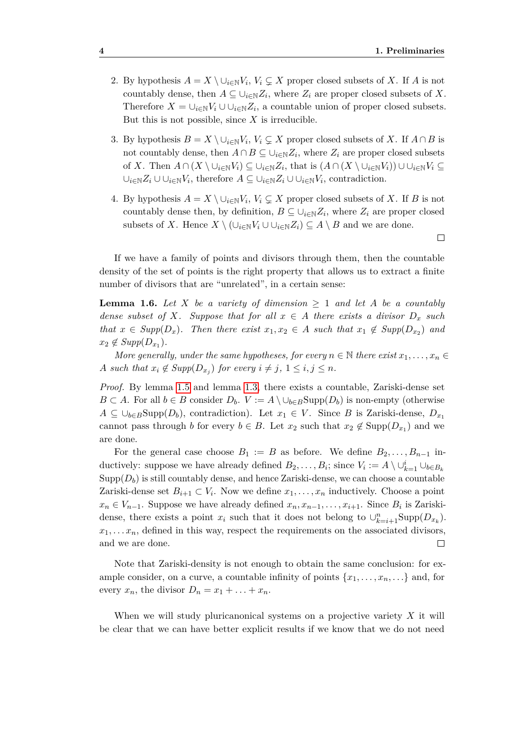- 2. By hypothesis  $A = X \setminus \cup_{i \in \mathbb{N}} V_i$ ,  $V_i \subsetneq X$  proper closed subsets of X. If A is not countably dense, then  $A \subseteq \bigcup_{i \in \mathbb{N}} Z_i$ , where  $Z_i$  are proper closed subsets of X. Therefore  $X = \bigcup_{i \in \mathbb{N}} V_i \cup \bigcup_{i \in \mathbb{N}} Z_i$ , a countable union of proper closed subsets. But this is not possible, since  $X$  is irreducible.
- 3. By hypothesis  $B = X \setminus \cup_{i \in \mathbb{N}} V_i$ ,  $V_i \subsetneq X$  proper closed subsets of *X*. If  $A \cap B$  is not countably dense, then  $A \cap B \subseteq \bigcup_{i \in \mathbb{N}} Z_i$ , where  $Z_i$  are proper closed subsets of X. Then  $A \cap (X \setminus \cup_{i \in \mathbb{N}} V_i) \subseteq \cup_{i \in \mathbb{N}} Z_i$ , that is  $(A \cap (X \setminus \cup_{i \in \mathbb{N}} V_i)) \cup \cup_{i \in \mathbb{N}} V_i \subseteq$ *∪i∈*N*Z<sup>i</sup> ∪ ∪i∈*N*V<sup>i</sup>* , therefore *A ⊆ ∪i∈*N*Z<sup>i</sup> ∪ ∪i∈*N*V<sup>i</sup>* , contradiction.
- 4. By hypothesis  $A = X \setminus \cup_{i \in \mathbb{N}} V_i$ ,  $V_i \subsetneq X$  proper closed subsets of X. If B is not countably dense then, by definition,  $B \subseteq \bigcup_{i \in \mathbb{N}} Z_i$ , where  $Z_i$  are proper closed subsets of *X*. Hence  $X \setminus (\cup_{i \in \mathbb{N}} V_i \cup \cup_{i \in \mathbb{N}} Z_i) \subseteq A \setminus B$  and we are done.

 $\Box$ 

If we have a family of points and divisors through them, then the countable density of the set of points is the right property that allows us to extract a finite number of divisors that are "unrelated", in a certain sense:

<span id="page-13-0"></span>**Lemma 1.6.** *Let X be a variety of dimension ≥* 1 *and let A be a countably dense subset of X. Suppose that for all*  $x \in A$  *there exists a divisor*  $D_x$  *such that*  $x \in Supp(D_x)$ *. Then there exist*  $x_1, x_2 \in A$  *such that*  $x_1 \notin Supp(D_{x_2})$  *and*  $x_2 \notin Supp(D_{x_1})$ .

*More generally, under the same hypotheses, for every*  $n \in \mathbb{N}$  *there exist*  $x_1, \ldots, x_n \in$ *A* such that  $x_i \notin \text{Supp}(D_{x_j})$  for every  $i \neq j$ ,  $1 \leq i, j \leq n$ .

*Proof.* By lemma [1.5](#page-12-0) and lemma [1.3,](#page-11-3) there exists a countable, Zariski-dense set *B* ⊂ *A*. For all *b* ∈ *B* consider  $D_b$ .  $V := A \setminus \bigcup_{b \in B} \text{Supp}(D_b)$  is non-empty (otherwise *A* ⊆  $\cup_{b \in B}$ Supp $(D_b)$ , contradiction). Let  $x_1 \in V$ . Since *B* is Zariski-dense,  $D_{x_1}$ cannot pass through *b* for every  $b \in B$ . Let  $x_2$  such that  $x_2 \notin \text{Supp}(D_{x_1})$  and we are done.

For the general case choose  $B_1 := B$  as before. We define  $B_2, \ldots, B_{n-1}$  inductively: suppose we have already defined  $B_2, \ldots, B_i$ ; since  $V_i := A \setminus \cup_{k=1}^i \cup_{b \in B_k}$  $\text{Supp}(D_b)$  is still countably dense, and hence Zariski-dense, we can choose a countable Zariski-dense set  $B_{i+1} \subset V_i$ . Now we define  $x_1, \ldots, x_n$  inductively. Choose a point  $x_n \in V_{n-1}$ . Suppose we have already defined  $x_n, x_{n-1}, \ldots, x_{i+1}$ . Since  $B_i$  is Zariskidense, there exists a point  $x_i$  such that it does not belong to  $\cup_{k=i+1}^n \text{Supp}(D_{x_k})$ .  $x_1, \ldots, x_n$ , defined in this way, respect the requirements on the associated divisors, and we are done.  $\Box$ 

Note that Zariski-density is not enough to obtain the same conclusion: for example consider, on a curve, a countable infinity of points  $\{x_1, \ldots, x_n, \ldots\}$  and, for every  $x_n$ , the divisor  $D_n = x_1 + \ldots + x_n$ .

When we will study pluricanonical systems on a projective variety *X* it will be clear that we can have better explicit results if we know that we do not need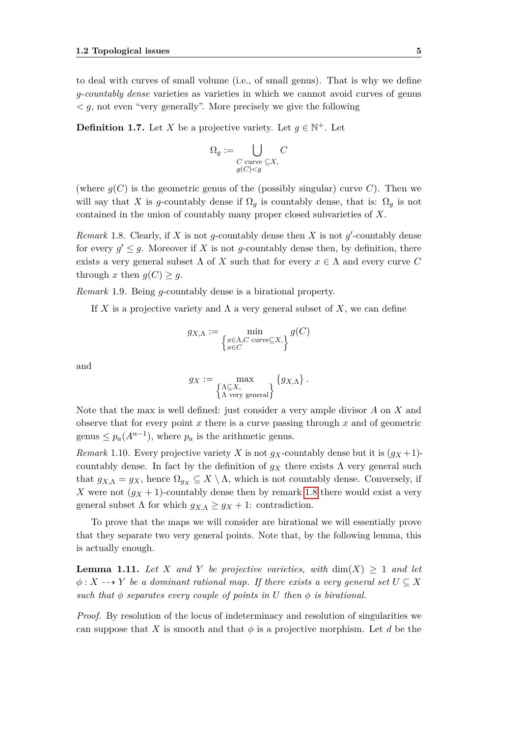to deal with curves of small volume (i.e., of small genus). That is why we define *g*-*countably dense* varieties as varieties in which we cannot avoid curves of genus  $\langle g, \rangle$  not even "very generally". More precisely we give the following

<span id="page-14-1"></span>**Definition 1.7.** Let *X* be a projective variety. Let  $g \in \mathbb{N}^+$ . Let

$$
\Omega_g := \bigcup_{\substack{C \text{ curve } \subseteq X, \\ g(C) < g}} C
$$

(where  $g(C)$  is the geometric genus of the (possibly singular) curve C). Then we will say that *X* is *g*-countably dense if  $\Omega_q$  is countably dense, that is:  $\Omega_q$  is not contained in the union of countably many proper closed subvarieties of *X*.

<span id="page-14-0"></span>*Remark* 1.8. Clearly, if *X* is not *g*-countably dense then *X* is not *g*'-countably dense for every  $g' \leq g$ . Moreover if *X* is not *g*-countably dense then, by definition, there exists a very general subset  $\Lambda$  of X such that for every  $x \in \Lambda$  and every curve C through *x* then  $q(C) \geq q$ .

*Remark* 1.9*.* Being *g*-countably dense is a birational property.

If *X* is a projective variety and  $\Lambda$  a very general subset of *X*, we can define

$$
g_{X,\Lambda} := \min_{\substack{x \in \Lambda, C \text{ curve} \subseteq X, \\ x \in C}} g(C)
$$

and

$$
g_X := \max_{\substack{\Lambda \subseteq X, \\ \Lambda \text{ very general}}} \{g_{X,\Lambda}\}.
$$

Note that the max is well defined: just consider a very ample divisor *A* on *X* and observe that for every point *x* there is a curve passing through *x* and of geometric genus  $\leq p_a(A^{n-1})$ , where  $p_a$  is the arithmetic genus.

*Remark* 1.10*.* Every projective variety *X* is not  $g_X$ -countably dense but it is  $(g_X + 1)$ countably dense. In fact by the definition of  $g_X$  there exists  $\Lambda$  very general such that  $g_{X,\Lambda} = g_X$ , hence  $\Omega_{g_X} \subseteq X \setminus \Lambda$ , which is not countably dense. Conversely, if *X* were not  $(g_X + 1)$ -countably dense then by remark [1.8](#page-14-0) there would exist a very general subset  $\Lambda$  for which  $g_{X,\Lambda} \geq g_X + 1$ : contradiction.

To prove that the maps we will consider are birational we will essentially prove that they separate two very general points. Note that, by the following lemma, this is actually enough.

**Lemma 1.11.** Let *X* and *Y* be projective varieties, with  $dim(X) \geq 1$  and let  $\phi$ :  $X \rightarrow Y$  *be a dominant rational map. If there exists a very general set*  $U \subseteq X$ *such that*  $\phi$  *separates every couple of points in U then*  $\phi$  *is birational.* 

*Proof.* By resolution of the locus of indeterminacy and resolution of singularities we can suppose that *X* is smooth and that  $\phi$  is a projective morphism. Let *d* be the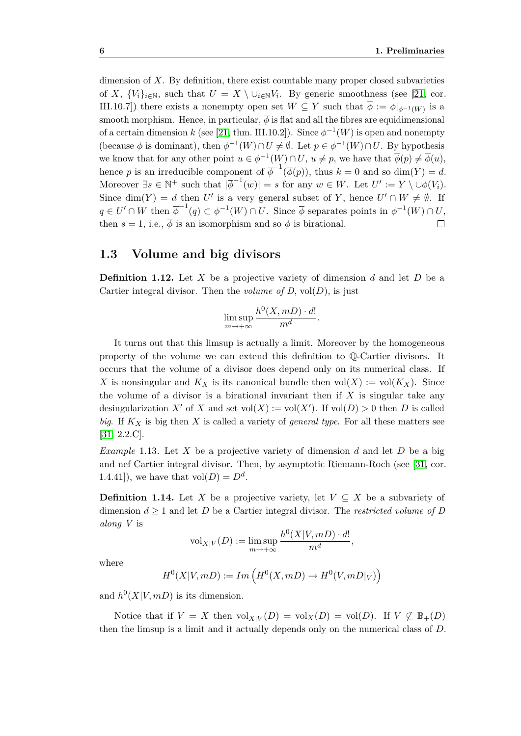dimension of *X*. By definition, there exist countable many proper closed subvarieties of *X*,  $\{V_i\}_{i\in\mathbb{N}}$ , such that  $U = X \setminus \cup_{i\in\mathbb{N}} V_i$ . By generic smoothness (see [\[21,](#page-75-2) cor. III.10.7) there exists a nonempty open set  $W \subseteq Y$  such that  $\overline{\phi} := \phi|_{\phi^{-1}(W)}$  is a smooth morphism. Hence, in particular,  $\overline{\phi}$  is flat and all the fibres are equidimensional of a certain dimension *k* (see [\[21,](#page-75-2) thm. III.10.2]). Since  $\phi^{-1}(W)$  is open and nonempty (because  $\phi$  is dominant), then  $\phi^{-1}(W) \cap U \neq \emptyset$ . Let  $p \in \phi^{-1}(W) \cap U$ . By hypothesis we know that for any other point  $u \in \phi^{-1}(W) \cap U$ ,  $u \neq p$ , we have that  $\overline{\phi}(p) \neq \overline{\phi}(u)$ , hence *p* is an irreducible component of  $\overline{\phi}^{-1}(\overline{\phi}(p))$ , thus  $k = 0$  and so dim(*Y*) = *d*. Moreover  $\exists s \in \mathbb{N}^+$  such that  $|\overline{\phi}^{-1}(w)| = s$  for any  $w \in W$ . Let  $U' := Y \setminus \cup \phi(V_i)$ . Since  $\dim(Y) = d$  then *U'* is a very general subset of *Y*, hence  $U' \cap W \neq \emptyset$ . If  $q \in U' \cap W$  then  $\overline{\phi}^{-1}(q) \subset \phi^{-1}(W) \cap U$ . Since  $\overline{\phi}$  separates points in  $\phi^{-1}(W) \cap U$ , then  $s = 1$ , i.e.,  $\overline{\phi}$  is an isomorphism and so  $\phi$  is birational.  $\Box$ 

#### <span id="page-15-0"></span>**1.3 Volume and big divisors**

**Definition 1.12.** Let *X* be a projective variety of dimension *d* and let *D* be a Cartier integral divisor. Then the *volume of D*, vol $(D)$ , is just

$$
\limsup_{m \to +\infty} \frac{h^0(X, mD) \cdot d!}{m^d}.
$$

It turns out that this limsup is actually a limit. Moreover by the homogeneous property of the volume we can extend this definition to Q-Cartier divisors. It occurs that the volume of a divisor does depend only on its numerical class. If *X* is nonsingular and  $K_X$  is its canonical bundle then  $vol(X) := vol(K_X)$ . Since the volume of a divisor is a birational invariant then if *X* is singular take any desingularization *X'* of *X* and set vol(*X*) := vol(*X'*). If vol(*D*) > 0 then *D* is called *big*. If *K<sup>X</sup>* is big then *X* is called a variety of *general type*. For all these matters see [\[31,](#page-76-2) 2.2.C].

*Example* 1.13*.* Let *X* be a projective variety of dimension *d* and let *D* be a big and nef Cartier integral divisor. Then, by asymptotic Riemann-Roch (see [\[31,](#page-76-2) cor. 1.4.41]), we have that  $vol(D) = D^d$ .

**Definition 1.14.** Let *X* be a projective variety, let  $V \subseteq X$  be a subvariety of dimension  $d \geq 1$  and let *D* be a Cartier integral divisor. The *restricted volume of D along V* is

$$
\mathrm{vol}_{X|V}(D) := \limsup_{m \to +\infty} \frac{h^0(X|V, mD) \cdot d!}{m^d},
$$

where

$$
H^0(X|V, mD) := Im\left(H^0(X, mD) \to H^0(V, mD|_V)\right)
$$

and  $h^0(X|V, mD)$  is its dimension.

Notice that if  $V = X$  then  $\text{vol}_{X|V}(D) = \text{vol}_X(D) = \text{vol}(D)$ . If  $V \not\subseteq \mathbb{B}_+(D)$ then the limsup is a limit and it actually depends only on the numerical class of *D*.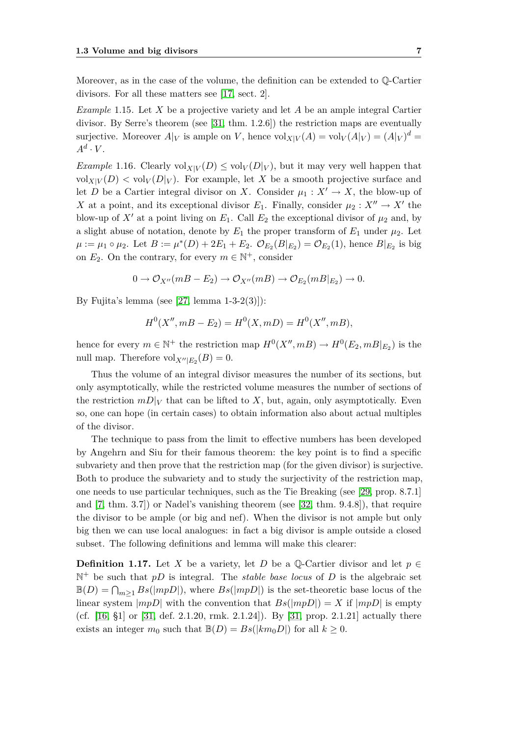Moreover, as in the case of the volume, the definition can be extended to Q-Cartier divisors. For all these matters see [\[17,](#page-75-3) sect. 2].

*Example* 1.15*.* Let *X* be a projective variety and let *A* be an ample integral Cartier divisor. By Serre's theorem (see [\[31,](#page-76-2) thm. 1.2.6]) the restriction maps are eventually surjective. Moreover  $A|_V$  is ample on *V*, hence  $\text{vol}_{X|V}(A) = \text{vol}_V(A|_V) = (A|_V)^d =$  $A^d \cdot V$ .

*Example* 1.16. Clearly  $vol_{X|V}(D) \leq vol_{V}(D|V)$ , but it may very well happen that  $vol_{X|V}(D) < vol_{V}(D|_{V})$ . For example, let X be a smooth projective surface and let *D* be a Cartier integral divisor on *X*. Consider  $\mu_1 : X' \to X$ , the blow-up of *X* at a point, and its exceptional divisor  $E_1$ . Finally, consider  $\mu_2 : X'' \to X'$  the blow-up of  $X'$  at a point living on  $E_1$ . Call  $E_2$  the exceptional divisor of  $\mu_2$  and, by a slight abuse of notation, denote by  $E_1$  the proper transform of  $E_1$  under  $\mu_2$ . Let  $\mu := \mu_1 \circ \mu_2$ . Let  $B := \mu^*(D) + 2E_1 + E_2$ .  $\mathcal{O}_{E_2}(B|_{E_2}) = \mathcal{O}_{E_2}(1)$ , hence  $B|_{E_2}$  is big on  $E_2$ . On the contrary, for every  $m \in \mathbb{N}^+$ , consider

$$
0 \to \mathcal{O}_{X''}(mB - E_2) \to \mathcal{O}_{X''}(mB) \to \mathcal{O}_{E_2}(mB|_{E_2}) \to 0.
$$

By Fujita's lemma (see [\[27,](#page-76-5) lemma  $1-3-2(3)$ ]):

$$
H^{0}(X'', mB - E_{2}) = H^{0}(X, mD) = H^{0}(X'', mB),
$$

hence for every  $m \in \mathbb{N}^+$  the restriction map  $H^0(X'', mB) \to H^0(E_2, mB|_{E_2})$  is the null map. Therefore  $\text{vol}_{X''|E_2}(B) = 0.$ 

Thus the volume of an integral divisor measures the number of its sections, but only asymptotically, while the restricted volume measures the number of sections of the restriction  $mD|_V$  that can be lifted to *X*, but, again, only asymptotically. Even so, one can hope (in certain cases) to obtain information also about actual multiples of the divisor.

The technique to pass from the limit to effective numbers has been developed by Angehrn and Siu for their famous theorem: the key point is to find a specific subvariety and then prove that the restriction map (for the given divisor) is surjective. Both to produce the subvariety and to study the surjectivity of the restriction map, one needs to use particular techniques, such as the Tie Breaking (see [\[29,](#page-76-6) prop. 8.7.1] and [\[7,](#page-74-3) thm. 3.7]) or Nadel's vanishing theorem (see [\[32,](#page-76-3) thm. 9.4.8]), that require the divisor to be ample (or big and nef). When the divisor is not ample but only big then we can use local analogues: in fact a big divisor is ample outside a closed subset. The following definitions and lemma will make this clearer:

**Definition 1.17.** Let *X* be a variety, let *D* be a  $\mathbb{Q}$ -Cartier divisor and let  $p \in \mathbb{Q}$  $\mathbb{N}^+$  be such that  $pD$  is integral. The *stable base locus* of  $D$  is the algebraic set  $\mathbb{B}(D) = \bigcap_{m \geq 1} Bs(|mpD|)$ , where  $Bs(|mpD|)$  is the set-theoretic base locus of the linear system  $|mpD|$  with the convention that  $Bs(|mpD|) = X$  if  $|mpD|$  is empty (cf. [\[16,](#page-75-4) §1] or [\[31,](#page-76-2) def. 2.1.20, rmk. 2.1.24]). By [\[31,](#page-76-2) prop. 2.1.21] actually there exists an integer  $m_0$  such that  $\mathbb{B}(D) = Bs(|km_0D|)$  for all  $k \geq 0$ .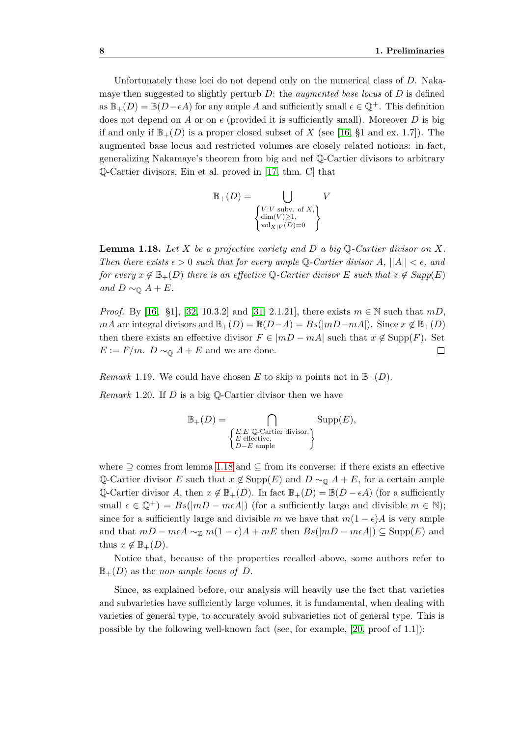Unfortunately these loci do not depend only on the numerical class of *D*. Nakamaye then suggested to slightly perturb *D*: the *augmented base locus* of *D* is defined as  $\mathbb{B}_+(D) = \mathbb{B}(D-\epsilon A)$  for any ample A and sufficiently small  $\epsilon \in \mathbb{Q}^+$ . This definition does not depend on *A* or on  $\epsilon$  (provided it is sufficiently small). Moreover *D* is big if and only if  $\mathbb{B}_+(D)$  is a proper closed subset of X (see [\[16,](#page-75-4) §1 and ex. 1.7]). The augmented base locus and restricted volumes are closely related notions: in fact, generalizing Nakamaye's theorem from big and nef Q-Cartier divisors to arbitrary Q-Cartier divisors, Ein et al. proved in [\[17,](#page-75-3) thm. C] that

$$
\mathbb{B}_{+}(D) = \bigcup_{\substack{V: V \text{ subv. of } X, \\ \dim(V) \ge 1, \\ \text{vol}_{X|V}(D)=0}} V
$$

<span id="page-17-0"></span>**Lemma 1.18.** *Let X be a projective variety and D a big* Q*-Cartier divisor on X. Then there exists*  $\epsilon > 0$  *such that for every ample* Q-Cartier divisor A,  $||A|| < \epsilon$ , and *for every*  $x \notin \mathbb{B}_+(D)$  *there is an effective*  $\mathbb{Q}$ -*Cartier divisor*  $E$  *such that*  $x \notin Supp(E)$ *and*  $D \sim$ <sup> $\mathbf{0}$ </sup> *A* + *E.* 

*Proof.* By [\[16,](#page-75-4) §1], [\[32,](#page-76-3) 10.3.2] and [\[31,](#page-76-2) 2.1.21], there exists *m* ∈ N such that *mD*, *mA* are integral divisors and  $\mathbb{B}_+(D) = \mathbb{B}(D-A) = Bs(|mD-mA|)$ . Since  $x \notin \mathbb{B}_+(D)$ then there exists an effective divisor  $F \in |mD - mA|$  such that  $x \notin \text{Supp}(F)$ . Set  $E := F/m$ .  $D \sim_{\mathbb{Q}} A + E$  and we are done.  $\Box$ 

<span id="page-17-2"></span>*Remark* 1.19. We could have chosen *E* to skip *n* points not in  $\mathbb{B}_+(D)$ .

*Remark* 1.20*.* If *D* is a big Q-Cartier divisor then we have

$$
\mathbb{B}_+(D) = \bigcap_{\substack{E:E \ \mathbb{Q}\text{-Cartier divisor,} \\ E \text{ effective,} \\ D-E \text{ ample}}} \text{Supp}(E),
$$

where *⊇* comes from lemma [1.18](#page-17-0) and *⊆* from its converse: if there exists an effective Q-Cartier divisor *E* such that  $x \notin \text{Supp}(E)$  and  $D \sim_{\mathbb{Q}} A + E$ , for a certain ample  $\mathbb{Q}\text{-Cartier divisor }A$ , then  $x \notin \mathbb{B}_+(D)$ . In fact  $\mathbb{B}_+(D) = \mathbb{B}(D - \epsilon A)$  (for a sufficiently small  $\epsilon \in \mathbb{Q}^+$  =  $Bs(|mD - meA|)$  (for a sufficiently large and divisible  $m \in \mathbb{N}$ ); since for a sufficiently large and divisible *m* we have that  $m(1 - \epsilon)A$  is very ample and that  $mD - meA \sim_{\mathbb{Z}} m(1 - \epsilon)A + mE$  then  $Bs(|mD - meA|) \subseteq \text{Supp}(E)$  and thus  $x \notin \mathbb{B}_+(D)$ .

Notice that, because of the properties recalled above, some authors refer to  $\mathbb{B}_+(D)$  as the *non ample locus of D*.

<span id="page-17-1"></span>Since, as explained before, our analysis will heavily use the fact that varieties and subvarieties have sufficiently large volumes, it is fundamental, when dealing with varieties of general type, to accurately avoid subvarieties not of general type. This is possible by the following well-known fact (see, for example, [\[20,](#page-75-0) proof of 1.1]):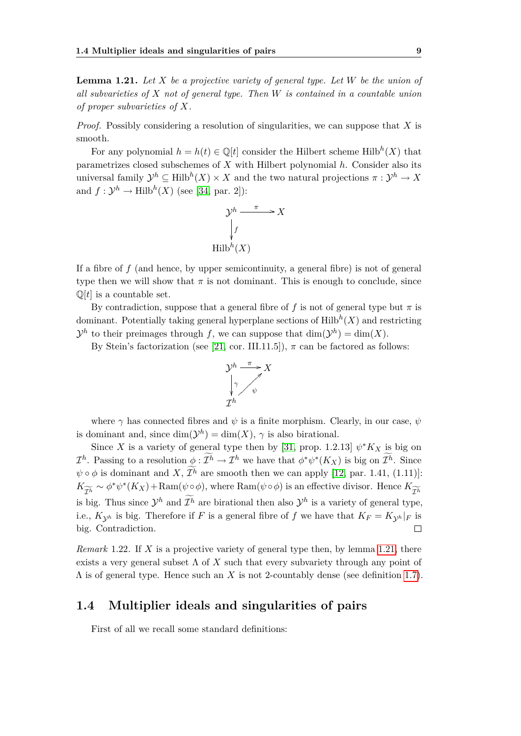**Lemma 1.21.** *Let X be a projective variety of general type. Let W be the union of all subvarieties of X not of general type. Then W is contained in a countable union of proper subvarieties of X.*

*Proof.* Possibly considering a resolution of singularities, we can suppose that *X* is smooth.

For any polynomial  $h = h(t) \in \mathbb{Q}[t]$  consider the Hilbert scheme Hilb<sup>h</sup>(X) that parametrizes closed subschemes of *X* with Hilbert polynomial *h*. Consider also its universal family  $\mathcal{Y}^h \subseteq \text{Hilb}^h(X) \times X$  and the two natural projections  $\pi : \mathcal{Y}^h \to X$ and  $f: \mathcal{Y}^h \to \text{Hilb}^h(X)$  (see [\[34,](#page-76-7) par. 2]):

$$
\mathcal{Y}^h \xrightarrow{\pi} X
$$
  
\n
$$
\downarrow f
$$
  
\nHilb<sup>h</sup>(X)

If a fibre of *f* (and hence, by upper semicontinuity, a general fibre) is not of general type then we will show that  $\pi$  is not dominant. This is enough to conclude, since  $\mathbb{Q}[t]$  is a countable set.

By contradiction, suppose that a general fibre of f is not of general type but  $\pi$  is dominant. Potentially taking general hyperplane sections of  $\mathrm{Hilb}^h(X)$  and restricting  $\mathcal{Y}^h$  to their preimages through *f*, we can suppose that  $\dim(\mathcal{Y}^h) = \dim(X)$ .

By Stein's factorization (see [\[21,](#page-75-2) cor. III.11.5]),  $\pi$  can be factored as follows:



where  $\gamma$  has connected fibres and  $\psi$  is a finite morphism. Clearly, in our case,  $\psi$ is dominant and, since  $\dim(\mathcal{Y}^h) = \dim(X)$ ,  $\gamma$  is also birational.

Since *X* is a variety of general type then by [\[31,](#page-76-2) prop. 1.2.13]  $\psi^* K_X$  is big on *I*<sup>h</sup>. Passing to a resolution  $\underline{\phi} : \mathcal{I}^h \to \mathcal{I}^h$  we have that  $\phi^* \psi^* (K_X)$  is big on  $\mathcal{I}^h$ . Since  $\psi \circ \phi$  is dominant and *X*,  $\mathcal{I}^h$  are smooth then we can apply [\[12,](#page-75-5) par. 1.41, (1.11)]:  $K_{\widetilde{\mathcal{I}^h}} \sim \phi^* \psi^* (K_X) + \text{Ram}(\psi \circ \phi)$ , where  $\text{Ram}(\psi \circ \phi)$  is an effective divisor. Hence *K*  $\mathcal{I}^h$ is big. Thus since  $\mathcal{Y}^h$  and  $\mathcal{I}^h$  are birational then also  $\mathcal{Y}^h$  is a variety of general type, i.e.,  $K_{\mathcal{V}^h}$  is big. Therefore if *F* is a general fibre of *f* we have that  $K_F = K_{\mathcal{V}^h}|_F$  is big. Contradiction.  $\Box$ 

<span id="page-18-1"></span>*Remark* 1.22*.* If *X* is a projective variety of general type then, by lemma [1.21,](#page-17-1) there exists a very general subset  $\Lambda$  of  $X$  such that every subvariety through any point of  $\Lambda$  is of general type. Hence such an *X* is not 2-countably dense (see definition [1.7\)](#page-14-1).

#### <span id="page-18-0"></span>**1.4 Multiplier ideals and singularities of pairs**

First of all we recall some standard definitions: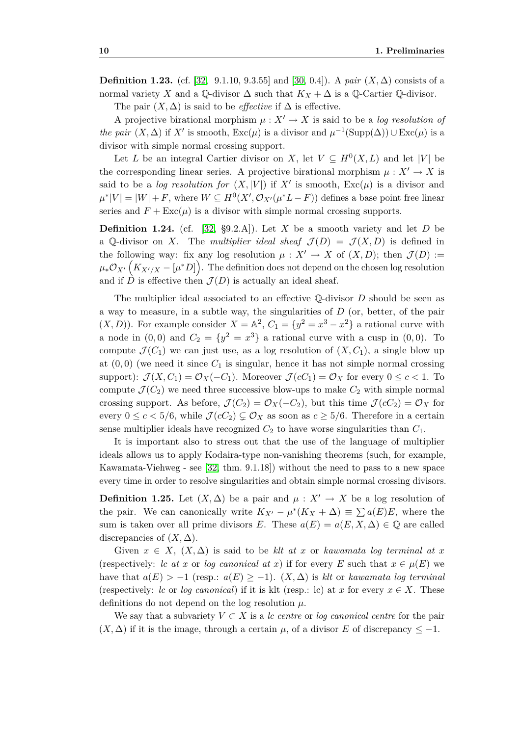**Definition 1.23.** (cf. [\[32,](#page-76-3) 9.1.10, 9.3.55] and [\[30,](#page-76-8) 0.4]). A *pair*  $(X, \Delta)$  consists of a normal variety *X* and a Q-divisor  $\Delta$  such that  $K_X + \Delta$  is a Q-Cartier Q-divisor.

The pair  $(X, \Delta)$  is said to be *effective* if  $\Delta$  is effective.

A projective birational morphism  $\mu: X' \to X$  is said to be a *log resolution of the pair*  $(X, \Delta)$  if  $X'$  is smooth,  $\text{Exc}(\mu)$  is a divisor and  $\mu^{-1}(\text{Supp}(\Delta)) \cup \text{Exc}(\mu)$  is a divisor with simple normal crossing support.

Let *L* be an integral Cartier divisor on *X*, let  $V \subseteq H^0(X, L)$  and let  $|V|$  be the corresponding linear series. A projective birational morphism  $\mu: X' \to X$  is said to be a *log resolution for*  $(X, |V|)$  if X' is smooth,  $\text{Exc}(\mu)$  is a divisor and  $\mu^*|V| = |W| + F$ , where  $W \subseteq H^0(X', \mathcal{O}_{X'}(\mu^*L - F))$  defines a base point free linear series and  $F + \text{Exc}(\mu)$  is a divisor with simple normal crossing supports.

**Definition 1.24.** (cf. [\[32,](#page-76-3) §9.2.A]). Let *X* be a smooth variety and let *D* be a Q-divisor on *X*. The *multiplier ideal sheaf*  $\mathcal{J}(D) = \mathcal{J}(X, D)$  is defined in the following way: fix any log resolution  $\mu : X' \to X$  of  $(X, D)$ ; then  $\mathcal{J}(D) :=$  $\mu_*\mathcal{O}_{X'}\left(K_{X'/X}-[\mu^*D]\right)$ . The definition does not depend on the chosen log resolution and if  $\ddot{D}$  is effective then  $\mathcal{J}(D)$  is actually an ideal sheaf.

The multiplier ideal associated to an effective Q-divisor *D* should be seen as a way to measure, in a subtle way, the singularities of *D* (or, better, of the pair  $(X, D)$ ). For example consider  $X = \mathbb{A}^2$ ,  $C_1 = \{y^2 = x^3 - x^2\}$  a rational curve with a node in  $(0,0)$  and  $C_2 = \{y^2 = x^3\}$  a rational curve with a cusp in  $(0,0)$ . To compute  $\mathcal{J}(C_1)$  we can just use, as a log resolution of  $(X, C_1)$ , a single blow up at  $(0,0)$  (we need it since  $C_1$  is singular, hence it has not simple normal crossing support):  $\mathcal{J}(X, C_1) = \mathcal{O}_X(-C_1)$ . Moreover  $\mathcal{J}(cC_1) = \mathcal{O}_X$  for every  $0 \leq c < 1$ . To compute  $\mathcal{J}(C_2)$  we need three successive blow-ups to make  $C_2$  with simple normal crossing support. As before,  $\mathcal{J}(C_2) = \mathcal{O}_X(-C_2)$ , but this time  $\mathcal{J}(cC_2) = \mathcal{O}_X$  for every  $0 \leq c < 5/6$ , while  $\mathcal{J}(cC_2) \subsetneq \mathcal{O}_X$  as soon as  $c \geq 5/6$ . Therefore in a certain sense multiplier ideals have recognized  $C_2$  to have worse singularities than  $C_1$ .

It is important also to stress out that the use of the language of multiplier ideals allows us to apply Kodaira-type non-vanishing theorems (such, for example, Kawamata-Viehweg - see [\[32,](#page-76-3) thm. 9.1.18]) without the need to pass to a new space every time in order to resolve singularities and obtain simple normal crossing divisors.

**Definition 1.25.** Let  $(X, \Delta)$  be a pair and  $\mu : X' \to X$  be a log resolution of the pair. We can canonically write  $K_{X'} - \mu^*(K_X + \Delta) \equiv \sum a(E)E$ , where the sum is taken over all prime divisors *E*. These  $a(E) = a(E, X, \Delta) \in \mathbb{Q}$  are called discrepancies of  $(X, \Delta)$ .

Given  $x \in X$ ,  $(X, \Delta)$  is said to be klt at x or kawamata log terminal at x (respectively: *lc at x* or *log canonical at x*) if for every *E* such that  $x \in \mu(E)$  we have that  $a(E) > -1$  (resp.:  $a(E) \geq -1$ ).  $(X, \Delta)$  is *klt* or *kawamata log terminal* (respectively: *lc* or *log canonical*) if it is klt (resp.: lc) at *x* for every  $x \in X$ . These definitions do not depend on the log resolution *µ*.

We say that a subvariety  $V \subset X$  is a *lc centre* or *log canonical centre* for the pair  $(X, \Delta)$  if it is the image, through a certain  $\mu$ , of a divisor *E* of discrepancy  $\leq -1$ .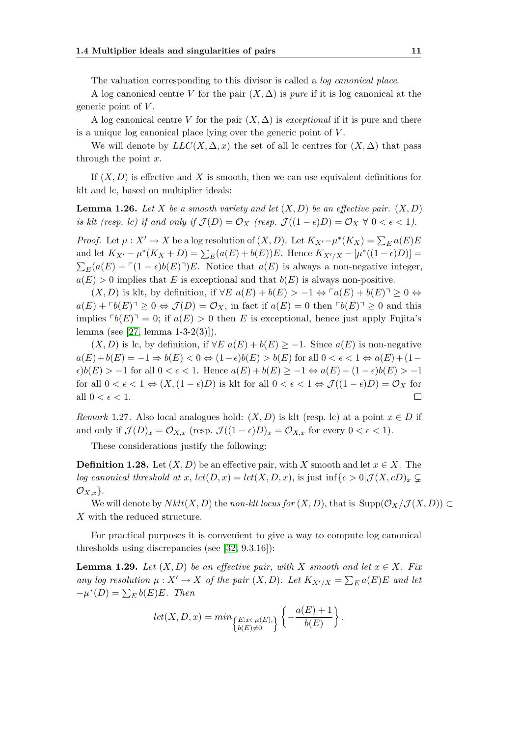The valuation corresponding to this divisor is called a *log canonical place*.

A log canonical centre *V* for the pair  $(X, \Delta)$  is *pure* if it is log canonical at the generic point of *V* .

A log canonical centre *V* for the pair  $(X, \Delta)$  is *exceptional* if it is pure and there is a unique log canonical place lying over the generic point of *V* .

We will denote by  $LLC(X, \Delta, x)$  the set of all lc centres for  $(X, \Delta)$  that pass through the point *x*.

If (*X, D*) is effective and *X* is smooth, then we can use equivalent definitions for klt and lc, based on multiplier ideals:

**Lemma 1.26.** Let X be a smooth variety and let  $(X, D)$  be an effective pair.  $(X, D)$ *is klt (resp. lc) if and only if*  $\mathcal{J}(D) = \mathcal{O}_X$  (*resp.*  $\mathcal{J}((1 - \epsilon)D) = \mathcal{O}_X \ \forall \ 0 < \epsilon < 1$ ).

*Proof.* Let  $\mu: X' \to X$  be a log resolution of  $(X, D)$ . Let  $K_{X'} - \mu^*(K_X) = \sum_E a(E)E$ and let  $K_{X'} - \mu^*(K_X + D) = \sum_E (a(E) + b(E))E$ . Hence  $K_{X'/X} - [\mu^*((1 - \epsilon)D)] =$  $\sum_{E} (a(E) + \Gamma(1 - \epsilon)b(E)^{\dagger})E$ . Notice that  $a(E)$  is always a non-negative integer,  $a(E) > 0$  implies that *E* is exceptional and that  $b(E)$  is always non-positive.

 $(X, D)$  is klt, by definition, if  $\forall E \ a(E) + b(E) > -1 \Leftrightarrow \neg(a(E) + b(E) \neg \geq 0 \Leftrightarrow$  $a(E) + b(E) \geq 0 \Leftrightarrow \mathcal{J}(D) = \mathcal{O}_X$ , in fact if  $a(E) = 0$  then  $\lceil b(E) \rceil \geq 0$  and this implies  $\lceil b(E) \rceil = 0$ ; if  $a(E) > 0$  then *E* is exceptional, hence just apply Fujita's lemma (see [\[27,](#page-76-5) lemma 1-3-2(3)]).

 $(X, D)$  is lc, by definition, if  $\forall E \ a(E) + b(E) \ge -1$ . Since  $a(E)$  is non-negative *a*(*E*) + *b*(*E*) = −1  $\Rightarrow$  *b*(*E*) < 0  $\Leftrightarrow$  (1 −  $\epsilon$ )*b*(*E*) > *b*(*E*) for all 0 <  $\epsilon$  < 1  $\Leftrightarrow$  *a*(*E*) + (1 −  $\epsilon$ *)b*(*E*) > −1 for all 0 <  $\epsilon$  < 1. Hence  $a(E) + b(E) \ge -1 \Leftrightarrow a(E) + (1 - \epsilon)b(E) > -1$ for all  $0 < \epsilon < 1 \Leftrightarrow (X, (1 - \epsilon)D)$  is klt for all  $0 < \epsilon < 1 \Leftrightarrow \mathcal{J}((1 - \epsilon)D) = \mathcal{O}_X$  for all  $0 < \epsilon < 1$ .  $\Box$ 

<span id="page-20-0"></span>*Remark* 1.27. Also local analogues hold:  $(X, D)$  is klt (resp. lc) at a point  $x \in D$  if and only if  $\mathcal{J}(D)_x = \mathcal{O}_{X,x}$  (resp.  $\mathcal{J}((1-\epsilon)D)_x = \mathcal{O}_{X,x}$  for every  $0 < \epsilon < 1$ ).

These considerations justify the following:

**Definition 1.28.** Let  $(X, D)$  be an effective pair, with X smooth and let  $x \in X$ . The *log canonical threshold at x,*  $lct(D, x) = lct(X, D, x)$ *, is just inf* $\{c > 0 | \mathcal{J}(X, cD)_x \subseteq$ *OX,x}*.

We will denote by  $Nklt(X, D)$  the *non-klt locus for*  $(X, D)$ , that is  $\text{Supp}(\mathcal{O}_X/\mathcal{J}(X, D)) \subset$ *X* with the reduced structure.

For practical purposes it is convenient to give a way to compute log canonical thresholds using discrepancies (see [\[32,](#page-76-3) 9.3.16]):

<span id="page-20-1"></span>**Lemma 1.29.** *Let*  $(X, D)$  *be an effective pair, with*  $X$  *smooth and let*  $x \in X$ *. Fix any log resolution*  $\mu: X' \to X$  *of the pair*  $(X, D)$ *. Let*  $K_{X'/X} = \sum_{E} a(E)E$  *and let*  $-\mu^*(D) = \sum_E b(E)E$ *. Then* 

$$
lct(X, D, x) = min_{\{E: x \in \mu(E), \}} \left\{ -\frac{a(E) + 1}{b(E)} \right\}.
$$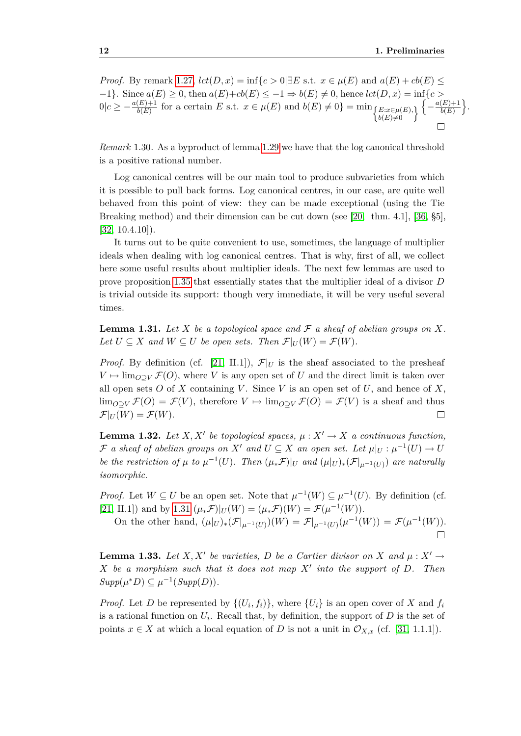*Proof.* By remark [1.27,](#page-20-0)  $lct(D, x) = inf\{c > 0 | \exists E \text{ s.t. } x \in \mu(E) \text{ and } a(E) + cb(E) \le$ *−*1*}*. Since *a*(*E*) *≥* 0, then *a*(*E*)+*cb*(*E*) *≤ −*1 *⇒ b*(*E*) *6*= 0, hence *lct*(*D, x*) = inf*{c >*  $0|c \geq -\frac{a(E)+1}{b(E)}$  for a certain E s.t.  $x \in \mu(E)$  and  $b(E) \neq 0$ } = min  $\left\{\frac{E:x \in \mu(E),}{b(E) \neq 0}\right\}$   $\left\{-\frac{a(E)+1}{b(E)}\right\}$  $\frac{(E)+1}{b(E)}\bigg\}.$ 

*Remark* 1.30*.* As a byproduct of lemma [1.29](#page-20-1) we have that the log canonical threshold is a positive rational number.

Log canonical centres will be our main tool to produce subvarieties from which it is possible to pull back forms. Log canonical centres, in our case, are quite well behaved from this point of view: they can be made exceptional (using the Tie Breaking method) and their dimension can be cut down (see [\[20,](#page-75-0) thm. 4.1], [\[36,](#page-76-0) §5], [\[32,](#page-76-3) 10.4.10]).

It turns out to be quite convenient to use, sometimes, the language of multiplier ideals when dealing with log canonical centres. That is why, first of all, we collect here some useful results about multiplier ideals. The next few lemmas are used to prove proposition [1.35](#page-22-0) that essentially states that the multiplier ideal of a divisor *D* is trivial outside its support: though very immediate, it will be very useful several times.

<span id="page-21-0"></span>**Lemma 1.31.** Let  $X$  be a topological space and  $\mathcal F$  a sheaf of abelian groups on  $X$ . *Let*  $U \subseteq X$  *and*  $W \subseteq U$  *be open sets. Then*  $\mathcal{F}|_U(W) = \mathcal{F}(W)$ *.* 

*Proof.* By definition (cf. [\[21,](#page-75-2) II.1]),  $\mathcal{F}|_U$  is the sheaf associated to the presheaf  $V \mapsto \lim_{Q \supset V} \mathcal{F}(Q)$ , where *V* is any open set of *U* and the direct limit is taken over all open sets  $O$  of  $X$  containing  $V$ . Since  $V$  is an open set of  $U$ , and hence of  $X$ , lim<sub>*O*</sub> $\supseteq$ *V*  $\mathcal{F}(O) = \mathcal{F}(V)$ , therefore  $V \mapsto \lim_{O \supseteq V} \mathcal{F}(O) = \mathcal{F}(V)$  is a sheaf and thus  $\mathcal{F}|_U(W) = \mathcal{F}(W).$  $\overline{\phantom{a}}$ 

<span id="page-21-1"></span>**Lemma 1.32.** Let  $X, X'$  be topological spaces,  $\mu : X' \to X$  a continuous function,  $\mathcal F$  *a sheaf of abelian groups on*  $X'$  *and*  $U \subseteq X$  *an open set. Let*  $\mu|_U : \mu^{-1}(U) \to U$ be the restriction of  $\mu$  to  $\mu^{-1}(U)$ . Then  $(\mu_*\mathcal{F})|_U$  and  $(\mu|_U)_*(\mathcal{F}|_{\mu^{-1}(U)})$  are naturally *isomorphic.*

*Proof.* Let  $W \subseteq U$  be an open set. Note that  $\mu^{-1}(W) \subseteq \mu^{-1}(U)$ . By definition (cf. [\[21,](#page-75-2) II.1]) and by [1.31](#page-21-0)  $(\mu_* \mathcal{F})|_U(W) = (\mu_* \mathcal{F})(W) = \mathcal{F}(\mu^{-1}(W)).$ 

On the other hand,  $(\mu|_U)_*(\mathcal{F}|_{\mu^{-1}(U)})(W) = \mathcal{F}|_{\mu^{-1}(U)}(\mu^{-1}(W)) = \mathcal{F}(\mu^{-1}(W)).$  $\Box$ 

<span id="page-21-2"></span>**Lemma 1.33.** Let  $X, X'$  be varieties, D be a Cartier divisor on  $X$  and  $\mu : X' \to Y'$ *X be a morphism such that it does not map X<sup>0</sup> into the support of D. Then*  $Supp(\mu^*D) \subseteq \mu^{-1}(Supp(D)).$ 

*Proof.* Let *D* be represented by  $\{(U_i, f_i)\}\$ , where  $\{U_i\}$  is an open cover of *X* and  $f_i$ is a rational function on  $U_i$ . Recall that, by definition, the support of  $D$  is the set of points  $x \in X$  at which a local equation of *D* is not a unit in  $\mathcal{O}_{X,x}$  (cf. [\[31,](#page-76-2) 1.1.1]).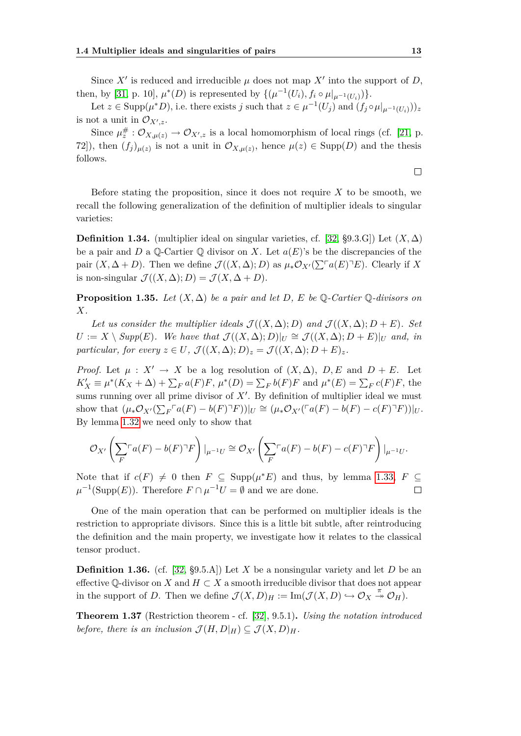Since  $X'$  is reduced and irreducible  $\mu$  does not map  $X'$  into the support of  $D$ , then, by [\[31,](#page-76-2) p. 10],  $\mu^*(D)$  is represented by  $\{(\mu^{-1}(U_i), f_i \circ \mu|_{\mu^{-1}(U_i)})\}$ .

Let  $z \in \text{Supp}(\mu^* D)$ , i.e. there exists j such that  $z \in \mu^{-1}(U_j)$  and  $(f_j \circ \mu|_{\mu^{-1}(U_i)}))_z$ is not a unit in  $\mathcal{O}_{X^{\prime},z}$ .

Since  $\mu^{\#}_{z}: \mathcal{O}_{X,\mu(z)} \to \mathcal{O}_{X',z}$  is a local homomorphism of local rings (cf. [\[21,](#page-75-2) p. 72]), then  $(f_j)_{\mu(z)}$  is not a unit in  $\mathcal{O}_{X,\mu(z)}$ , hence  $\mu(z) \in \text{Supp}(D)$  and the thesis follows.

Before stating the proposition, since it does not require *X* to be smooth, we recall the following generalization of the definition of multiplier ideals to singular varieties:

**Definition 1.34.** (multiplier ideal on singular varieties, cf. [\[32,](#page-76-3) §9.3.G]) Let  $(X, \Delta)$ be a pair and *D* a Q-Cartier Q divisor on *X*. Let  $a(E)$ 's be the discrepancies of the pair  $(X, \Delta + D)$ . Then we define  $\mathcal{J}((X, \Delta); D)$  as  $\mu_* \mathcal{O}_{X'}(\sum^{\lceil} a(E) \rceil E)$ . Clearly if X is non-singular  $\mathcal{J}((X,\Delta);D) = \mathcal{J}(X,\Delta+D).$ 

<span id="page-22-0"></span>**Proposition 1.35.** *Let*  $(X, \Delta)$  *be a pair and let D, E be*  $\mathbb{Q}$ *-Cartier*  $\mathbb{Q}$ *-divisors on X.*

*Let us consider the multiplier ideals*  $\mathcal{J}((X,\Delta);D)$  *and*  $\mathcal{J}((X,\Delta);D+E)$ *. Set*  $U := X \setminus Supp(E)$ *. We have that*  $\mathcal{J}((X, \Delta); D)|_U \cong \mathcal{J}((X, \Delta); D + E)|_U$  *and, in particular, for every*  $z \in U$ *,*  $\mathcal{J}((X, \Delta); D)_z = \mathcal{J}((X, \Delta); D + E)_z$ *.* 

*Proof.* Let  $\mu : X' \to X$  be a log resolution of  $(X, \Delta)$ ,  $D, E$  and  $D + E$ . Let  $K'_X \equiv \mu^*(K_X + \Delta) + \sum_F a(F)F$ ,  $\mu^*(D) = \sum_F b(F)F$  and  $\mu^*(E) = \sum_F c(F)F$ , the sums running over all prime divisor of  $X<sup>'</sup>$ . By definition of multiplier ideal we must show that  $(\mu_*\mathcal{O}_{X'}(\sum_F \ulcorner a(F) - b(F)\urcorner F))|_U \cong (\mu_*\mathcal{O}_{X'}(\ulcorner a(F) - b(F) - c(F)\urcorner F))|_U.$ By lemma [1.32](#page-21-1) we need only to show that

$$
\mathcal{O}_{X'}\left(\sum_{F} \ulcorner a(F) - b(F) \urcorner F\right)|_{\mu^{-1}U} \cong \mathcal{O}_{X'}\left(\sum_{F} \ulcorner a(F) - b(F) - c(F) \urcorner F\right)|_{\mu^{-1}U}.
$$

Note that if  $c(F) \neq 0$  then  $F \subseteq \text{Supp}(\mu^*E)$  and thus, by lemma [1.33,](#page-21-2)  $F \subseteq$  $\mu^{-1}(\text{Supp}(E))$ . Therefore  $F \cap \mu^{-1}U = \emptyset$  and we are done.  $\Box$ 

One of the main operation that can be performed on multiplier ideals is the restriction to appropriate divisors. Since this is a little bit subtle, after reintroducing the definition and the main property, we investigate how it relates to the classical tensor product.

<span id="page-22-1"></span>**Definition 1.36.** (cf. [\[32,](#page-76-3)  $\S$ 9.5.A]) Let *X* be a nonsingular variety and let *D* be an effective  $\mathbb{Q}$ -divisor on *X* and  $H \subset X$  a smooth irreducible divisor that does not appear in the support of *D*. Then we define  $\mathcal{J}(X, D)_H := \text{Im}(\mathcal{J}(X, D) \hookrightarrow \mathcal{O}_X \stackrel{\pi}{\twoheadrightarrow} \mathcal{O}_H)$ .

<span id="page-22-2"></span>**Theorem 1.37** (Restriction theorem - cf. [\[32\]](#page-76-3), 9.5.1)**.** *Using the notation introduced before, there is an inclusion*  $\mathcal{J}(H, D|_H) \subseteq \mathcal{J}(X, D)$ *H*.

 $\Box$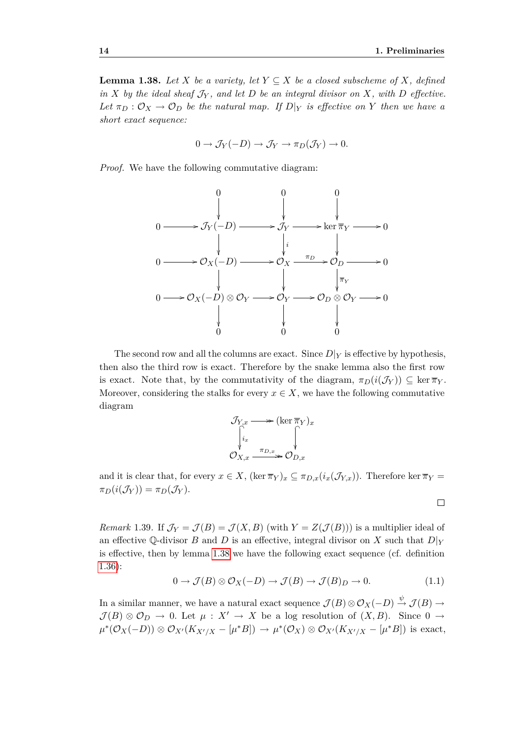<span id="page-23-0"></span>**Lemma 1.38.** *Let*  $X$  *be a variety, let*  $Y \subseteq X$  *be a closed subscheme of*  $X$ *, defined in*  $X$  *by the ideal sheaf*  $\mathcal{J}_Y$ *, and let*  $D$  *be an integral divisor on*  $X$ *, with*  $D$  *effective. Let*  $\pi_D : \mathcal{O}_X \to \mathcal{O}_D$  *be the natural map. If*  $D|_Y$  *is effective on Y then we have a short exact sequence:*

$$
0 \to \mathcal{J}_Y(-D) \to \mathcal{J}_Y \to \pi_D(\mathcal{J}_Y) \to 0.
$$

*Proof.* We have the following commutative diagram:



The second row and all the columns are exact. Since  $D|_Y$  is effective by hypothesis, then also the third row is exact. Therefore by the snake lemma also the first row is exact. Note that, by the commutativity of the diagram,  $\pi_D(i(\mathcal{J}_Y)) \subseteq \ker \overline{\pi}_Y$ . Moreover, considering the stalks for every  $x \in X$ , we have the following commutative diagram

$$
\mathcal{J}_{Y,x} \longrightarrow (\ker \overline{\pi}_Y)_x
$$
  

$$
\downarrow_{i_x}
$$
  

$$
\mathcal{O}_{X,x} \xrightarrow{\pi_{D,x}} \mathcal{O}_{D,x}
$$

and it is clear that, for every  $x \in X$ ,  $(\ker \overline{\pi}_Y)_x \subseteq \pi_{D,x}(\iota_x(\mathcal{J}_{Y,x}))$ . Therefore  $\ker \overline{\pi}_Y =$  $\pi_D(i(\mathcal{J}_Y)) = \pi_D(\mathcal{J}_Y).$ 

 $\Box$ 

<span id="page-23-1"></span>*Remark* 1.39. If  $\mathcal{J}_Y = \mathcal{J}(B) = \mathcal{J}(X, B)$  (with  $Y = Z(\mathcal{J}(B))$ ) is a multiplier ideal of an effective  $\mathbb{Q}$ -divisor *B* and *D* is an effective, integral divisor on *X* such that  $D|_Y$ is effective, then by lemma [1.38](#page-23-0) we have the following exact sequence (cf. definition [1.36\)](#page-22-1):

$$
0 \to \mathcal{J}(B) \otimes \mathcal{O}_X(-D) \to \mathcal{J}(B) \to \mathcal{J}(B)_D \to 0. \tag{1.1}
$$

In a similar manner, we have a natural exact sequence  $\mathcal{J}(B) \otimes \mathcal{O}_X(-D) \xrightarrow{\psi} \mathcal{J}(B) \to$  $\mathcal{J}(B) \otimes \mathcal{O}_D \rightarrow 0$ . Let  $\mu : X' \rightarrow X$  be a log resolution of  $(X, B)$ . Since  $0 \rightarrow$  $\mu^*(\mathcal{O}_X(-D))\otimes \mathcal{O}_{X'}(K_{X'/X}-[\mu^*B])\to \mu^*(\mathcal{O}_X)\otimes \mathcal{O}_{X'}(K_{X'/X}-[\mu^*B])$  is exact,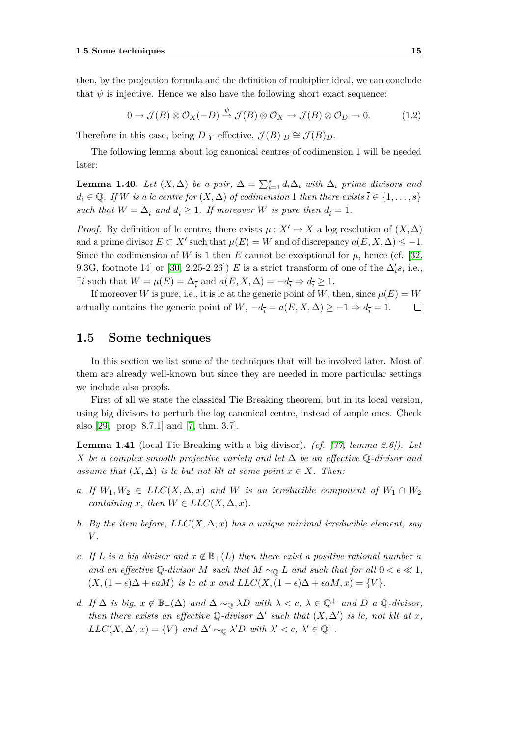then, by the projection formula and the definition of multiplier ideal, we can conclude that  $\psi$  is injective. Hence we also have the following short exact sequence:

$$
0 \to \mathcal{J}(B) \otimes \mathcal{O}_X(-D) \xrightarrow{\psi} \mathcal{J}(B) \otimes \mathcal{O}_X \to \mathcal{J}(B) \otimes \mathcal{O}_D \to 0. \tag{1.2}
$$

Therefore in this case, being  $D|_Y$  effective,  $\mathcal{J}(B)|_D \cong \mathcal{J}(B)_D$ .

The following lemma about log canonical centres of codimension 1 will be needed later:

<span id="page-24-4"></span>**Lemma 1.40.** *Let*  $(X, \Delta)$  *be a pair,*  $\Delta = \sum_{i=1}^{s} d_i \Delta_i$  *with*  $\Delta_i$  *prime divisors and*  $d_i \in \mathbb{Q}$ *. If W is a lc centre for*  $(X, \Delta)$  *of codimension* 1 *then there exists*  $\overline{i} \in \{1, \ldots, s\}$ *such that*  $W = \Delta_{\overline{i}}$  *and*  $d_{\overline{i}} \geq 1$ *. If moreover W is pure then*  $d_{\overline{i}} = 1$ *.* 

*Proof.* By definition of lc centre, there exists  $\mu: X' \to X$  a log resolution of  $(X, \Delta)$ and a prime divisor  $E \subset X'$  such that  $\mu(E) = W$  and of discrepancy  $a(E, X, \Delta) \leq -1$ . Since the codimension of *W* is 1 then *E* cannot be exceptional for  $\mu$ , hence (cf. [\[32,](#page-76-3) 9.3G, footnote 14] or  $[30, 2.25$  $[30, 2.25$ -2.26])  $E$  is a strict transform of one of the  $\Delta_i$ 's, i.e., *∃* $\overline{i}$  such that  $W = \mu(E) = \Delta_{\overline{i}}$  and  $a(E, X, \Delta) = -d_{\overline{i}} \Rightarrow d_{\overline{i}} \ge 1$ .

If moreover *W* is pure, i.e., it is lc at the generic point of *W*, then, since  $\mu(E) = W$ actually contains the generic point of *W*,  $-d_{\overline{i}} = a(E, X, \Delta) \geq -1 \Rightarrow d_{\overline{i}} = 1$ .  $\Box$ 

#### <span id="page-24-0"></span>**1.5 Some techniques**

In this section we list some of the techniques that will be involved later. Most of them are already well-known but since they are needed in more particular settings we include also proofs.

First of all we state the classical Tie Breaking theorem, but in its local version, using big divisors to perturb the log canonical centre, instead of ample ones. Check also [\[29,](#page-76-6) prop. 8.7.1] and [\[7,](#page-74-3) thm. 3.7].

<span id="page-24-5"></span>**Lemma 1.41** (local Tie Breaking with a big divisor)**.** *(cf. [\[37,](#page-76-1) lemma 2.6]). Let X be a complex smooth projective variety and let* ∆ *be an effective* Q*-divisor and assume that*  $(X, \Delta)$  *is lc but not klt at some point*  $x \in X$ *. Then:* 

- <span id="page-24-3"></span>*a. If*  $W_1, W_2 \in LLC(X, \Delta, x)$  *and W is an irreducible component of*  $W_1 \cap W_2$ *containing x, then*  $W \in LLC(X, \Delta, x)$ *.*
- <span id="page-24-6"></span>*b.* By the item before,  $LLC(X, \Delta, x)$  has a unique minimal irreducible element, say *V .*
- <span id="page-24-1"></span>*c.* If L is a big divisor and  $x \notin \mathbb{B}_+(L)$  then there exist a positive rational number a *and an effective* Q-divisor *M* such that  $M \sim_{\mathbb{Q}} L$  and such that for all  $0 < \epsilon \ll 1$ ,  $(X,(1-\epsilon)\Delta + \epsilon aM)$  *is lc at x and LLC* $(X,(1-\epsilon)\Delta + \epsilon aM,x) = \{V\}.$
- <span id="page-24-2"></span>*d. If*  $\Delta$  *is big,*  $x \notin \mathbb{B}_+(\Delta)$  *and*  $\Delta \sim_{\mathbb{O}} \lambda D$  *with*  $\lambda < c$ ,  $\lambda \in \mathbb{Q}^+$  *and*  $D$  *a*  $\mathbb{Q}$ *-divisor, then there exists an effective*  $\mathbb{Q}$ -divisor  $\Delta'$  such that  $(X, \Delta')$  is lc, not klt at x, *LLC*(*X*,  $\Delta'$ , *x*) = {*V*} *and*  $\Delta' \sim_{\mathbb{O}} \lambda' D$  *with*  $\lambda' < c$ ,  $\lambda' \in \mathbb{Q}^+$ .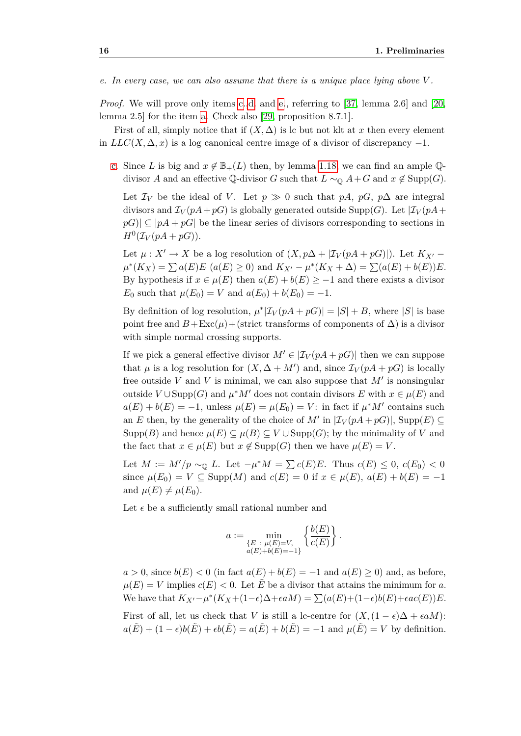<span id="page-25-0"></span>*e. In every case, we can also assume that there is a unique place lying above V .*

*Proof.* We will prove only items [c.](#page-24-1)[,d.](#page-24-2) and [e.](#page-25-0), referring to [\[37,](#page-76-1) lemma 2.6] and [\[20,](#page-75-0) lemma 2.5] for the item [a.](#page-24-3) Check also [\[29,](#page-76-6) proposition 8.7.1].

First of all, simply notice that if  $(X, \Delta)$  is lc but not klt at x then every element in  $LLC(X, \Delta, x)$  is a log canonical centre image of a divisor of discrepancy  $-1$ .

[c.](#page-24-1) Since *L* is big and  $x \notin \mathbb{B}_+(L)$  then, by lemma [1.18,](#page-17-0) we can find an ample Qdivisor *A* and an effective Q-divisor *G* such that  $L \sim_{\mathbb{Q}} A + G$  and  $x \notin \text{Supp}(G)$ .

Let  $\mathcal{I}_V$  be the ideal of *V*. Let  $p \gg 0$  such that  $pA$ ,  $pG$ ,  $p\Delta$  are integral divisors and  $\mathcal{I}_V(pA+pG)$  is globally generated outside Supp $(G)$ . Let  $|\mathcal{I}_V(pA +$  $pG$ <sup> $|| \subseteq |pA + pG|$ </sup> be the linear series of divisors corresponding to sections in  $H^0(\mathcal{I}_V(pA+pG)).$ 

Let  $\mu: X' \to X$  be a log resolution of  $(X, p\Delta + |\mathcal{I}_V(pA + pG)|)$ . Let  $K_{X'}$  $\mu^*(K_X) = \sum a(E)E\ (a(E) \ge 0)$  and  $K_{X'} - \mu^*(K_X + \Delta) = \sum (a(E) + b(E))E$ . By hypothesis if  $x \in \mu(E)$  then  $a(E) + b(E) \geq -1$  and there exists a divisor *E*<sub>0</sub> such that  $\mu(E_0) = V$  and  $a(E_0) + b(E_0) = -1$ .

By definition of log resolution,  $\mu^*|\mathcal{I}_V(pA + pG)| = |S| + B$ , where  $|S|$  is base point free and  $B + \text{Exc}(\mu) + (\text{strict transforms of components of } \Delta)$  is a divisor with simple normal crossing supports.

If we pick a general effective divisor  $M' \in |\mathcal{I}_V(pA + pG)|$  then we can suppose that  $\mu$  is a log resolution for  $(X, \Delta + M')$  and, since  $\mathcal{I}_V(pA + pG)$  is locally free outside  $V$  and  $V$  is minimal, we can also suppose that  $M'$  is nonsingular outside  $V \cup \text{Supp}(G)$  and  $\mu^* M'$  does not contain divisors  $E$  with  $x \in \mu(E)$  and  $a(E) + b(E) = -1$ , unless  $\mu(E) = \mu(E_0) = V$ : in fact if  $\mu^* M$ <sup>*t*</sup> contains such an *E* then, by the generality of the choice of  $M'$  in  $|\mathcal{I}_V(pA + pG)|$ , Supp $(E) \subseteq$ Supp(*B*) and hence  $\mu(E) \subseteq \mu(B) \subseteq V \cup \text{Supp}(G)$ ; by the minimality of *V* and the fact that  $x \in \mu(E)$  but  $x \notin \text{Supp}(G)$  then we have  $\mu(E) = V$ .

Let  $M := M'/p \sim_{\mathbb{Q}} L$ . Let  $-\mu^* M = \sum c(E)E$ . Thus  $c(E) \leq 0$ ,  $c(E_0) < 0$ since  $\mu(E_0) = V \subseteq \text{Supp}(M)$  and  $c(E) = 0$  if  $x \in \mu(E)$ ,  $a(E) + b(E) = -1$ and  $\mu(E) \neq \mu(E_0)$ .

Let  $\epsilon$  be a sufficiently small rational number and

$$
a := \min_{\substack{E \ : \ \mu(E) = V, \\ a(E) + b(E) = -1}} \left\{ \frac{b(E)}{c(E)} \right\}.
$$

 $a > 0$ , since  $b(E) < 0$  (in fact  $a(E) + b(E) = -1$  and  $a(E) > 0$ ) and, as before,  $\mu(E) = V$  implies  $c(E) < 0$ . Let  $\tilde{E}$  be a divisor that attains the minimum for *a*. We have that  $K_{X'} - \mu^*(K_X + (1 - \epsilon)\Delta + \epsilon aM) = \sum (a(E) + (1 - \epsilon)b(E) + \epsilon ac(E))E$ .

First of all, let us check that *V* is still a lc-centre for  $(X,(1-\epsilon)\Delta + \epsilon aM)$ :  $a(\tilde{E}) + (1 - \epsilon)b(\tilde{E}) + \epsilon b(\tilde{E}) = a(\tilde{E}) + b(\tilde{E}) = -1$  and  $\mu(\tilde{E}) = V$  by definition.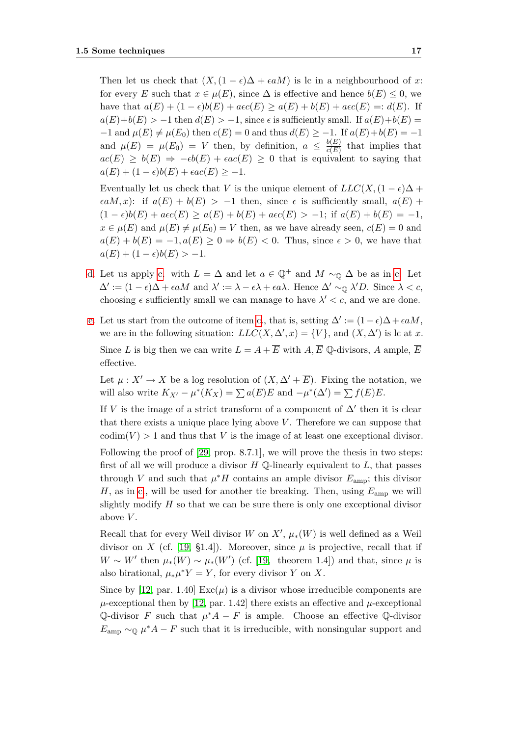Then let us check that  $(X, (1 - \epsilon)\Delta + \epsilon aM)$  is lc in a neighbourhood of *x*: for every *E* such that  $x \in \mu(E)$ , since  $\Delta$  is effective and hence  $b(E) \leq 0$ , we have that  $a(E) + (1 - \epsilon)b(E) + a\epsilon c(E) \ge a(E) + b(E) + a\epsilon c(E) =: d(E)$ . If  $a(E)+b(E) > -1$  then  $d(E) > -1$ , since  $\epsilon$  is sufficiently small. If  $a(E)+b(E) =$  $-1$  and  $\mu(E) \neq \mu(E_0)$  then  $c(E) = 0$  and thus  $d(E) \geq -1$ . If  $a(E) + b(E) = -1$ and  $\mu(E) = \mu(E_0) = V$  then, by definition,  $a \leq \frac{b(E)}{c(E)}$  $\frac{o(E)}{c(E)}$  that implies that  $ac(E) \geq b(E) \Rightarrow -\epsilon b(E) + \epsilon ac(E) \geq 0$  that is equivalent to saying that  $a(E) + (1 - \epsilon)b(E) + \epsilon ac(E) \geq -1.$ 

Eventually let us check that *V* is the unique element of  $LLC(X, (1 - \epsilon)\Delta +$  $\epsilon aM, x$ : if  $a(E) + b(E) > -1$  then, since  $\epsilon$  is sufficiently small,  $a(E)$  +  $(1 - \epsilon)b(E) + a\epsilon c(E) \ge a(E) + b(E) + a\epsilon c(E) > -1$ ; if  $a(E) + b(E) = -1$ ,  $x \in \mu(E)$  and  $\mu(E) \neq \mu(E_0) = V$  then, as we have already seen,  $c(E) = 0$  and  $a(E) + b(E) = -1, a(E) \geq 0 \Rightarrow b(E) < 0$ . Thus, since  $\epsilon > 0$ , we have that  $a(E) + (1 - \epsilon)b(E) > -1.$ 

- [d.](#page-24-2) Let us apply [c.](#page-24-1) with  $L = \Delta$  and let  $a \in \mathbb{Q}^+$  and  $M \sim_{\mathbb{Q}} \Delta$  be as in c. Let  $\Delta' := (1 - \epsilon)\Delta + \epsilon aM$  and  $\lambda' := \lambda - \epsilon \lambda + \epsilon a\lambda$ . Hence  $\Delta' \sim_{\mathbb{Q}} \lambda' D$ . Since  $\lambda < c$ , choosing  $\epsilon$  sufficiently small we can manage to have  $\lambda' < c$ , and we are done.
- [e.](#page-25-0) Let us start from the outcome of item [c.](#page-24-1), that is, setting  $\Delta' := (1 \epsilon)\Delta + \epsilon aM$ , we are in the following situation:  $LLC(X, \Delta', x) = \{V\}$ , and  $(X, \Delta')$  is lc at *x*. Since *L* is big then we can write  $L = A + \overline{E}$  with  $A, \overline{E}$   $\mathbb{O}$ -divisors, *A* ample,  $\overline{E}$ effective.

Let  $\mu: X' \to X$  be a log resolution of  $(X, \Delta' + \overline{E})$ . Fixing the notation, we will also write  $K_{X'} - \mu^*(K_X) = \sum a(E)E$  and  $-\mu^*(\Delta') = \sum f(E)E$ .

If *V* is the image of a strict transform of a component of  $\Delta'$  then it is clear that there exists a unique place lying above  $V$ . Therefore we can suppose that  $\text{codim}(V) > 1$  and thus that *V* is the image of at least one exceptional divisor.

Following the proof of [\[29,](#page-76-6) prop. 8.7.1], we will prove the thesis in two steps: first of all we will produce a divisor *H* Q-linearly equivalent to *L*, that passes through *V* and such that  $\mu^* H$  contains an ample divisor  $E_{\text{amp}}$ ; this divisor  $H$ , as in [c.](#page-24-1), will be used for another tie breaking. Then, using  $E_{\text{amp}}$  we will slightly modify *H* so that we can be sure there is only one exceptional divisor above *V* .

Recall that for every Weil divisor *W* on  $X'$ ,  $\mu_*(W)$  is well defined as a Weil divisor on *X* (cf. [\[19,](#page-75-6) §1.4]). Moreover, since  $\mu$  is projective, recall that if  $W \sim W'$  then  $\mu_*(W) \sim \mu_*(W')$  (cf. [\[19,](#page-75-6) theorem 1.4]) and that, since  $\mu$  is also birational,  $\mu_* \mu^* Y = Y$ , for every divisor *Y* on *X*.

Since by [\[12,](#page-75-5) par. 1.40]  $\text{Exc}(\mu)$  is a divisor whose irreducible components are  $\mu$ -exceptional then by [\[12,](#page-75-5) par. 1.42] there exists an effective and  $\mu$ -exceptional Q-divisor *F* such that  $\mu^*A - F$  is ample. Choose an effective Q-divisor  $E_{\text{amp}} \sim_{\mathbb{Q}} \mu^* A - F$  such that it is irreducible, with nonsingular support and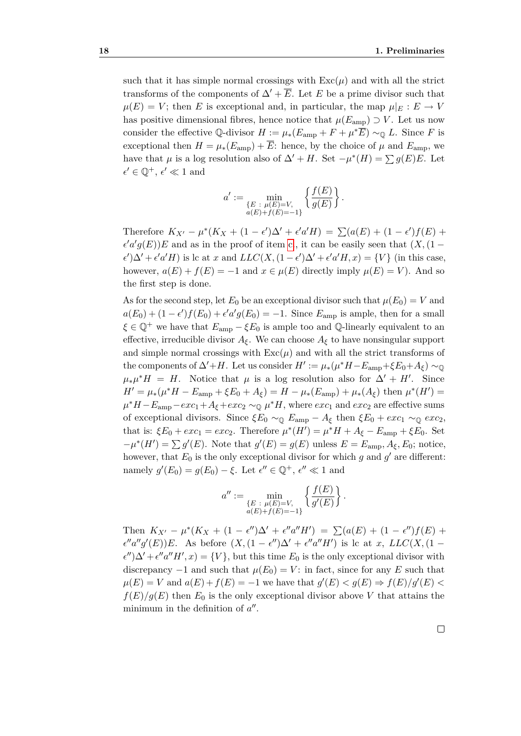such that it has simple normal crossings with  $\text{Exc}(\mu)$  and with all the strict transforms of the components of  $\Delta' + \overline{E}$ . Let *E* be a prime divisor such that  $\mu(E) = V$ ; then *E* is exceptional and, in particular, the map  $\mu|_E : E \to V$ has positive dimensional fibres, hence notice that  $\mu(E_{\text{amp}}) \supset V$ . Let us now consider the effective  $\mathbb{Q}$ -divisor  $H := \mu_*(E_{\text{amp}} + F + \mu^* \overline{E}) \sim_{\mathbb{Q}} L$ . Since *F* is exceptional then  $H = \mu_*(E_{\text{amp}}) + \overline{E}$ : hence, by the choice of  $\mu$  and  $E_{\text{amp}}$ , we have that  $\mu$  is a log resolution also of  $\Delta' + H$ . Set  $-\mu^*(H) = \sum g(E)E$ . Let  $\epsilon' \in \mathbb{Q}^+, \, \epsilon' \ll 1$  and

$$
a' := \min_{\substack{E \ : \ \mu(E) = V, \\ a(E) + f(E) = -1}} \left\{ \frac{f(E)}{g(E)} \right\}.
$$

Therefore  $K_{X'} - \mu^*(K_X + (1 - \epsilon')\Delta' + \epsilon' a'H) = \sum (a(E) + (1 - \epsilon')f(E) +$  $e^{\prime}a^{\prime}g(E)$ )*E* and as in the proof of item [c.](#page-24-1), it can be easily seen that  $(X,(1 \epsilon'$ ) $\Delta'$  +  $\epsilon'$ *a'H*) is lc at *x* and *LLC*(*X*, (1 -  $\epsilon'$ ) $\Delta'$  +  $\epsilon'$ *a'H*, *x*) = {*V*} (in this case, however,  $a(E) + f(E) = -1$  and  $x \in \mu(E)$  directly imply  $\mu(E) = V$ ). And so the first step is done.

As for the second step, let  $E_0$  be an exceptional divisor such that  $\mu(E_0) = V$  and  $a(E_0) + (1 - \epsilon')f(E_0) + \epsilon' a'g(E_0) = -1$ . Since  $E_{\text{amp}}$  is ample, then for a small  $\xi \in \mathbb{Q}^+$  we have that  $E_{\text{amp}} - \xi E_0$  is ample too and  $\mathbb{Q}$ -linearly equivalent to an effective, irreducible divisor  $A_{\xi}$ . We can choose  $A_{\xi}$  to have nonsingular support and simple normal crossings with  $\text{Exc}(\mu)$  and with all the strict transforms of the components of  $\Delta' + H$ . Let us consider  $H' := \mu_*(\mu^*H - E_{\text{amp}} + \xi E_0 + A_{\xi}) \sim_{\mathbb{Q}}$  $\mu_* \mu^* H = H$ . Notice that  $\mu$  is a log resolution also for  $\Delta' + H'$ . Since  $H' = \mu_*(\mu^*H - E_{\text{amp}} + \xi E_0 + A_{\xi}) = H - \mu_*(E_{\text{amp}}) + \mu_*(A_{\xi})$  then  $\mu^*(H') =$  $\mu^* H - E_{\text{amp}} - e \kappa c_1 + A_{\xi} + e \kappa c_2 \sim_{\mathbb{Q}} \mu^* H$ , where  $e \kappa c_1$  and  $e \kappa c_2$  are effective sums of exceptional divisors. Since  $\xi E_0 \sim_{\mathbb{Q}} E_{\text{amp}} - A_{\xi}$  then  $\xi E_0 + \epsilon x c_1 \sim_{\mathbb{Q}} \epsilon x c_2$ , that is:  $\xi E_0 + e x c_1 = e x c_2$ . Therefore  $\mu^*(H') = \mu^* H + A_{\xi} - E_{\text{amp}} + \xi E_0$ . Set  $-\mu^*(H') = \sum g'(E)$ . Note that  $g'(E) = g(E)$  unless  $E = E_{\text{amp}}$ ,  $A_{\xi}$ ,  $E_0$ ; notice, however, that  $E_0$  is the only exceptional divisor for which  $g$  and  $g'$  are different: namely  $g'(E_0) = g(E_0) - \xi$ . Let  $\epsilon'' \in \mathbb{Q}^+, \epsilon'' \ll 1$  and

$$
a'':=\min_{\substack{E \ : \ \mu(E)=V, \\ a(E)+f(E)=-1}} \left\{ \frac{f(E)}{g'(E)} \right\}.
$$

Then  $K_{X'} - \mu^*(K_X + (1 - \epsilon'')\Delta' + \epsilon''a''H') = \sum (a(E) + (1 - \epsilon'')f(E) +$  $e''a''g'(E)$ )*E*. As before  $(X,(1-e'')\Delta' + e''a''H')$  is lc at *x*, *LLC*(*X*, (1 −  $\epsilon''$ ) $\Delta' + \epsilon'' a'' H', x$  = {*V*}, but this time *E*<sub>0</sub> is the only exceptional divisor with discrepancy  $-1$  and such that  $\mu(E_0) = V$ : in fact, since for any *E* such that  $\mu(E) = V$  and  $a(E) + f(E) = -1$  we have that  $g'(E) < g(E) \Rightarrow f(E)/g'(E)$  $f(E)/g(E)$  then  $E_0$  is the only exceptional divisor above *V* that attains the minimum in the definition of  $a''$ .

 $\Box$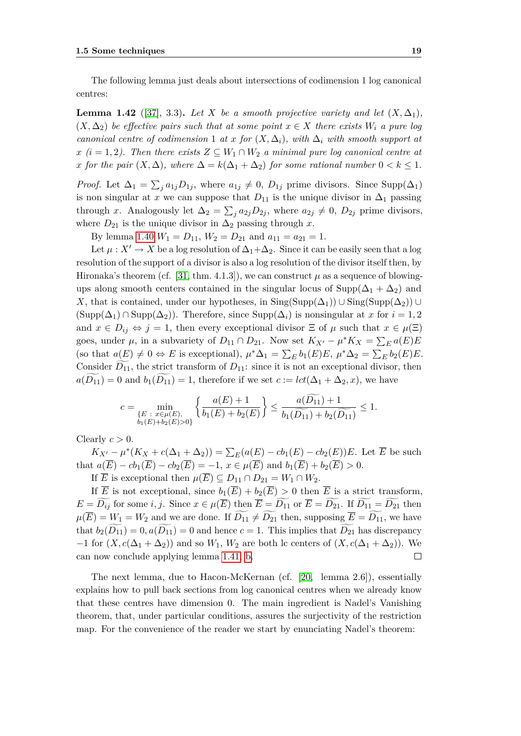The following lemma just deals about intersections of codimension 1 log canonical centres:

**Lemma 1.42** ([\[37\]](#page-76-1), 3.3). Let *X* be a smooth projective variety and let  $(X, \Delta_1)$ ,  $(X, \Delta_2)$  *be effective pairs such that at some point*  $x \in X$  *there exists*  $W_i$  *a pure log canonical centre of codimension* 1 *at x for*  $(X, \Delta_i)$ *, with*  $\Delta_i$  *with smooth support at*  $x (i = 1, 2)$ . Then there exists  $Z \subseteq W_1 \cap W_2$  *a minimal pure log canonical centre at x for the pair*  $(X, \Delta)$ *, where*  $\Delta = k(\Delta_1 + \Delta_2)$  *for some rational number*  $0 < k \leq 1$ *.* 

*Proof.* Let  $\Delta_1 = \sum_j a_{1j} D_{1j}$ , where  $a_{1j} \neq 0$ ,  $D_{1j}$  prime divisors. Since Supp( $\Delta_1$ ) is non singular at *x* we can suppose that  $D_{11}$  is the unique divisor in  $\Delta_1$  passing through *x*. Analogously let  $\Delta_2 = \sum_j a_{2j} D_{2j}$ , where  $a_{2j} \neq 0$ ,  $D_{2j}$  prime divisors, where  $D_{21}$  is the unique divisor in  $\Delta_2$  passing through *x*.

By lemma [1.40](#page-24-4)  $W_1 = D_{11}$ ,  $W_2 = D_{21}$  and  $a_{11} = a_{21} = 1$ .

Let  $\mu: X' \to X$  be a log resolution of  $\Delta_1 + \Delta_2$ . Since it can be easily seen that a log resolution of the support of a divisor is also a log resolution of the divisor itself then, by Hironaka's theorem (cf. [\[31,](#page-76-2) thm. 4.1.3]), we can construct  $\mu$  as a sequence of blowingups along smooth centers contained in the singular locus of Supp( $\Delta_1 + \Delta_2$ ) and *X*, that is contained, under our hypotheses, in  $\text{Sing}(\text{Supp}(\Delta_1)) \cup \text{Sing}(\text{Supp}(\Delta_2)) \cup$  $(\text{Supp}(\Delta_1) \cap \text{Supp}(\Delta_2))$ . Therefore, since  $\text{Supp}(\Delta_i)$  is nonsingular at *x* for  $i = 1, 2$ and  $x \in D_i$   $\Rightarrow$   $j = 1$ , then every exceptional divisor  $\Xi$  of  $\mu$  such that  $x \in \mu(\Xi)$ goes, under  $\mu$ , in a subvariety of  $D_{11} \cap D_{21}$ . Now set  $K_{X'} - \mu^* K_X = \sum_E a(E)E$ (so that  $a(E) \neq 0 \Leftrightarrow E$  is exceptional),  $\mu^* \Delta_1 = \sum_E b_1(E)E$ ,  $\mu^* \Delta_2 = \sum_E b_2(E)E$ . Consider  $D_{11}$ , the strict transform of  $D_{11}$ : since it is not an exceptional divisor, then  $a(D_{11}) = 0$  and  $b_1(D_{11}) = 1$ , therefore if we set  $c := \text{lct}(\Delta_1 + \Delta_2, x)$ , we have

$$
c=\min_{\substack{\{E\;:\;x\in\mu(E),\\\;b_1(E)+b_2(E)>0\}}}\left\{\frac{a(E)+1}{b_1(E)+b_2(E)}\right\}\leq\frac{a(D_{11})+1}{b_1(\widetilde{D_{11}})+b_2(\widetilde{D_{11}})}\leq 1.
$$

Clearly  $c > 0$ .

 $K_{X'} - \mu^*(K_X + c(\Delta_1 + \Delta_2)) = \sum_E(a(E) - cb_1(E) - cb_2(E))E$ . Let  $\overline{E}$  be such that  $a(\overline{E}) - cb_1(\overline{E}) - cb_2(\overline{E}) = -1, x \in \mu(\overline{E})$  and  $b_1(\overline{E}) + b_2(\overline{E}) > 0$ .

If  $\overline{E}$  is exceptional then  $\mu(\overline{E}) \subseteq D_{11} \cap D_{21} = W_1 \cap W_2$ .

If  $\overline{E}$  is not exceptional, since  $b_1(\overline{E}) + b_2(\overline{E}) > 0$  then  $\overline{E}$  is a strict transform,  $E = \widetilde{D_{ij}}$  for some *i, j.* Since  $x \in \mu(\overline{E})$  then  $\overline{E} = \widetilde{D_{11}}$  or  $\overline{E} = \widetilde{D_{21}}$ . If  $\widetilde{D_{11}} = \widetilde{D_{21}}$  then  $\mu(\overline{E}) = W_1 = W_2$  and we are done. If  $\widetilde{D}_{11} \neq \widetilde{D}_{21}$  then, supposing  $\overline{E} = \widetilde{D}_{11}$ , we have that  $b_2(D_{11}) = 0$ ,  $a(D_{11}) = 0$  and hence  $c = 1$ . This implies that  $D_{21}$  has discrepancy *−*1 for  $(X, c(\Delta_1 + \Delta_2))$  and so  $W_1, W_2$  are both lc centers of  $(X, c(\Delta_1 + \Delta_2))$ . We can now conclude applying lemma [1.41,](#page-24-5) [b.](#page-24-6)  $\Box$ 

<span id="page-28-0"></span>The next lemma, due to Hacon-McKernan (cf. [\[20,](#page-75-0) lemma 2.6]), essentially explains how to pull back sections from log canonical centres when we already know that these centres have dimension 0. The main ingredient is Nadel's Vanishing theorem, that, under particular conditions, assures the surjectivity of the restriction map. For the convenience of the reader we start by enunciating Nadel's theorem: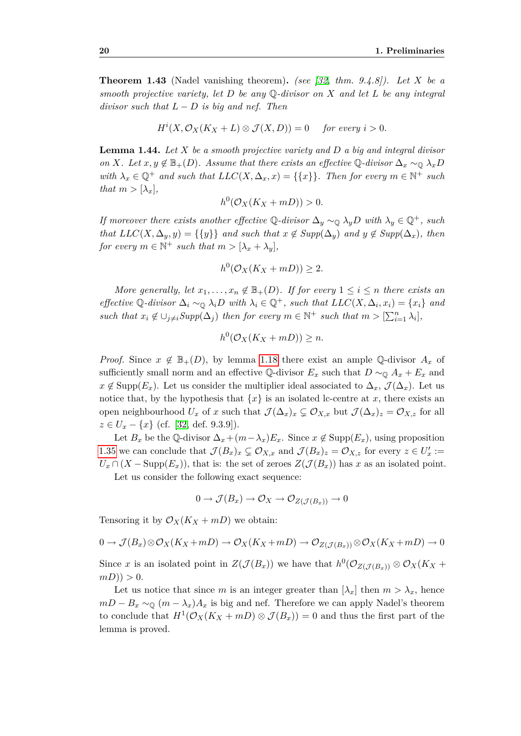**Theorem 1.43** (Nadel vanishing theorem)**.** *(see [\[32,](#page-76-3) thm. 9.4.8]). Let X be a smooth projective variety, let D be any* Q*-divisor on X and let L be any integral divisor such that*  $L - D$  *is big and nef. Then* 

$$
H^i(X, \mathcal{O}_X(K_X + L) \otimes \mathcal{J}(X, D)) = 0 \quad \text{ for every } i > 0.
$$

**Lemma 1.44.** *Let X be a smooth projective variety and D a big and integral divisor on X.* Let  $x, y \notin \mathbb{B}_+(D)$ *. Assume that there exists an effective*  $\mathbb{Q}$ *-divisor*  $\Delta_x \sim_{\mathbb{Q}} \lambda_x D$ *with*  $\lambda_x \in \mathbb{Q}^+$  *and such that*  $LLC(X, \Delta_x, x) = \{\{x\}\}\$ . Then for every  $m \in \mathbb{N}^+$  such *that*  $m > [\lambda_x]$ ,

$$
h^0(\mathcal{O}_X(K_X + mD)) > 0.
$$

*If moreover there exists another effective*  $\mathbb{Q}$ -divisor  $\Delta_y \sim_{\mathbb{Q}} \lambda_y D$  with  $\lambda_y \in \mathbb{Q}^+$ , such *that*  $LLC(X, \Delta_y, y) = \{\{y\}\}\$ and such that  $x \notin Supp(\Delta_y)$  and  $y \notin Supp(\Delta_x)$ , then *for every*  $m \in \mathbb{N}^+$  *such that*  $m > [\lambda_x + \lambda_y]$ ,

$$
h^0(\mathcal{O}_X(K_X + mD)) \ge 2.
$$

*More generally, let*  $x_1, \ldots, x_n \notin \mathbb{B}_+(D)$ *. If for every*  $1 \leq i \leq n$  *there exists an* effective Q-divisor  $\Delta_i \sim_{\mathbb{Q}} \lambda_i D$  with  $\lambda_i \in \mathbb{Q}^+$ , such that  $LLC(X, \Delta_i, x_i) = \{x_i\}$  and *such that*  $x_i \notin \bigcup_{j \neq i} \text{Supp}(\Delta_j)$  *then for every*  $m \in \mathbb{N}^+$  *such that*  $m > [\sum_{i=1}^n \lambda_i]$ *,* 

$$
h^0(\mathcal{O}_X(K_X + mD)) \ge n.
$$

*Proof.* Since  $x \notin \mathbb{B}_+(D)$ , by lemma [1.18](#page-17-0) there exist an ample Q-divisor  $A_x$  of sufficiently small norm and an effective Q-divisor  $E_x$  such that  $D \sim_{\mathbb{Q}} A_x + E_x$  and  $x \notin \text{Supp}(E_x)$ . Let us consider the multiplier ideal associated to  $\Delta_x, \mathcal{J}(\Delta_x)$ . Let us notice that, by the hypothesis that  ${x}$  is an isolated lc-centre at *x*, there exists an open neighbourhood  $U_x$  of *x* such that  $\mathcal{J}(\Delta_x)_x \subsetneq \mathcal{O}_{X,x}$  but  $\mathcal{J}(\Delta_x)_z = \mathcal{O}_{X,z}$  for all *z ∈ U<sup>x</sup> − {x}* (cf. [\[32,](#page-76-3) def. 9.3.9]).

Let  $B_x$  be the Q-divisor  $\Delta_x + (m - \lambda_x)E_x$ . Since  $x \notin \text{Supp}(E_x)$ , using proposition [1.35](#page-22-0) we can conclude that  $\mathcal{J}(B_x)_x \subsetneq \mathcal{O}_{X,x}$  and  $\mathcal{J}(B_x)_z = \mathcal{O}_{X,z}$  for every  $z \in U'_x :=$  $U_x \cap (X - \text{Supp}(E_x))$ , that is: the set of zeroes  $Z(\mathcal{J}(B_x))$  has *x* as an isolated point.

Let us consider the following exact sequence:

$$
0 \to \mathcal{J}(B_x) \to \mathcal{O}_X \to \mathcal{O}_{Z(\mathcal{J}(B_x))} \to 0
$$

Tensoring it by  $\mathcal{O}_X(K_X + mD)$  we obtain:

$$
0 \to \mathcal{J}(B_x) \otimes \mathcal{O}_X(K_X + mD) \to \mathcal{O}_X(K_X + mD) \to \mathcal{O}_{Z(\mathcal{J}(B_x))} \otimes \mathcal{O}_X(K_X + mD) \to 0
$$

Since *x* is an isolated point in  $Z(\mathcal{J}(B_x))$  we have that  $h^0(\mathcal{O}_{Z(\mathcal{J}(B_x))} \otimes \mathcal{O}_X(K_X +$  $m(D)$ ) > 0.

Let us notice that since *m* is an integer greater than  $[\lambda_x]$  then  $m > \lambda_x$ , hence  $mD - B_x \sim_{\mathbb{Q}} (m - \lambda_x) A_x$  is big and nef. Therefore we can apply Nadel's theorem to conclude that  $H^1(\mathcal{O}_X(K_X + mD) \otimes \mathcal{J}(B_x)) = 0$  and thus the first part of the lemma is proved.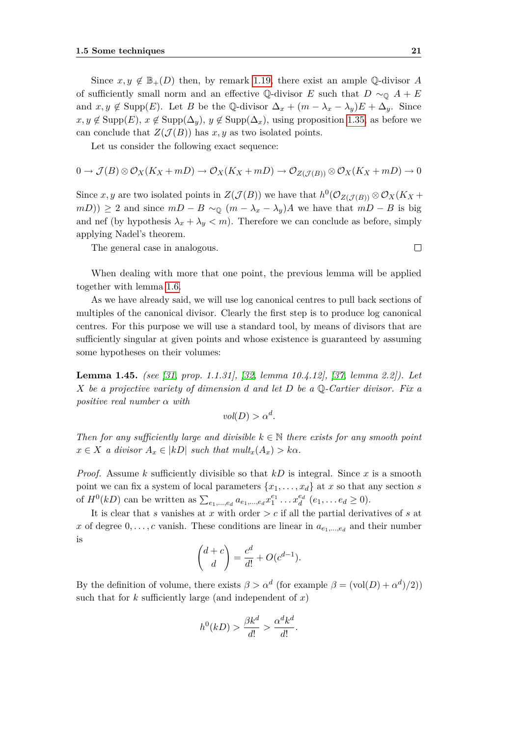Since  $x, y \notin \mathbb{B}_+(D)$  then, by remark [1.19,](#page-17-2) there exist an ample Q-divisor *A* of sufficiently small norm and an effective Q-divisor *E* such that  $D \sim_{\mathbb{Q}} A + E$ and  $x, y \notin \text{Supp}(E)$ . Let *B* be the Q-divisor  $\Delta_x + (m - \lambda_x - \lambda_y)E + \Delta_y$ . Since *x, y* ∉ Supp(*E*), *x* ∉ Supp( $\Delta_y$ ), *y* ∉ Supp( $\Delta_x$ ), using proposition [1.35,](#page-22-0) as before we can conclude that  $Z(\mathcal{J}(B))$  has  $x, y$  as two isolated points.

Let us consider the following exact sequence:

$$
0 \to \mathcal{J}(B) \otimes \mathcal{O}_X(K_X + mD) \to \mathcal{O}_X(K_X + mD) \to \mathcal{O}_{Z(\mathcal{J}(B))} \otimes \mathcal{O}_X(K_X + mD) \to 0
$$

Since *x*, *y* are two isolated points in  $Z(\mathcal{J}(B))$  we have that  $h^0(\mathcal{O}_{Z(\mathcal{J}(B))} \otimes \mathcal{O}_X(K_X +$ *mD*)) *≥* 2 and since  $mD - B \sim_{\mathbb{Q}} (m - \lambda_x - \lambda_y)A$  we have that  $mD - B$  is big and nef (by hypothesis  $\lambda_x + \lambda_y \leq m$ ). Therefore we can conclude as before, simply applying Nadel's theorem.

The general case in analogous.

When dealing with more that one point, the previous lemma will be applied together with lemma [1.6.](#page-13-0)

As we have already said, we will use log canonical centres to pull back sections of multiples of the canonical divisor. Clearly the first step is to produce log canonical centres. For this purpose we will use a standard tool, by means of divisors that are sufficiently singular at given points and whose existence is guaranteed by assuming some hypotheses on their volumes:

<span id="page-30-0"></span>**Lemma 1.45.** *(see [\[31,](#page-76-2) prop. 1.1.31], [\[32,](#page-76-3) lemma 10.4.12], [\[37,](#page-76-1) lemma 2.2]). Let X be a projective variety of dimension d and let D be a* Q*-Cartier divisor. Fix a positive real number α with*

$$
vol(D) > \alpha^d.
$$

*Then for any sufficiently large and divisible*  $k \in \mathbb{N}$  *there exists for any smooth point*  $x \in X$  *a divisor*  $A_x \in |kD|$  *such that mult<sub>x</sub></sub>* $(A_x) > k\alpha$ .

*Proof.* Assume *k* sufficiently divisible so that *kD* is integral. Since *x* is a smooth point we can fix a system of local parameters  $\{x_1, \ldots, x_d\}$  at *x* so that any section *s* of  $H^0(kD)$  can be written as  $\sum_{e_1,\dots,e_d} a_{e_1,\dots,e_d} x_1^{e_1} \dots x_d^{e_d}$   $(e_1,\dots e_d \ge 0)$ .

It is clear that *s* vanishes at *x* with order *> c* if all the partial derivatives of *s* at *x* of degree  $0, \ldots, c$  vanish. These conditions are linear in  $a_{e_1,\ldots,e_d}$  and their number is

$$
\binom{d+c}{d} = \frac{c^d}{d!} + O(c^{d-1}).
$$

By the definition of volume, there exists  $\beta > \alpha^d$  (for example  $\beta = (\text{vol}(D) + \alpha^d)/2)$ ) such that for  $k$  sufficiently large (and independent of  $x$ )

$$
h^0(kD) > \frac{\beta k^d}{d!} > \frac{\alpha^d k^d}{d!}.
$$

 $\Box$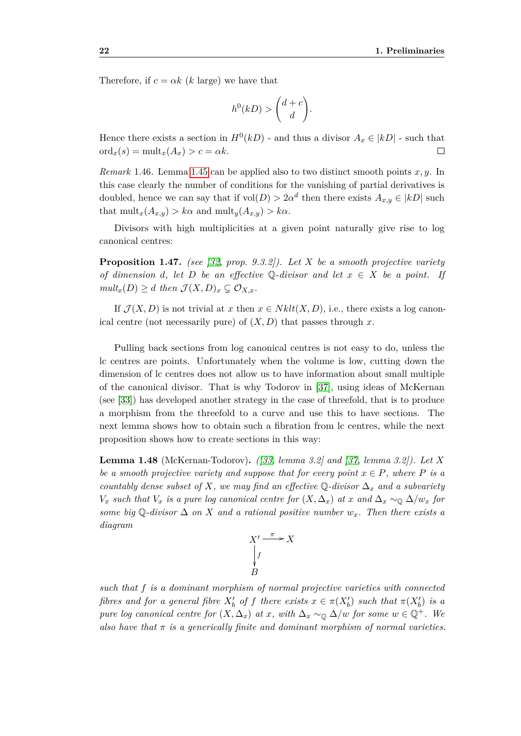Therefore, if  $c = \alpha k$  (*k* large) we have that

$$
h^0(kD) > \binom{d+c}{d}.
$$

Hence there exists a section in  $H^0(kD)$  - and thus a divisor  $A_x \in |kD|$  - such that  $\mathrm{ord}_x(s) = \mathrm{mult}_x(A_x) > c = \alpha k.$  $\Box$ 

*Remark* 1.46*.* Lemma [1.45](#page-30-0) can be applied also to two distinct smooth points *x, y*. In this case clearly the number of conditions for the vanishing of partial derivatives is doubled, hence we can say that if  $vol(D) > 2\alpha^d$  then there exists  $A_{x,y} \in |kD|$  such that  $\text{mult}_x(A_{x,y}) > k\alpha$  and  $\text{mult}_y(A_{x,y}) > k\alpha$ .

Divisors with high multiplicities at a given point naturally give rise to log canonical centres:

**Proposition 1.47.** *(see [\[32,](#page-76-3) prop. 9.3.2]). Let X be a smooth projective variety of dimension d, let D be an effective*  $\mathbb{Q}$ *-divisor and let*  $x \in X$  *be a point. If*  $mult_x(D) \geq d$  *then*  $\mathcal{J}(X, D)_x \subsetneq \mathcal{O}_{X,x}$ *.* 

If  $\mathcal{J}(X, D)$  is not trivial at *x* then  $x \in Nklt(X, D)$ , i.e., there exists a log canonical centre (not necessarily pure) of  $(X, D)$  that passes through x.

Pulling back sections from log canonical centres is not easy to do, unless the lc centres are points. Unfortunately when the volume is low, cutting down the dimension of lc centres does not allow us to have information about small multiple of the canonical divisor. That is why Todorov in [\[37\]](#page-76-1), using ideas of McKernan (see [\[33\]](#page-76-9)) has developed another strategy in the case of threefold, that is to produce a morphism from the threefold to a curve and use this to have sections. The next lemma shows how to obtain such a fibration from lc centres, while the next proposition shows how to create sections in this way:

**Lemma 1.48** (McKernan-Todorov)**.** *([\[33,](#page-76-9) lemma 3.2] and [\[37,](#page-76-1) lemma 3.2]). Let X be a smooth projective variety and suppose that for every point*  $x \in P$ *, where*  $P$  *is a countably dense subset of*  $X$ *, we may find an effective*  $\mathbb{Q}$ -divisor  $\Delta_x$  *and a subvariety V<sub>x</sub> such that V<sub>x</sub> is a pure log canonical centre for*  $(X, \Delta_x)$  *at x and*  $\Delta_x \sim_{\mathbb{Q}} \Delta/w_x$  *for some big* Q-divisor  $\Delta$  *on*  $X$  *and a rational positive number*  $w_x$ *. Then there exists a diagram*



<span id="page-31-0"></span>*such that f is a dominant morphism of normal projective varieties with connected fibres and for a general fibre*  $X'_{b}$  *of f there exists*  $x \in \pi(X'_{b})$  *such that*  $\pi(X'_{b})$  *is a pure log canonical centre for*  $(X, \Delta_x)$  *at x, with*  $\Delta_x \sim_0 \Delta/w$  *for some*  $w \in \mathbb{Q}^+$ *. We also have that*  $\pi$  *is a generically finite and dominant morphism of normal varieties.*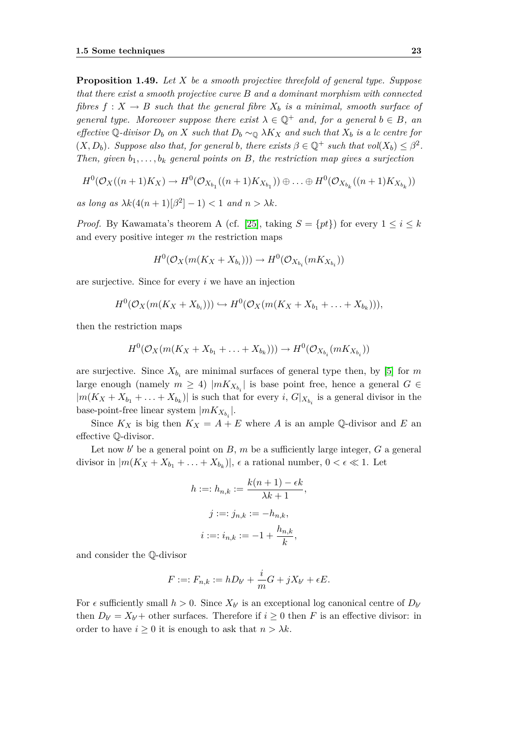**Proposition 1.49.** *Let X be a smooth projective threefold of general type. Suppose that there exist a smooth projective curve B and a dominant morphism with connected fibres*  $f: X \to B$  *such that the general fibre*  $X_b$  *is a minimal, smooth surface of general type. Moreover suppose there exist*  $\lambda \in \mathbb{Q}^+$  *and, for a general*  $b \in B$ *, an effective* Q-divisor  $D_b$  *on*  $X$  *such that*  $D_b \sim_{\mathbb{Q}} \lambda K_X$  *and such that*  $X_b$  *is a lc centre for*  $(X, D_b)$ *. Suppose also that, for general b, there exists*  $\beta \in \mathbb{Q}^+$  *such that*  $vol(X_b) \leq \beta^2$ *. Then, given*  $b_1, \ldots, b_k$  *general points on B, the restriction map gives a surjection* 

$$
H^{0}(\mathcal{O}_{X}((n+1)K_{X}) \to H^{0}(\mathcal{O}_{X_{b_1}}((n+1)K_{X_{b_1}})) \oplus \ldots \oplus H^{0}(\mathcal{O}_{X_{b_k}}((n+1)K_{X_{b_k}}))
$$

*as long as*  $\lambda k(4(n+1)|\beta^2|-1) < 1$  *and*  $n > \lambda k$ *.* 

*Proof.* By Kawamata's theorem A (cf. [\[25\]](#page-75-7), taking  $S = \{pt\}$ ) for every  $1 \leq i \leq k$ and every positive integer *m* the restriction maps

$$
H^0(\mathcal{O}_X(m(K_X+X_{b_i}))) \to H^0(\mathcal{O}_{X_{b_i}}(mK_{X_{b_i}}))
$$

are surjective. Since for every *i* we have an injection

$$
H^0(\mathcal{O}_X(m(K_X+X_{b_i})))\hookrightarrow H^0(\mathcal{O}_X(m(K_X+X_{b_1}+\ldots+X_{b_k}))),
$$

then the restriction maps

$$
H^{0}(\mathcal{O}_{X}(m(K_{X}+X_{b_{1}}+\ldots+X_{b_{k}})))\rightarrow H^{0}(\mathcal{O}_{X_{b_{i}}}(mK_{X_{b_{i}}}))
$$

are surjective. Since  $X_{b_i}$  are minimal surfaces of general type then, by [\[5\]](#page-74-0) for  $m$ large enough (namely  $m \geq 4$ )  $|mK_{X_{b_i}}|$  is base point free, hence a general  $G \in$  $|m(K_X + X_{b_1} + \ldots + X_{b_k})|$  is such that for every *i*,  $G|_{X_{b_i}}$  is a general divisor in the base-point-free linear system  $|mK_{X_{b_i}}|$ .

Since  $K_X$  is big then  $K_X = A + E$  where *A* is an ample Q-divisor and *E* and effective Q-divisor.

Let now  $b'$  be a general point on  $B$ ,  $m$  be a sufficiently large integer,  $G$  a general divisor in  $|m(K_X + X_{b_1} + \ldots + X_{b_k})|$ ,  $\epsilon$  a rational number,  $0 < \epsilon \ll 1$ . Let

$$
h :=: h_{n,k} := \frac{k(n+1) - \epsilon k}{\lambda k + 1},
$$
  

$$
j :=: j_{n,k} := -h_{n,k},
$$
  

$$
i :=: i_{n,k} := -1 + \frac{h_{n,k}}{k},
$$

and consider the Q-divisor

$$
F := F_{n,k} := hD_{b'} + \frac{i}{m}G + jX_{b'} + \epsilon E.
$$

For  $\epsilon$  sufficiently small  $h > 0$ . Since  $X_{b'}$  is an exceptional log canonical centre of  $D_{b'}$ then  $D_{b'} = X_{b'} +$  other surfaces. Therefore if  $i \geq 0$  then *F* is an effective divisor: in order to have  $i \geq 0$  it is enough to ask that  $n > \lambda k$ .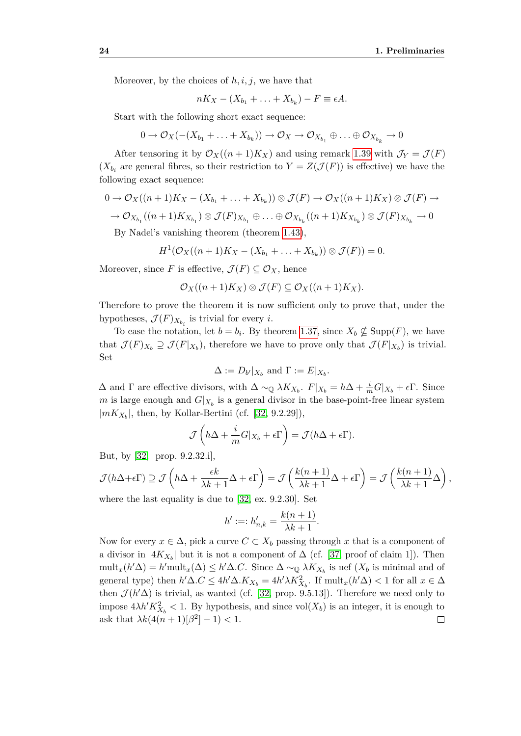Moreover, by the choices of  $h, i, j$ , we have that

$$
nK_X-(X_{b_1}+\ldots+X_{b_k})-F\equiv \epsilon A.
$$

Start with the following short exact sequence:

$$
0 \to \mathcal{O}_X(-(X_{b_1} + \ldots + X_{b_k})) \to \mathcal{O}_X \to \mathcal{O}_{X_{b_1}} \oplus \ldots \oplus \mathcal{O}_{X_{b_k}} \to 0
$$

After tensoring it by  $\mathcal{O}_X((n+1)K_X)$  and using remark [1.39](#page-23-1) with  $\mathcal{J}_Y = \mathcal{J}(F)$  $(X_{b_i}$  are general fibres, so their restriction to  $Y = Z(\mathcal{J}(F))$  is effective) we have the following exact sequence:

$$
0 \to \mathcal{O}_X((n+1)K_X - (X_{b_1} + \dots + X_{b_k})) \otimes \mathcal{J}(F) \to \mathcal{O}_X((n+1)K_X) \otimes \mathcal{J}(F) \to
$$
  

$$
\to \mathcal{O}_{X_{b_1}}((n+1)K_{X_{b_1}}) \otimes \mathcal{J}(F)_{X_{b_1}} \oplus \dots \oplus \mathcal{O}_{X_{b_k}}((n+1)K_{X_{b_k}}) \otimes \mathcal{J}(F)_{X_{b_k}} \to 0
$$
  
By Nodel's vanishing theorem (theorem 1.43)

By Nadel's vanishing theorem (theorem [1.43\)](#page-28-0),

$$
H^1(\mathcal{O}_X((n+1)K_X-(X_{b_1}+\ldots+X_{b_k}))\otimes \mathcal{J}(F))=0.
$$

Moreover, since *F* is effective,  $\mathcal{J}(F) \subseteq \mathcal{O}_X$ , hence

$$
\mathcal{O}_X((n+1)K_X) \otimes \mathcal{J}(F) \subseteq \mathcal{O}_X((n+1)K_X).
$$

Therefore to prove the theorem it is now sufficient only to prove that, under the hypotheses,  $\mathcal{J}(F)_{X_{b_i}}$  is trivial for every *i*.

To ease the notation, let  $b = b_i$ . By theorem [1.37,](#page-22-2) since  $X_b \nsubseteq \text{Supp}(F)$ , we have that  $\mathcal{J}(F)_{X_b} \supseteq \mathcal{J}(F|_{X_b})$ , therefore we have to prove only that  $\mathcal{J}(F|_{X_b})$  is trivial. Set

$$
\Delta := D_{b'}|_{X_b} \text{ and } \Gamma := E|_{X_b}.
$$

 $\Delta$  and  $\Gamma$  are effective divisors, with  $\Delta \sim_{\mathbb{Q}} \lambda K_{X_b}$ .  $F|_{X_b} = h\Delta + \frac{i}{m}G|_{X_b} + \epsilon \Gamma$ . Since *m* is large enough and  $G|_{X_b}$  is a general divisor in the base-point-free linear system *|mKX<sup>b</sup> |*, then, by Kollar-Bertini (cf. [\[32,](#page-76-3) 9.2.29]),

$$
\mathcal{J}\left(h\Delta + \frac{i}{m}G|_{X_b} + \epsilon\Gamma\right) = \mathcal{J}(h\Delta + \epsilon\Gamma).
$$

But, by [\[32,](#page-76-3) prop. 9.2.32.i],

$$
\mathcal{J}(h\Delta+\epsilon\Gamma) \supseteq \mathcal{J}\left(h\Delta+\frac{\epsilon k}{\lambda k+1}\Delta+\epsilon\Gamma\right) = \mathcal{J}\left(\frac{k(n+1)}{\lambda k+1}\Delta+\epsilon\Gamma\right) = \mathcal{J}\left(\frac{k(n+1)}{\lambda k+1}\Delta\right),
$$
  
where the last equality is due to [32, ex, 9.2.30]. Set

where the last equality is due to [\[32,](#page-76-3) ex. 9.2.30]. Set

$$
h' :=: h'_{n,k} = \frac{k(n+1)}{\lambda k + 1}.
$$

Now for every  $x \in \Delta$ , pick a curve  $C \subset X_b$  passing through x that is a component of a divisor in  $|4K_{X_b}|$  but it is not a component of  $\Delta$  (cf. [\[37,](#page-76-1) proof of claim 1]). Then  $\text{mult}_x(h' \Delta) = h' \text{mult}_x(\Delta) \leq h' \Delta.C$ . Since  $\Delta \sim_{\mathbb{Q}} \lambda K_{X_b}$  is nef  $(X_b \text{ is minimal and of})$ general type) then  $h' \Delta C \le 4h' \Delta K_{X_b} = 4h' \lambda K_{X_b}^2$ . If  ${\rm mult}_x(h' \Delta) < 1$  for all  $x \in \Delta$ then  $\mathcal{J}(h/\Delta)$  is trivial, as wanted (cf. [\[32,](#page-76-3) prop. 9.5.13]). Therefore we need only to impose  $4\lambda h' K_{X_b}^2 < 1$ . By hypothesis, and since  $\text{vol}(X_b)$  is an integer, it is enough to ask that  $\lambda k(4(n+1)|\beta^2|-1) < 1$ .  $\Box$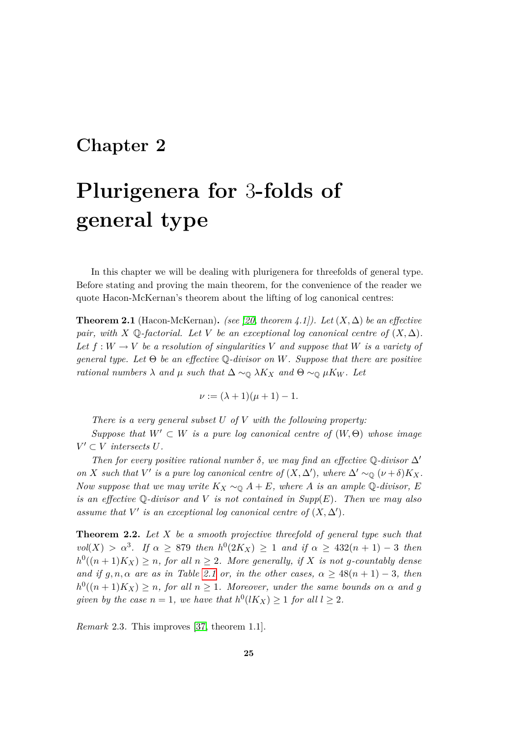### <span id="page-34-0"></span>**Chapter 2**

# **Plurigenera for** 3**-folds of general type**

In this chapter we will be dealing with plurigenera for threefolds of general type. Before stating and proving the main theorem, for the convenience of the reader we quote Hacon-McKernan's theorem about the lifting of log canonical centres:

<span id="page-34-2"></span>**Theorem 2.1** (Hacon-McKernan). *(see [\[20,](#page-75-0) theorem 4.1]).* Let  $(X, \Delta)$  be an effective *pair, with*  $X \mathbb{Q}$ -factorial. Let  $V$  be an exceptional log canonical centre of  $(X, \Delta)$ . Let  $f: W \to V$  be a resolution of singularities V and suppose that W is a variety of *general type. Let* Θ *be an effective* Q*-divisor on W. Suppose that there are positive rational numbers*  $\lambda$  *and*  $\mu$  *such that*  $\Delta \sim_{\mathbb{Q}} \lambda K_X$  *and*  $\Theta \sim_{\mathbb{Q}} \mu K_W$ *. Let* 

$$
\nu := (\lambda + 1)(\mu + 1) - 1.
$$

*There is a very general subset U of V with the following property:*

*Suppose that*  $W' \subset W$  *is a pure log canonical centre of*  $(W, \Theta)$  *whose image*  $V' \subset V$  *intersects*  $U$ *.* 

*Then for every positive rational number*  $\delta$ , we may find an effective Q-divisor  $\Delta'$ *on X such that*  $V'$  *is a pure log canonical centre of*  $(X, \Delta')$ *, where*  $\Delta' \sim_{\mathbb{Q}} (\nu + \delta)K_X$ *. Now suppose that we may write*  $K_X \sim_{\mathbb{Q}} A + E$ *, where A is an ample* Q-*divisor*, *E is an effective* Q*-divisor and V is not contained in Supp*(*E*)*. Then we may also* assume that  $V'$  is an exceptional log canonical centre of  $(X, \Delta')$ .

<span id="page-34-1"></span>**Theorem 2.2.** *Let X be a smooth projective threefold of general type such that*  $vol(X) > \alpha^3$ . If  $\alpha \geq 879$  then  $h^0(2K_X) \geq 1$  and if  $\alpha \geq 432(n + 1) - 3$  then  $h^0((n+1)K_X) \geq n$ , for all  $n \geq 2$ . More generally, if X is not g-countably dense *and if*  $g, n, \alpha$  *are as in Table [2.1](#page-35-0) or, in the other cases,*  $\alpha \geq 48(n + 1) - 3$ , *then*  $h^0((n+1)K_X) \geq n$ , for all  $n \geq 1$ . Moreover, under the same bounds on  $\alpha$  and g *given by the case*  $n = 1$ *, we have that*  $h^0(lK_X) \geq 1$  *for all*  $l \geq 2$ *.* 

*Remark* 2.3*.* This improves [\[37,](#page-76-1) theorem 1.1].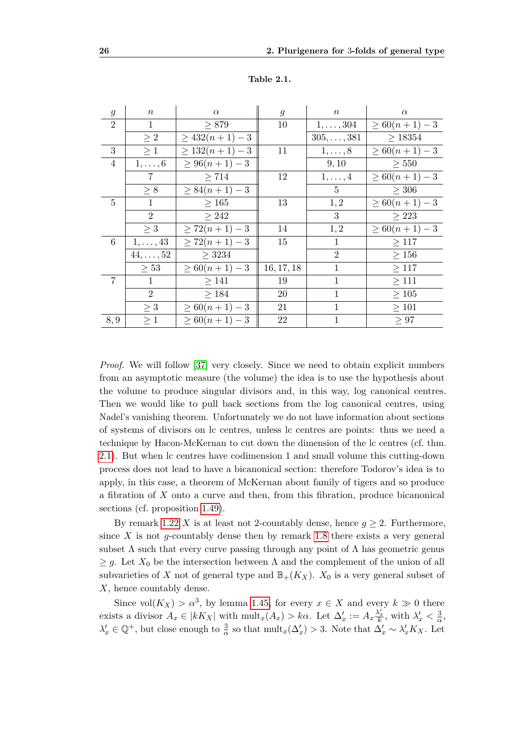| $\mathfrak{g}$ | $\boldsymbol{n}$ | $\alpha$          | $\mathfrak{g}$ | $\,n$              | $\alpha$         |
|----------------|------------------|-------------------|----------------|--------------------|------------------|
| $\overline{2}$ | $\mathbf{1}$     | $\geq 879$        | 10             | $1, \ldots, 304$   | $\geq 60(n+1)-3$ |
|                | $\geq 2$         | $\geq 432(n+1)-3$ |                | $305, \ldots, 381$ | $\geq$ 18354     |
| 3              | $\geq 1$         | $\geq 132(n+1)-3$ | 11             | $1,\ldots,8$       | $\geq 60(n+1)-3$ |
| $\overline{4}$ | $1,\ldots,6$     | $\geq 96(n+1)-3$  |                | 9, 10              | $\geq 550$       |
|                | 7                | > 714             | 12             | $1,\ldots,4$       | $\geq 60(n+1)-3$ |
|                | $\geq 8$         | $\geq 84(n+1)-3$  |                | $5\overline{)}$    | $\geq 306$       |
| $\overline{5}$ | $\mathbf{1}$     | $\geq 165$        | 13             | 1, 2               | $\geq 60(n+1)-3$ |
|                | 2                | > 242             |                | 3                  | $\geq 223$       |
|                | $\geq 3$         | $\geq 72(n+1)-3$  | 14             | 1, 2               | $\geq 60(n+1)-3$ |
| 6              | $1,\ldots,43$    | $\geq 72(n+1)-3$  | 15             | $\mathbf{1}$       | >117             |
|                | $44,\ldots,52$   | $\geq$ 3234       |                | $\overline{2}$     | $\geq 156$       |
|                | $\geq 53$        | $\geq 60(n+1)-3$  | 16, 17, 18     | $\mathbf{1}$       | $\geq 117$       |
| 7              | $\mathbf{1}$     | $\geq$ 141        | 19             | 1                  | $\geq$ 111       |
|                | $\overline{2}$   | $\geq 184$        | 20             | $\mathbf{1}$       | $\geq 105$       |
|                | $\geq 3$         | $\geq 60(n+1)-3$  | 21             | $\mathbf{1}$       | $\geq 101$       |
| 8,9            | $\geq 1$         | $\geq 60(n+1)-3$  | 22             | $\mathbf{1}$       | $\geq 97$        |

<span id="page-35-0"></span>**Table 2.1.**

*Proof.* We will follow [\[37\]](#page-76-1) very closely. Since we need to obtain explicit numbers from an asymptotic measure (the volume) the idea is to use the hypothesis about the volume to produce singular divisors and, in this way, log canonical centres. Then we would like to pull back sections from the log canonical centres, using Nadel's vanishing theorem. Unfortunately we do not have information about sections of systems of divisors on lc centres, unless lc centres are points: thus we need a technique by Hacon-McKernan to cut down the dimension of the lc centres (cf. thm. [2.1\)](#page-34-2). But when lc centres have codimension 1 and small volume this cutting-down process does not lead to have a bicanonical section: therefore Todorov's idea is to apply, in this case, a theorem of McKernan about family of tigers and so produce a fibration of *X* onto a curve and then, from this fibration, produce bicanonical sections (cf. proposition [1.49\)](#page-31-0).

By remark [1.22](#page-18-1) *X* is at least not 2-countably dense, hence  $g \geq 2$ . Furthermore, since *X* is not *g*-countably dense then by remark [1.8](#page-14-0) there exists a very general subset  $\Lambda$  such that every curve passing through any point of  $\Lambda$  has geometric genus  $\geq g$ . Let  $X_0$  be the intersection between  $\Lambda$  and the complement of the union of all subvarieties of *X* not of general type and  $\mathbb{B}_+(K_X)$ .  $X_0$  is a very general subset of *X*, hence countably dense.

Since  $vol(K_X) > \alpha^3$ , by lemma [1.45,](#page-30-0) for every  $x \in X$  and every  $k \gg 0$  there exists a divisor  $A_x \in |kK_X|$  with  $\text{mult}_x(A_x) > k\alpha$ . Let  $\Delta'_x := A_x \frac{\lambda'_x}{k}$ , with  $\lambda'_x < \frac{3}{\alpha}$  $\frac{3}{\alpha}$ ,  $\lambda'_x \in \mathbb{Q}^+$ , but close enough to  $\frac{3}{\alpha}$  so that  $\text{mult}_x(\Delta'_x) > 3$ . Note that  $\Delta'_x \sim \lambda'_x K_X$ . Let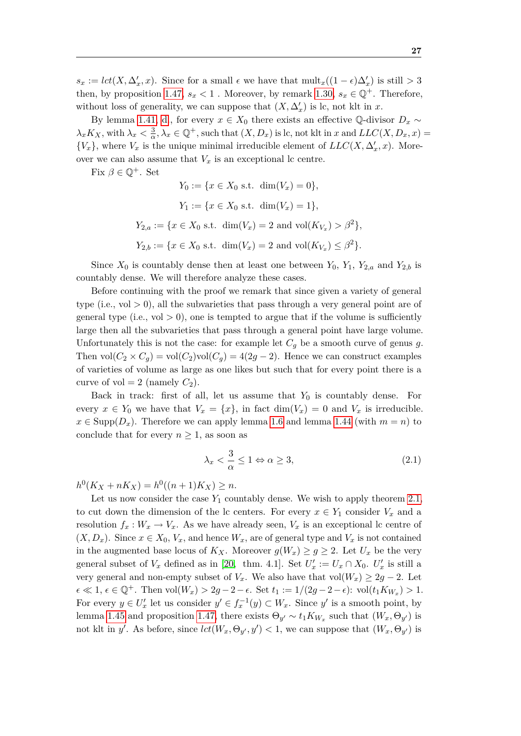$s_x := \text{lct}(X, \Delta'_x, x)$ . Since for a small  $\epsilon$  we have that  $\text{mult}_x((1 - \epsilon)\Delta'_x)$  is still  $> 3$ then, by proposition [1.47,](#page-31-0)  $s_x < 1$ . Moreover, by remark [1.30,](#page-21-0)  $s_x \in \mathbb{Q}^+$ . Therefore, without loss of generality, we can suppose that  $(X, \Delta'_x)$  is lc, not klt in *x*.

By lemma [1.41,](#page-24-0) [d.](#page-24-1), for every  $x \in X_0$  there exists an effective Q-divisor  $D_x \sim$ *λ*<sub>*x*</sub>*K*<sub>*X*</sub>, with  $λ$ <sub>*x*</sub>  $<$   $\frac{3}{9}$  $\frac{3}{\alpha}, \lambda_x \in \mathbb{Q}^+$ , such that  $(X, D_x)$  is lc, not klt in *x* and  $LLC(X, D_x, x)$  =  $\{V_x\}$ , where  $V_x$  is the unique minimal irreducible element of  $LLC(X, \Delta'_x, x)$ . Moreover we can also assume that  $V_x$  is an exceptional lc centre.

Fix  $\beta \in \mathbb{Q}^+$ . Set

$$
Y_0 := \{x \in X_0 \text{ s.t. } \dim(V_x) = 0\},
$$
  
\n
$$
Y_1 := \{x \in X_0 \text{ s.t. } \dim(V_x) = 1\},
$$
  
\n
$$
Y_{2,a} := \{x \in X_0 \text{ s.t. } \dim(V_x) = 2 \text{ and } \text{vol}(K_{V_x}) > \beta^2\},
$$
  
\n
$$
Y_{2,b} := \{x \in X_0 \text{ s.t. } \dim(V_x) = 2 \text{ and } \text{vol}(K_{V_x}) \le \beta^2\}.
$$

Since  $X_0$  is countably dense then at least one between  $Y_0$ ,  $Y_1$ ,  $Y_{2,a}$  and  $Y_{2,b}$  is countably dense. We will therefore analyze these cases.

Before continuing with the proof we remark that since given a variety of general type (i.e.,  $vol > 0$ ), all the subvarieties that pass through a very general point are of general type (i.e.,  $vol > 0$ ), one is tempted to argue that if the volume is sufficiently large then all the subvarieties that pass through a general point have large volume. Unfortunately this is not the case: for example let  $C_g$  be a smooth curve of genus  $g$ . Then  $vol(C_2 \times C_q) = vol(C_2)vol(C_q) = 4(2g-2)$ . Hence we can construct examples of varieties of volume as large as one likes but such that for every point there is a curve of vol  $= 2$  (namely  $C_2$ ).

Back in track: first of all, let us assume that *Y*<sup>0</sup> is countably dense. For every  $x \in Y_0$  we have that  $V_x = \{x\}$ , in fact  $\dim(V_x) = 0$  and  $V_x$  is irreducible.  $x \in \text{Supp}(D_x)$ . Therefore we can apply lemma [1.6](#page-13-0) and lemma [1.44](#page-29-0) (with  $m = n$ ) to conclude that for every  $n \geq 1$ , as soon as

<span id="page-36-0"></span>
$$
\lambda_x < \frac{3}{\alpha} \le 1 \Leftrightarrow \alpha \ge 3,\tag{2.1}
$$

 $h^0(K_X + nK_X) = h^0((n+1)K_X) \geq n.$ 

Let us now consider the case  $Y_1$  countably dense. We wish to apply theorem [2.1,](#page-34-0) to cut down the dimension of the lc centers. For every  $x \in Y_1$  consider  $V_x$  and a resolution  $f_x: W_x \to V_x$ . As we have already seen,  $V_x$  is an exceptional lc centre of  $(X, D_x)$ . Since  $x \in X_0$ ,  $V_x$ , and hence  $W_x$ , are of general type and  $V_x$  is not contained in the augmented base locus of  $K_X$ . Moreover  $g(W_x) \ge g \ge 2$ . Let  $U_x$  be the very general subset of  $V_x$  defined as in [\[20,](#page-75-0) thm. 4.1]. Set  $U'_x := U_x \cap X_0$ .  $U'_x$  is still a very general and non-empty subset of  $V_x$ . We also have that vol $(W_x) \geq 2g - 2$ . Let  $\epsilon \ll 1, \, \epsilon \in \mathbb{Q}^+$ . Then  $\text{vol}(W_x) > 2g - 2 - \epsilon$ . Set  $t_1 := 1/(2g - 2 - \epsilon)$ :  $\text{vol}(t_1 K_{W_x}) > 1$ . For every  $y \in U'_x$  let us consider  $y' \in f_x^{-1}(y) \subset W_x$ . Since  $y'$  is a smooth point, by lemma [1.45](#page-30-0) and proposition [1.47,](#page-31-0) there exists  $\Theta_{y'} \sim t_1 K_{W_x}$  such that  $(W_x, \Theta_{y'})$  is not klt in *y'*. As before, since  $lct(W_x, \Theta_{y'}, y') < 1$ , we can suppose that  $(W_x, \Theta_{y'})$  is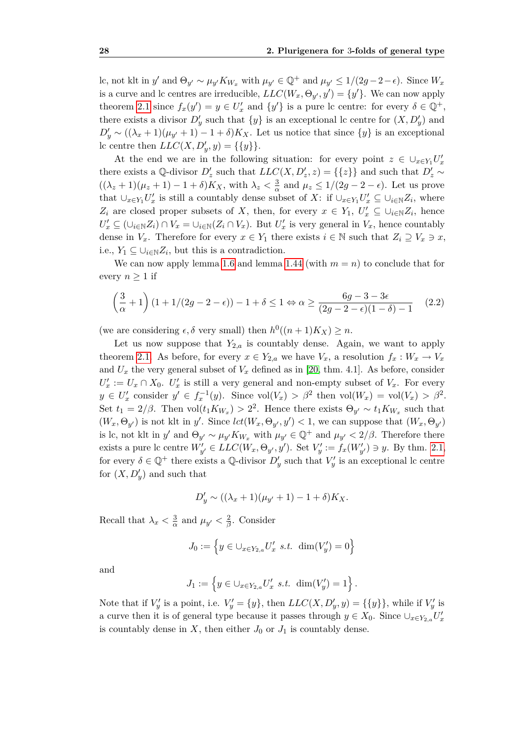lc, not klt in y' and  $\Theta_{y'} \sim \mu_{y'} K_{W_x}$  with  $\mu_{y'} \in \mathbb{Q}^+$  and  $\mu_{y'} \le 1/(2g-2-\epsilon)$ . Since  $W_x$ is a curve and lc centres are irreducible,  $LLC(W_x, \Theta_{y'}, y') = \{y'\}$ . We can now apply theorem [2.1](#page-34-0) since  $f_x(y') = y \in U'_x$  and  $\{y'\}$  is a pure lc centre: for every  $\delta \in \mathbb{Q}^+$ , there exists a divisor  $D'_y$  such that  $\{y\}$  is an exceptional lc centre for  $(X, D'_y)$  and  $D'_y \sim ((\lambda_x + 1)(\mu_{y'} + 1) - 1 + \delta)K_X$ . Let us notice that since  $\{y\}$  is an exceptional lc centre then  $LLC(X, D'_y, y) = \{\{y\}\}.$ 

At the end we are in the following situation: for every point  $z \in \bigcup_{x \in Y_1} U'_x$ there exists a Q-divisor  $D'_z$  such that  $LLC(X, D'_z, z) = \{\{z\}\}\$  and such that  $D'_z \sim$  $((\lambda_z + 1)(\mu_z + 1) - 1 + \delta)K_X$ , with  $\lambda_z < \frac{3}{\alpha}$  $\frac{3}{\alpha}$  and  $\mu_z \leq 1/(2g-2-\epsilon)$ . Let us prove that  $\cup_{x\in Y_1}U'_x$  is still a countably dense subset of X: if  $\cup_{x\in Y_1}U'_x\subseteq \cup_{i\in \mathbb{N}}Z_i$ , where *Z*<sup>*i*</sup> are closed proper subsets of *X*, then, for every  $x \in Y_1$ ,  $U'_x \subseteq \bigcup_{i \in \mathbb{N}} Z_i$ , hence  $U'_x \subseteq (\cup_{i\in\mathbb{N}} Z_i) \cap V_x = \cup_{i\in\mathbb{N}} (Z_i \cap V_x)$ . But  $U'_x$  is very general in  $V_x$ , hence countably dense in  $V_x$ . Therefore for every  $x \in Y_1$  there exists  $i \in \mathbb{N}$  such that  $Z_i \supseteq V_x \ni x$ , i.e.,  $Y_1$  ⊆ ∪<sub>*i*∈N</sub> $Z_i$ , but this is a contradiction.

We can now apply lemma [1.6](#page-13-0) and lemma [1.44](#page-29-0) (with  $m = n$ ) to conclude that for every  $n \geq 1$  if

<span id="page-37-0"></span>
$$
\left(\frac{3}{\alpha}+1\right)\left(1+1/(2g-2-\epsilon)\right)-1+\delta\leq 1 \Leftrightarrow \alpha\geq \frac{6g-3-3\epsilon}{(2g-2-\epsilon)(1-\delta)-1} \tag{2.2}
$$

(we are considering  $\epsilon$ ,  $\delta$  very small) then  $h^0((n+1)K_X) \geq n$ .

Let us now suppose that  $Y_{2,a}$  is countably dense. Again, we want to apply theorem [2.1.](#page-34-0) As before, for every  $x \in Y_{2,a}$  we have  $V_x$ , a resolution  $f_x : W_x \to V_x$ and  $U_x$  the very general subset of  $V_x$  defined as in [\[20,](#page-75-0) thm. 4.1]. As before, consider  $U'_x := U_x \cap X_0$ .  $U'_x$  is still a very general and non-empty subset of  $V_x$ . For every  $y \in U'_x$  consider  $y' \in f_x^{-1}(y)$ . Since  $vol(V_x) > \beta^2$  then  $vol(W_x) = vol(V_x) > \beta^2$ . Set  $t_1 = 2/\beta$ . Then  $vol(t_1 K_{W_x}) > 2^2$ . Hence there exists  $\Theta_{y'} \sim t_1 K_{W_x}$  such that  $(W_x, \Theta_{y'})$  is not klt in y'. Since  $lct(W_x, \Theta_{y'}, y') < 1$ , we can suppose that  $(W_x, \Theta_{y'})$ is lc, not klt in y' and  $\Theta_{y'} \sim \mu_{y'} K_{W_x}$  with  $\mu_{y'} \in \mathbb{Q}^+$  and  $\mu_{y'} < 2/\beta$ . Therefore there exists a pure lc centre  $W'_{y'} \in LLC(W_x, \Theta_{y'}, y')$ . Set  $V'_{y} := f_x(W'_{y'}) \ni y$ . By thm. [2.1,](#page-34-0) for every  $\delta \in \mathbb{Q}^+$  there exists a  $\mathbb{Q}$ -divisor  $D'_y$  such that  $V'_y$  is an exceptional lc centre for  $(X, D'_y)$  and such that

$$
D'_{y} \sim ((\lambda_x + 1)(\mu_{y'} + 1) - 1 + \delta)K_X.
$$

Recall that  $\lambda_x < \frac{3}{2}$  $\frac{3}{\alpha}$  and  $\mu_{y'} < \frac{2}{\beta}$ *β* . Consider

$$
J_0 := \left\{ y \in \bigcup_{x \in Y_{2,a}} U'_x \text{ s.t. } \dim(V'_y) = 0 \right\}
$$

and

$$
J_1 := \left\{ y \in \bigcup_{x \in Y_{2,a}} U'_x \text{ s.t. } \dim(V'_y) = 1 \right\}.
$$

Note that if  $V'_y$  is a point, i.e.  $V'_y = \{y\}$ , then  $LLC(X, D'_y, y) = \{\{y\}\}\$ , while if  $V'_y$  is a curve then it is of general type because it passes through  $y \in X_0$ . Since  $\cup_{x \in Y_{2,a}} U'_x$ is countably dense in  $X$ , then either  $J_0$  or  $J_1$  is countably dense.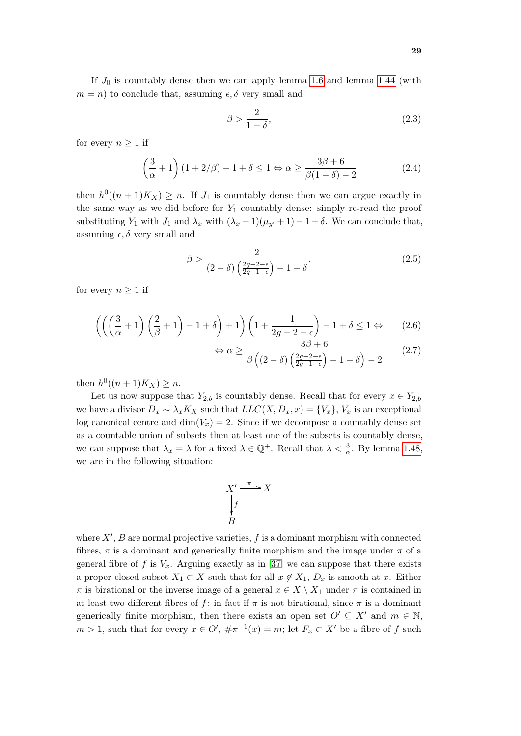If  $J_0$  is countably dense then we can apply lemma [1.6](#page-13-0) and lemma [1.44](#page-29-0) (with  $m = n$  to conclude that, assuming  $\epsilon, \delta$  very small and

<span id="page-38-1"></span>
$$
\beta > \frac{2}{1 - \delta},\tag{2.3}
$$

for every  $n \geq 1$  if

<span id="page-38-3"></span>
$$
\left(\frac{3}{\alpha} + 1\right)(1 + 2/\beta) - 1 + \delta \le 1 \Leftrightarrow \alpha \ge \frac{3\beta + 6}{\beta(1 - \delta) - 2} \tag{2.4}
$$

then  $h^0((n+1)K_X) \geq n$ . If  $J_1$  is countably dense then we can argue exactly in the same way as we did before for  $Y_1$  countably dense: simply re-read the proof substituting *Y*<sub>1</sub> with *J*<sub>1</sub> and  $\lambda_x$  with  $(\lambda_x + 1)(\mu_{y'} + 1) - 1 + \delta$ . We can conclude that, assuming  $\epsilon$ ,  $\delta$  very small and

<span id="page-38-0"></span>
$$
\beta > \frac{2}{(2-\delta)\left(\frac{2g-2-\epsilon}{2g-1-\epsilon}\right)-1-\delta},\tag{2.5}
$$

for every  $n \geq 1$  if

$$
\left( \left( \left( \frac{3}{\alpha} + 1 \right) \left( \frac{2}{\beta} + 1 \right) - 1 + \delta \right) + 1 \right) \left( 1 + \frac{1}{2g - 2 - \epsilon} \right) - 1 + \delta \le 1 \Leftrightarrow \tag{2.6}
$$

<span id="page-38-2"></span>
$$
\Leftrightarrow \alpha \ge \frac{3\beta + 6}{\beta \left( (2 - \delta) \left( \frac{2g - 2 - \epsilon}{2g - 1 - \epsilon} \right) - 1 - \delta \right) - 2} \tag{2.7}
$$

then  $h^0((n+1)K_X) \geq n$ .

Let us now suppose that  $Y_{2,b}$  is countably dense. Recall that for every  $x \in Y_{2,b}$ we have a divisor  $D_x \sim \lambda_x K_X$  such that  $LLC(X, D_x, x) = \{V_x\}$ ,  $V_x$  is an exceptional log canonical centre and  $\dim(V_x) = 2$ . Since if we decompose a countably dense set as a countable union of subsets then at least one of the subsets is countably dense, we can suppose that  $\lambda_x = \lambda$  for a fixed  $\lambda \in \mathbb{Q}^+$ . Recall that  $\lambda < \frac{3}{\alpha}$ . By lemma [1.48,](#page-31-1) we are in the following situation:

$$
X' \xrightarrow{\pi} X
$$
  
\n
$$
\downarrow f
$$
  
\n
$$
B
$$

where  $X'$ ,  $B$  are normal projective varieties,  $f$  is a dominant morphism with connected fibres,  $\pi$  is a dominant and generically finite morphism and the image under  $\pi$  of a general fibre of f is  $V_x$ . Arguing exactly as in [\[37\]](#page-76-0) we can suppose that there exists a proper closed subset  $X_1 \subset X$  such that for all  $x \notin X_1$ ,  $D_x$  is smooth at x. Either  $\pi$  is birational or the inverse image of a general  $x \in X \setminus X_1$  under  $\pi$  is contained in at least two different fibres of  $f$ : in fact if  $\pi$  is not birational, since  $\pi$  is a dominant generically finite morphism, then there exists an open set  $O' \subseteq X'$  and  $m \in \mathbb{N}$ ,  $m > 1$ , such that for every  $x \in O'$ ,  $\#\pi^{-1}(x) = m$ ; let  $F_x \subset X'$  be a fibre of  $f$  such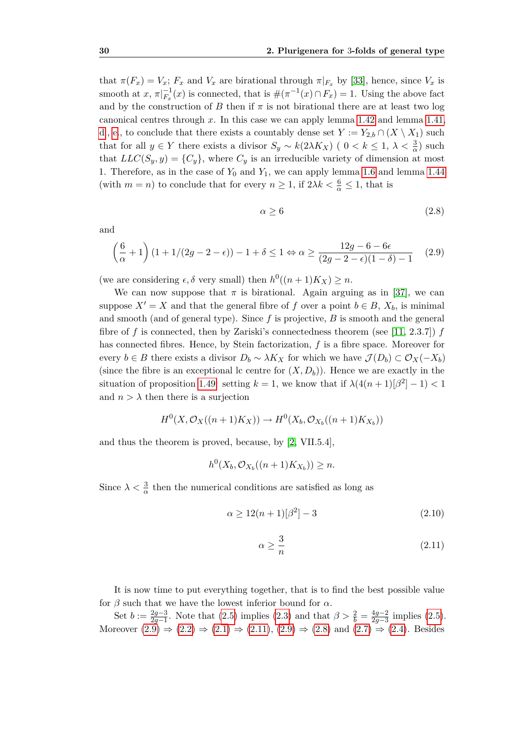that  $\pi(F_x) = V_x$ ;  $F_x$  and  $V_x$  are birational through  $\pi|_{F_x}$  by [\[33\]](#page-76-1), hence, since  $V_x$  is smooth at *x*,  $\pi|_{F_x}^{-1}(x)$  is connected, that is  $\#(\pi^{-1}(x) \cap F_x) = 1$ . Using the above fact and by the construction of *B* then if  $\pi$  is not birational there are at least two log canonical centres through *x*. In this case we can apply lemma [1.42](#page-28-0) and lemma [1.41,](#page-24-0) [d.](#page-24-1), [e.](#page-25-0), to conclude that there exists a countably dense set  $Y := Y_{2,b} \cap (X \setminus X_1)$  such that for all  $y \in Y$  there exists a divisor  $S_y \sim k(2\lambda K_X)$  (  $0 < k \leq 1, \lambda < \frac{3}{\alpha}$ ) such that  $LLC(S_y, y) = \{C_y\}$ , where  $C_y$  is an irreducible variety of dimension at most 1. Therefore, as in the case of  $Y_0$  and  $Y_1$ , we can apply lemma [1.6](#page-13-0) and lemma [1.44](#page-29-0) (with  $m = n$ ) to conclude that for every  $n \geq 1$ , if  $2\lambda k < \frac{6}{\alpha} \leq 1$ , that is

<span id="page-39-2"></span>
$$
\alpha \ge 6 \tag{2.8}
$$

and

<span id="page-39-0"></span>
$$
\left(\frac{6}{\alpha} + 1\right)(1 + 1/(2g - 2 - \epsilon)) - 1 + \delta \le 1 \Leftrightarrow \alpha \ge \frac{12g - 6 - 6\epsilon}{(2g - 2 - \epsilon)(1 - \delta) - 1} \tag{2.9}
$$

(we are considering  $\epsilon$ ,  $\delta$  very small) then  $h^0((n+1)K_X) \geq n$ .

We can now suppose that  $\pi$  is birational. Again arguing as in [\[37\]](#page-76-0), we can suppose  $X' = X$  and that the general fibre of *f* over a point  $b \in B$ ,  $X_b$ , is minimal and smooth (and of general type). Since *f* is projective, *B* is smooth and the general fibre of  $f$  is connected, then by Zariski's connectedness theorem (see [\[11,](#page-74-0) 2.3.7])  $f$ has connected fibres. Hence, by Stein factorization, *f* is a fibre space. Moreover for every *b*  $\in$  *B* there exists a divisor  $D_b \sim \lambda K_X$  for which we have  $\mathcal{J}(D_b) \subset \mathcal{O}_X(-X_b)$ (since the fibre is an exceptional lc centre for  $(X, D_b)$ ). Hence we are exactly in the situation of proposition [1.49:](#page-31-2) setting  $k = 1$ , we know that if  $\lambda(4(n+1)|\beta^2|-1) < 1$ and  $n > \lambda$  then there is a surjection

$$
H^{0}(X, \mathcal{O}_{X}((n+1)K_{X})) \to H^{0}(X_{b}, \mathcal{O}_{X_{b}}((n+1)K_{X_{b}}))
$$

and thus the theorem is proved, because, by [\[2,](#page-74-1) VII.5.4],

$$
h^0(X_b, \mathcal{O}_{X_b}((n+1)K_{X_b})) \ge n.
$$

Since  $\lambda < \frac{3}{\alpha}$  then the numerical conditions are satisfied as long as

<span id="page-39-3"></span>
$$
\alpha \ge 12(n+1)[\beta^2] - 3\tag{2.10}
$$

<span id="page-39-1"></span>
$$
\alpha \ge \frac{3}{n} \tag{2.11}
$$

It is now time to put everything together, that is to find the best possible value for  $\beta$  such that we have the lowest inferior bound for  $\alpha$ .

Set  $b := \frac{2g-3}{2g-1}$  $\frac{2g-3}{2g-1}$ . Note that [\(2.5\)](#page-38-0) implies [\(2.3\)](#page-38-1) and that *β* >  $\frac{2}{b} = \frac{4g-2}{2g-3}$ 2*g−*3 implies [\(2.5\)](#page-38-0). Moreover  $(2.9) \Rightarrow (2.2) \Rightarrow (2.1) \Rightarrow (2.11)$  $(2.9) \Rightarrow (2.2) \Rightarrow (2.1) \Rightarrow (2.11)$  $(2.9) \Rightarrow (2.2) \Rightarrow (2.1) \Rightarrow (2.11)$  $(2.9) \Rightarrow (2.2) \Rightarrow (2.1) \Rightarrow (2.11)$  $(2.9) \Rightarrow (2.2) \Rightarrow (2.1) \Rightarrow (2.11)$  $(2.9) \Rightarrow (2.2) \Rightarrow (2.1) \Rightarrow (2.11)$  $(2.9) \Rightarrow (2.2) \Rightarrow (2.1) \Rightarrow (2.11)$ ,  $(2.9) \Rightarrow (2.8)$  $(2.9) \Rightarrow (2.8)$  and  $(2.7) \Rightarrow (2.4)$  $(2.7) \Rightarrow (2.4)$  $(2.7) \Rightarrow (2.4)$ . Besides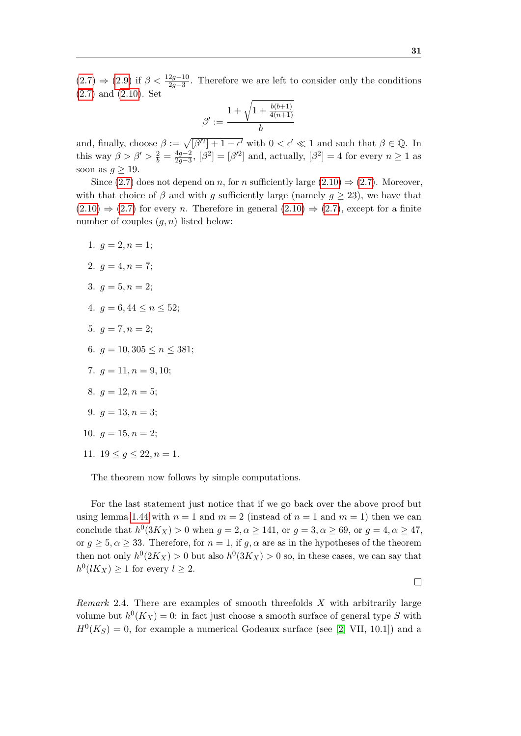$(2.7) \Rightarrow (2.9)$  $(2.7) \Rightarrow (2.9)$  $(2.7) \Rightarrow (2.9)$  if  $\beta < \frac{12g-10}{2g-3}$ . Therefore we are left to consider only the conditions [\(2.7\)](#page-38-2) and [\(2.10\)](#page-39-3). Set

$$
\beta':=\frac{1+\sqrt{1+\frac{b(b+1)}{4(n+1)}}}{b}
$$

and, finally, choose  $\beta := \sqrt{[\beta'^2] + 1 - \epsilon'}$  with  $0 < \epsilon' \ll 1$  and such that  $\beta \in \mathbb{Q}$ . In this way  $\beta > \beta' > \frac{2}{b} = \frac{4g-2}{2g-3}$  $\frac{4g-2}{2g-3}$ ,  $\left[\beta^2\right] = \left[\beta'^2\right]$  and, actually,  $\left[\beta^2\right] = 4$  for every *n* ≥ 1 as soon as  $g \geq 19$ .

Since [\(2.7\)](#page-38-2) does not depend on *n*, for *n* sufficiently large [\(2.10\)](#page-39-3)  $\Rightarrow$  (2.7). Moreover, with that choice of  $\beta$  and with  $g$  sufficiently large (namely  $g \geq 23$ ), we have that  $(2.10) \Rightarrow (2.7)$  $(2.10) \Rightarrow (2.7)$  $(2.10) \Rightarrow (2.7)$  for every *n*. Therefore in general  $(2.10) \Rightarrow (2.7)$ , except for a finite number of couples (*g, n*) listed below:

- 1.  $q = 2, n = 1;$
- 2.  $q = 4, n = 7$ :
- 3.  $q = 5, n = 2$ ;
- 4.  $q = 6, 44 \leq n \leq 52$ ;
- 5.  $q = 7, n = 2$ ;
- 6.  $q = 10,305 \leq n \leq 381$ ;
- 7.  $q = 11, n = 9, 10$ ;
- 8.  $q = 12, n = 5;$

9. 
$$
g = 13, n = 3;
$$

10. 
$$
g = 15, n = 2;
$$

11.  $19 \leq g \leq 22, n = 1$ .

The theorem now follows by simple computations.

For the last statement just notice that if we go back over the above proof but using lemma [1.44](#page-29-0) with  $n = 1$  and  $m = 2$  (instead of  $n = 1$  and  $m = 1$ ) then we can conclude that  $h^0(3K_X) > 0$  when  $g = 2, \alpha \ge 141$ , or  $g = 3, \alpha \ge 69$ , or  $g = 4, \alpha \ge 47$ , or  $q \geq 5, \alpha \geq 33$ . Therefore, for  $n = 1$ , if  $q, \alpha$  are as in the hypotheses of the theorem then not only  $h^0(2K_X) > 0$  but also  $h^0(3K_X) > 0$  so, in these cases, we can say that  $h^0(lK_X) \geq 1$  for every  $l \geq 2$ .

 $\Box$ 

<span id="page-40-0"></span>*Remark* 2.4*.* There are examples of smooth threefolds *X* with arbitrarily large volume but  $h^0(K_X) = 0$ : in fact just choose a smooth surface of general type S with  $H^0(K_S) = 0$ , for example a numerical Godeaux surface (see [\[2,](#page-74-1) VII, 10.1]) and a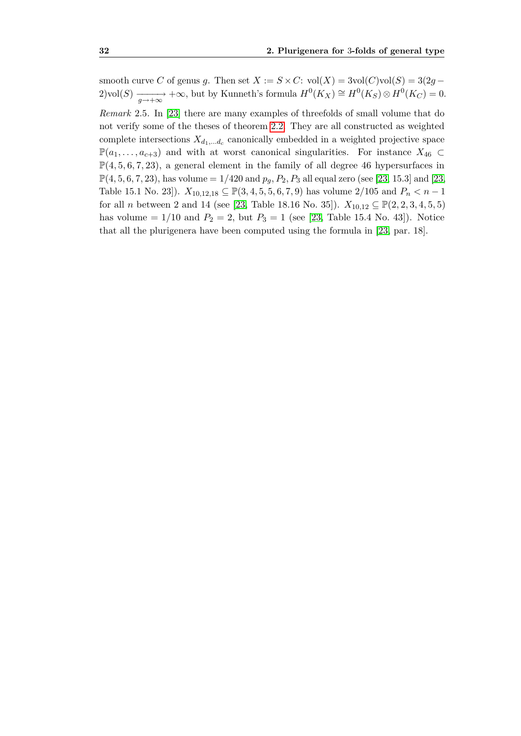smooth curve *C* of genus *g*. Then set  $X := S \times C$ : vol $(X) = 3$ vol $(C)$ vol $(S) = 3(2g -$ 2)vol(*S*)  $\frac{1}{g \to +\infty}$  +∞, but by Kunneth's formula  $H^0(K_X) \cong H^0(K_S) \otimes H^0(K_C) = 0$ .

<span id="page-41-0"></span>*Remark* 2.5*.* In [\[23\]](#page-75-1) there are many examples of threefolds of small volume that do not verify some of the theses of theorem [2.2.](#page-34-1) They are all constructed as weighted complete intersections  $X_{d_1,...d_c}$  canonically embedded in a weighted projective space  $\mathbb{P}(a_1, \ldots, a_{c+3})$  and with at worst canonical singularities. For instance *X*<sub>46</sub> ⊂  $\mathbb{P}(4, 5, 6, 7, 23)$ , a general element in the family of all degree 46 hypersurfaces in  $\mathbb{P}(4, 5, 6, 7, 23)$ , has volume  $= 1/420$  and  $p_q, P_2, P_3$  all equal zero (see [\[23,](#page-75-1) 15.3] and [23, Table 15.1 No. 23]).  $X_{10,12,18} \subseteq \mathbb{P}(3,4,5,5,6,7,9)$  has volume 2/105 and  $P_n < n-1$ for all *n* between 2 and 14 (see [\[23,](#page-75-1) Table 18.16 No. 35]).  $X_{10,12} \subseteq \mathbb{P}(2, 2, 3, 4, 5, 5)$ has volume  $= 1/10$  and  $P_2 = 2$ , but  $P_3 = 1$  (see [\[23,](#page-75-1) Table 15.4 No. 43]). Notice that all the plurigenera have been computed using the formula in [\[23,](#page-75-1) par. 18].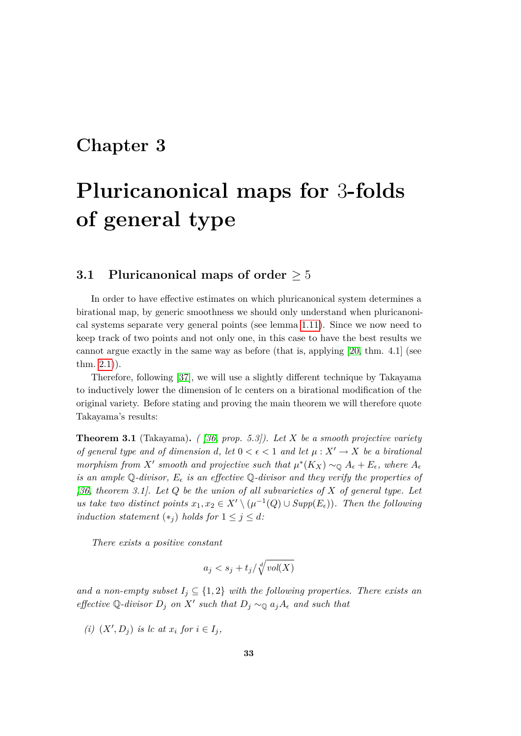### **Chapter 3**

# **Pluricanonical maps for** 3**-folds of general type**

#### **3.1 Pluricanonical maps of order** *≥* 5

In order to have effective estimates on which pluricanonical system determines a birational map, by generic smoothness we should only understand when pluricanonical systems separate very general points (see lemma [1.11\)](#page-14-0). Since we now need to keep track of two points and not only one, in this case to have the best results we cannot argue exactly in the same way as before (that is, applying [\[20,](#page-75-0) thm. 4.1] (see thm. [2.1\)](#page-34-0)).

Therefore, following [\[37\]](#page-76-0), we will use a slightly different technique by Takayama to inductively lower the dimension of lc centers on a birational modification of the original variety. Before stating and proving the main theorem we will therefore quote Takayama's results:

<span id="page-42-0"></span>**Theorem 3.1** (Takayama)**.** *( [\[36,](#page-76-2) prop. 5.3]). Let X be a smooth projective variety of general type and of dimension d*, let  $0 < \epsilon < 1$  and let  $\mu : X' \to X$  be a birational *morphism from*  $X'$  *smooth and projective such that*  $\mu^*(K_X) \sim_{\mathbb{Q}} A_{\epsilon} + E_{\epsilon}$ *, where*  $A_{\epsilon}$ *is an ample* Q-divisor,  $E_{\epsilon}$  *is an effective* Q-divisor and they verify the properties of *[\[36,](#page-76-2) theorem 3.1]. Let Q be the union of all subvarieties of X of general type. Let us take two distinct points*  $x_1, x_2 \in X' \setminus (\mu^{-1}(Q) \cup \text{Supp}(E_\epsilon))$ *. Then the following induction statement*  $(*_j)$  *holds for*  $1 \leq j \leq d$ *:* 

*There exists a positive constant*

$$
a_j < s_j + t_j / \sqrt[d]{vol(X)}
$$

*and a non-empty subset*  $I_j \subseteq \{1,2\}$  *with the following properties. There exists an effective*  $\mathbb{Q}$ -*divisor*  $D_j$  *on*  $X'$  *such that*  $D_j \sim_{\mathbb{Q}} a_j A_{\epsilon}$  *and such that* 

 $(i)$   $(X', D_j)$  *is lc at*  $x_i$  *for*  $i \in I_j$ ,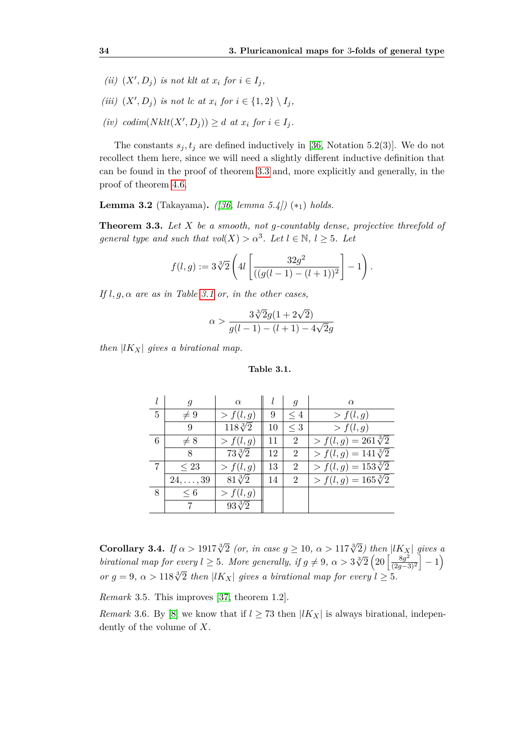- *(ii)*  $(X', D_j)$  *is not klt at*  $x_i$  *for*  $i \in I_j$ *,*
- *(iii)*  $(X', D_j)$  *is not lc at*  $x_i$  *for*  $i \in \{1, 2\} \setminus I_j$ ,
- $(iv)$  *codim* $(Nklt(X', D_j)) \geq d$  *at*  $x_i$  *for*  $i \in I_j$ *.*

The constants  $s_j, t_j$  are defined inductively in [\[36,](#page-76-2) Notation 5.2(3)]. We do not recollect them here, since we will need a slightly different inductive definition that can be found in the proof of theorem [3.3](#page-43-0) and, more explicitly and generally, in the proof of theorem [4.6.](#page-59-0)

<span id="page-43-2"></span>**Lemma 3.2** (Takayama)**.** *([\[36,](#page-76-2) lemma 5.4])* (*∗*1) *holds.*

<span id="page-43-0"></span>**Theorem 3.3.** *Let X be a smooth, not g-countably dense, projective threefold of general type and such that*  $vol(X) > \alpha^3$ *. Let*  $l \in \mathbb{N}$ *,*  $l \geq 5$ *. Let* 

$$
f(l,g):=3\sqrt[3]{2}\left(4l\left[\frac{32g^2}{((g(l-1)-(l+1))^2}\right]-1\right).
$$

*If l, g, α are as in Table [3.1](#page-43-1) or, in the other cases,*

$$
\alpha > \frac{3\sqrt[3]{2}g(1+2\sqrt{2})}{g(l-1) - (l+1) - 4\sqrt{2}g}
$$

*then*  $|lK_X|$  *gives a birational map.* 

<span id="page-43-1"></span>**Table 3.1.**

|   | g                | $\alpha$         |    | q              | $\alpha$                     |
|---|------------------|------------------|----|----------------|------------------------------|
| 5 | $\neq 9$         | > f(l,g)         | 9  | $\leq 4$       | > f(l,g)                     |
|   | 9                | $118\sqrt[3]{2}$ | 10 | $\leq 3$       | > f(l,g)                     |
| 6 | $\neq 8$         | > f(l,g)         | 11 | $\overline{2}$ | $> f(l, g) = 261\sqrt[3]{2}$ |
|   | 8                | $73\sqrt[3]{2}$  | 12 | $\overline{2}$ | $> f(l,g) = 141\sqrt[3]{2}$  |
| 7 | $\leq 23$        | > f(l,g)         | 13 | $\overline{2}$ | $> f(l,g) = 153\sqrt[3]{2}$  |
|   | $24, \ldots, 39$ | $81\sqrt[3]{2}$  | 14 | $\overline{2}$ | $> f(l,g) = 165\sqrt[3]{2}$  |
| 8 | $\leq 6$         | $\gt{f}(l,g)$    |    |                |                              |
|   |                  | $93\sqrt[3]{2}$  |    |                |                              |

**Corollary 3.4.** *If*  $\alpha > 1917\sqrt[3]{2}$  (or, in case  $g \ge 10$ ,  $\alpha > 117\sqrt[3]{2}$ ) then  $|lK_X|$  gives a *birational map for every*  $l \geq 5$ *. More generally, if*  $g \neq 9$ ,  $\alpha > 3\sqrt[3]{2}$   $\left(20 \frac{8g^2}{l^2} \right)^{3/2}$  $\frac{8g^2}{(2g-3)^2}$  | − 1) *or*  $g = 9$ ,  $\alpha > 118\sqrt[3]{2}$  *then |lK<sub>X</sub> | gives a birational map for every l*  $\geq$  5*.* 

*Remark* 3.5*.* This improves [\[37,](#page-76-0) theorem 1.2].

*Remark* 3.6. By [\[8\]](#page-74-2) we know that if  $l \geq 73$  then  $|lK_X|$  is always birational, independently of the volume of *X*.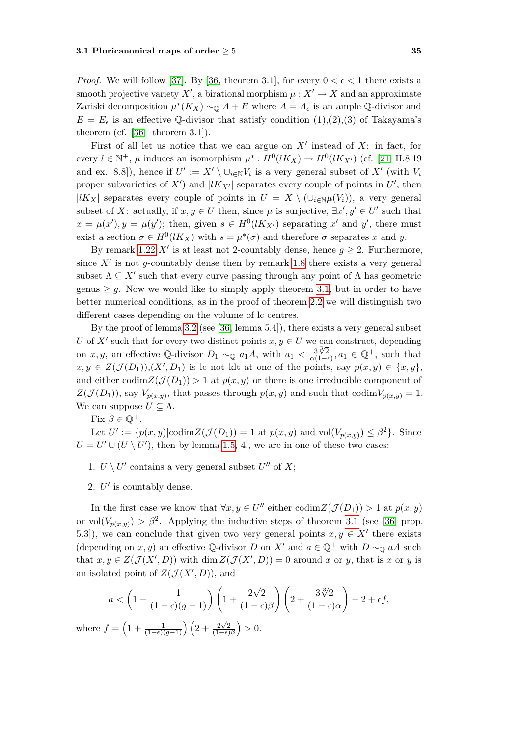*Proof.* We will follow [\[37\]](#page-76-0). By [\[36,](#page-76-2) theorem 3.1], for every  $0 < \epsilon < 1$  there exists a smooth projective variety  $X'$ , a birational morphism  $\mu: X' \to X$  and an approximate Zariski decomposition  $\mu^*(K_X) \sim_{\mathbb{Q}} A + E$  where  $A = A_{\epsilon}$  is an ample Q-divisor and  $E = E_{\epsilon}$  is an effective  $\mathbb{Q}$ -divisor that satisfy condition (1),(2),(3) of Takayama's theorem (cf.  $[36,$  theorem 3.1]).

First of all let us notice that we can argue on  $X'$  instead of  $X$ : in fact, for every  $l \in \mathbb{N}^+$ ,  $\mu$  induces an isomorphism  $\mu^* : H^0(lK_X) \to H^0(lK_{X'})$  (cf. [\[21,](#page-75-2) II.8.19 and ex. 8.8]), hence if  $U' := X' \setminus \cup_{i \in \mathbb{N}} V_i$  is a very general subset of  $X'$  (with  $V_i$ proper subvarieties of  $X'$ ) and  $|lK_{X'}|$  separates every couple of points in  $U'$ , then *|lK*<sub>*X*</sub> | separates every couple of points in *U* = *X*  $\setminus$  (*∪*<sub>*i∈*N*µ*(*V*<sub>*i*</sub>)), a very general</sub> subset of *X*: actually, if  $x, y \in U$  then, since  $\mu$  is surjective,  $\exists x', y' \in U'$  such that  $x = \mu(x')$ ,  $y = \mu(y')$ ; then, given  $s \in H^0(lK_{X'})$  separating x' and y', there must exist a section  $\sigma \in H^0(lK_X)$  with  $s = \mu^*(\sigma)$  and therefore  $\sigma$  separates x and y.

By remark [1.22](#page-18-0) *X<sup><i>i*</sup> is at least not 2-countably dense, hence  $g \geq 2$ . Furthermore, since  $X'$  is not *g*-countably dense then by remark [1.8](#page-14-1) there exists a very general subset  $\Lambda \subseteq X'$  such that every curve passing through any point of  $\Lambda$  has geometric genus  $\geq g$ . Now we would like to simply apply theorem [3.1,](#page-42-0) but in order to have better numerical conditions, as in the proof of theorem [2.2](#page-34-1) we will distinguish two different cases depending on the volume of lc centres.

By the proof of lemma [3.2](#page-43-2) (see [\[36,](#page-76-2) lemma 5.4]), there exists a very general subset *U* of  $X'$  such that for every two distinct points  $x, y \in U$  we can construct, depending on *x, y*, an effective Q-divisor  $D_1 \sim_{\mathbb{Q}} a_1 A$ , with  $a_1 < \frac{3\sqrt[3]{2}}{2(1-\epsilon)}$  $\frac{3\sqrt[3]{2}}{\alpha(1-\epsilon)}$ ,  $a_1 \in \mathbb{Q}^+$ , such that  $x, y \in Z(\mathcal{J}(D_1)), (X', D_1)$  is lc not klt at one of the points, say  $p(x, y) \in \{x, y\}$ , and either  $\operatorname{codim}Z(\mathcal{J}(D_1)) > 1$  at  $p(x, y)$  or there is one irreducible component of  $Z(\mathcal{J}(D_1))$ , say  $V_{p(x,y)}$ , that passes through  $p(x,y)$  and such that codim $V_{p(x,y)} = 1$ . We can suppose  $U \subseteq \Lambda$ .

Fix  $\beta \in \mathbb{Q}^+$ .

Let  $U' := \{p(x, y) | \text{codim} Z(\mathcal{J}(D_1)) = 1 \text{ at } p(x, y) \text{ and } \text{vol}(V_{p(x, y)}) \leq \beta^2\}.$  Since  $U = U' \cup (U \setminus U')$ , then by lemma [1.5,](#page-12-0) 4., we are in one of these two cases:

- 1.  $U \setminus U'$  contains a very general subset  $U''$  of  $X$ ;
- 2.  $U'$  is countably dense.

In the first case we know that  $\forall x, y \in U''$  either  $\text{codim}Z(\mathcal{J}(D_1)) > 1$  at  $p(x, y)$ or vol $(V_{p(x,y)}) > \beta^2$ . Applying the inductive steps of theorem [3.1](#page-42-0) (see [\[36,](#page-76-2) prop. 5.3]), we can conclude that given two very general points  $x, y \in X'$  there exists (depending on *x*, *y*) an effective Q-divisor *D* on *X'* and  $a \in \mathbb{Q}^+$  with  $D \sim_{\mathbb{Q}} aA$  such that  $x, y \in Z(\mathcal{J}(X', D))$  with dim  $Z(\mathcal{J}(X', D)) = 0$  around x or y, that is x or y is an isolated point of  $Z(\mathcal{J}(X', D))$ , and

$$
a < \left(1 + \frac{1}{(1 - \epsilon)(g - 1)}\right) \left(1 + \frac{2\sqrt{2}}{(1 - \epsilon)\beta}\right) \left(2 + \frac{3\sqrt[3]{2}}{(1 - \epsilon)\alpha}\right) - 2 + \epsilon f,
$$
  
where  $f = \left(1 + \frac{1}{(1 - \epsilon)(g - 1)}\right) \left(2 + \frac{2\sqrt{2}}{(1 - \epsilon)\beta}\right) > 0.$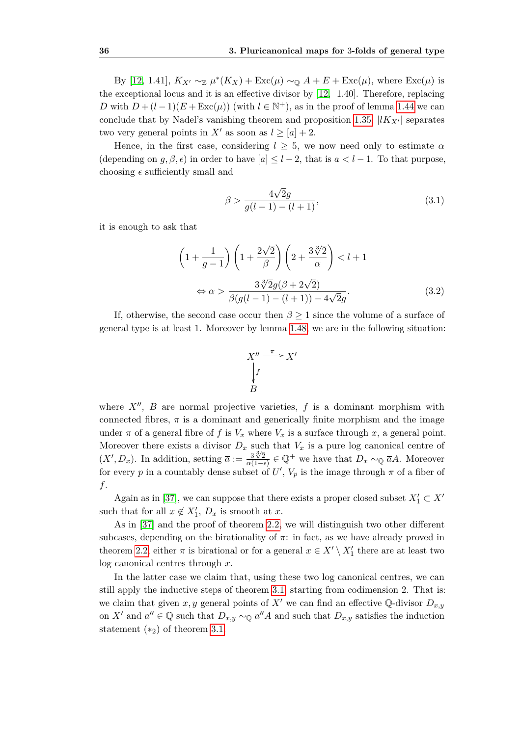By [\[12,](#page-75-3) 1.41],  $K_{X'} \sim_{\mathbb{Z}} \mu^*(K_X) + \text{Exc}(\mu) \sim_{\mathbb{Q}} A + E + \text{Exc}(\mu)$ , where  $\text{Exc}(\mu)$  is the exceptional locus and it is an effective divisor by [\[12,](#page-75-3) 1.40]. Therefore, replacing *D* with  $D + (l-1)(E + \text{Exc}(\mu))$  (with  $l \in \mathbb{N}^+$ ), as in the proof of lemma [1.44](#page-29-0) we can conclude that by Nadel's vanishing theorem and proposition [1.35,](#page-22-0)  $|lK_{X'}|$  separates two very general points in  $X'$  as soon as  $l \geq [a]+2$ .

Hence, in the first case, considering  $l > 5$ , we now need only to estimate  $\alpha$ (depending on *q, β, ε*) in order to have  $|a| \leq l-2$ , that is  $a \leq l-1$ . To that purpose, choosing  $\epsilon$  sufficiently small and

<span id="page-45-0"></span>
$$
\beta > \frac{4\sqrt{2}g}{g(l-1) - (l+1)},
$$
\n(3.1)

it is enough to ask that

<span id="page-45-1"></span>
$$
\left(1+\frac{1}{g-1}\right)\left(1+\frac{2\sqrt{2}}{\beta}\right)\left(2+\frac{3\sqrt[3]{2}}{\alpha}\right) < l+1
$$

$$
\Leftrightarrow \alpha > \frac{3\sqrt[3]{2}g(\beta+2\sqrt{2})}{\beta(g(l-1)-(l+1))-4\sqrt{2}g}.
$$
(3.2)

If, otherwise, the second case occur then  $\beta \geq 1$  since the volume of a surface of general type is at least 1. Moreover by lemma [1.48,](#page-31-1) we are in the following situation:



where  $X''$ ,  $B$  are normal projective varieties,  $f$  is a dominant morphism with connected fibres,  $\pi$  is a dominant and generically finite morphism and the image under  $\pi$  of a general fibre of f is  $V_x$  where  $V_x$  is a surface through x, a general point. Moreover there exists a divisor  $D_x$  such that  $V_x$  is a pure log canonical centre of  $(X', D_x)$ . In addition, setting  $\overline{a} := \frac{3\sqrt[3]{2}}{\alpha(1-a)}$  $\frac{3\sqrt[3]{2}}{\alpha(1-\epsilon)} \in \mathbb{Q}^+$  we have that  $D_x \sim_{\mathbb{Q}} \overline{a}A$ . Moreover for every *p* in a countably dense subset of  $U'$ ,  $V_p$  is the image through  $\pi$  of a fiber of *f*.

Again as in [\[37\]](#page-76-0), we can suppose that there exists a proper closed subset  $X'_1 \subset X'$ such that for all  $x \notin X'_1$ ,  $D_x$  is smooth at  $x$ .

As in [\[37\]](#page-76-0) and the proof of theorem [2.2,](#page-34-1) we will distinguish two other different subcases, depending on the birationality of  $\pi$ : in fact, as we have already proved in theorem [2.2,](#page-34-1) either  $\pi$  is birational or for a general  $x \in X' \setminus X'$  there are at least two log canonical centres through *x*.

In the latter case we claim that, using these two log canonical centres, we can still apply the inductive steps of theorem [3.1,](#page-42-0) starting from codimension 2. That is: we claim that given *x*, *y* general points of *X'* we can find an effective Q-divisor  $D_{x,y}$ on *X<sup><i>i*</sup> and  $\overline{a}'' \in \mathbb{Q}$  such that  $D_{x,y} \sim_{\mathbb{Q}} \overline{a}'' A$  and such that  $D_{x,y}$  satisfies the induction statement  $(*_2)$  of theorem [3.1.](#page-42-0)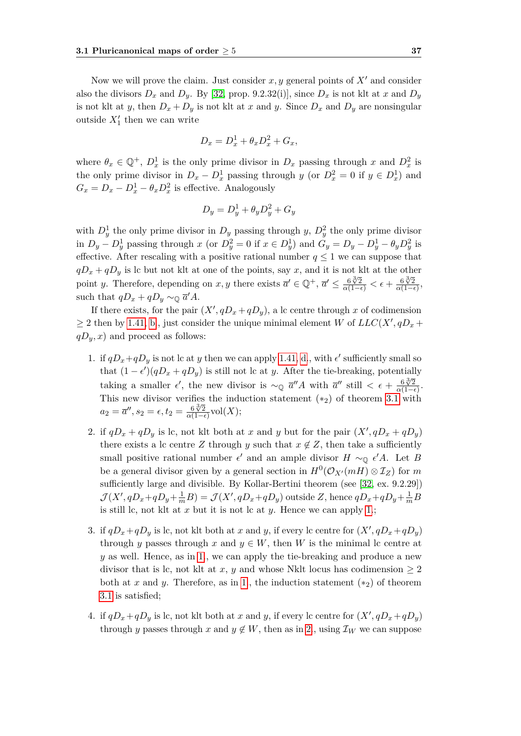Now we will prove the claim. Just consider  $x, y$  general points of  $X<sup>1</sup>$  and consider also the divisors  $D_x$  and  $D_y$ . By [\[32,](#page-76-3) prop. 9.2.32(i)], since  $D_x$  is not klt at x and  $D_y$ is not klt at *y*, then  $D_x + D_y$  is not klt at *x* and *y*. Since  $D_x$  and  $D_y$  are nonsingular outside  $X'_1$  then we can write

$$
D_x = D_x^1 + \theta_x D_x^2 + G_x,
$$

where  $\theta_x \in \mathbb{Q}^+$ ,  $D_x^1$  is the only prime divisor in  $D_x$  passing through x and  $D_x^2$  is the only prime divisor in  $D_x - D_x^1$  passing through *y* (or  $D_x^2 = 0$  if  $y \in D_x^1$ ) and  $G_x = D_x - D_x^1 - \theta_x D_x^2$  is effective. Analogously

$$
D_y = D_y^1 + \theta_y D_y^2 + G_y
$$

with  $D_y^1$  the only prime divisor in  $D_y$  passing through *y*,  $D_y^2$  the only prime divisor in  $D_y - D_y^1$  passing through x (or  $D_y^2 = 0$  if  $x \in D_y^1$ ) and  $G_y = D_y - D_y^1 - \theta_y D_y^2$  is effective. After rescaling with a positive rational number  $q \leq 1$  we can suppose that  $qD_x + qD_y$  is lc but not klt at one of the points, say *x*, and it is not klt at the other point *y*. Therefore, depending on *x*, *y* there exists  $\overline{a}' \in \mathbb{Q}^+$ ,  $\overline{a}' \leq \frac{6\sqrt[3]{2}}{\alpha(1-\epsilon)} < \epsilon + \frac{6\sqrt[3]{2}}{\alpha(1-\epsilon)}$  $\frac{6\sqrt{2}}{\alpha(1-\epsilon)}$ such that  $qD_x + qD_y \sim_{\mathbb{Q}} \overline{a}'A$ .

If there exists, for the pair  $(X', qD_x + qD_y)$ , a lc centre through *x* of codimension  $\geq$  2 then by [1.41,](#page-24-0) [b.](#page-24-2), just consider the unique minimal element *W* of  $LLC(X', qD_x +$  $qD_y, x$  and proceed as follows:

- <span id="page-46-0"></span>1. if  $qD_x+qD_y$  is not lc at *y* then we can apply [1.41,](#page-24-0) [d.](#page-24-1), with  $\epsilon'$  sufficiently small so that  $(1 - \epsilon')(qD_x + qD_y)$  is still not lc at *y*. After the tie-breaking, potentially taking a smaller  $\epsilon'$ , the new divisor is  $\sim_{\mathbb{Q}} \overline{a''}A$  with  $\overline{a''}$  still  $\lt \epsilon + \frac{6\sqrt{2}}{2(1-\epsilon)}$  $\frac{6 \sqrt{\gamma 2}}{\alpha(1-\epsilon)}$ . This new divisor verifies the induction statement (*∗*2) of theorem [3.1](#page-42-0) with *a*<sub>2</sub> =  $\overline{a}''$ , *s*<sub>2</sub> =  $\epsilon$ , *t*<sub>2</sub> =  $\frac{6\sqrt[3]{2}}{6(1-\epsilon)}$  $\frac{6\sqrt[3]{2}}{\alpha(1-\epsilon)}$ vol $(X);$
- <span id="page-46-1"></span>2. if  $qD_x + qD_y$  is lc, not klt both at *x* and *y* but for the pair  $(X', qD_x + qD_y)$ there exists a lc centre *Z* through *y* such that  $x \notin Z$ , then take a sufficiently small positive rational number  $\epsilon'$  and an ample divisor  $H \sim_{\mathbb{Q}} \epsilon' A$ . Let *B* be a general divisor given by a general section in  $H^0(\mathcal{O}_{X'}(mH) \otimes \mathcal{I}_Z)$  for  $m$ sufficiently large and divisible. By Kollar-Bertini theorem (see [\[32,](#page-76-3) ex. 9.2.29])  $\mathcal{J}(X', qD_x+qD_y+\frac{1}{m}B)=\mathcal{J}(X', qD_x+qD_y)$  outside Z, hence  $qD_x+qD_y+\frac{1}{m}B$ is still lc, not klt at *x* but it is not lc at *y*. Hence we can apply [1.](#page-46-0);
- <span id="page-46-3"></span>3. if  $qD_x + qD_y$  is lc, not klt both at *x* and *y*, if every lc centre for  $(X', qD_x + qD_y)$ through *y* passes through *x* and  $y \in W$ , then *W* is the minimal lc centre at *y* as well. Hence, as in [1.](#page-46-0), we can apply the tie-breaking and produce a new divisor that is lc, not klt at *x*, *y* and whose Nklt locus has codimension  $\geq 2$ both at *x* and *y*. Therefore, as in [1.](#page-46-0), the induction statement  $(*_2)$  of theorem [3.1](#page-42-0) is satisfied;
- <span id="page-46-2"></span>4. if  $qD_x + qD_y$  is lc, not klt both at *x* and *y*, if every lc centre for  $(X', qD_x + qD_y)$ through *y* passes through *x* and  $y \notin W$ , then as in [2.](#page-46-1), using  $\mathcal{I}_W$  we can suppose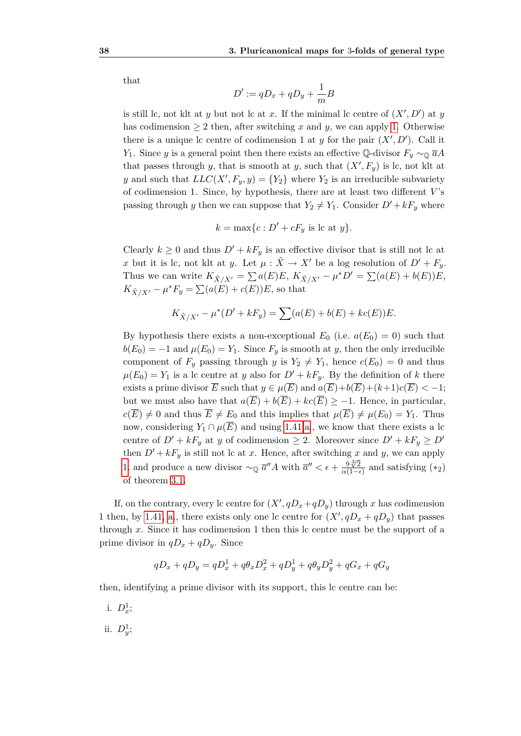that

$$
D' := qD_x + qD_y + \frac{1}{m}B
$$

is still lc, not klt at *y* but not lc at *x*. If the minimal lc centre of  $(X', D')$  at *y* has codimension  $\geq 2$  then, after switching x and y, we can apply [1.](#page-46-0) Otherwise there is a unique lc centre of codimension 1 at *y* for the pair  $(X', D')$ . Call it *Y*<sub>1</sub>. Since *y* is a general point then there exists an effective Q-divisor  $F_y \sim_{\mathbb{Q}} \overline{a}A$ that passes through *y*, that is smooth at *y*, such that  $(X', F_y)$  is lc, not klt at *y* and such that  $LLC(X', F_y, y) = \{Y_2\}$  where  $Y_2$  is an irreducible subvariety of codimension 1. Since, by hypothesis, there are at least two different *V* 's passing through *y* then we can suppose that  $Y_2 \neq Y_1$ . Consider  $D' + kF_y$  where

$$
k = \max\{c : D' + cF_y \text{ is lc at } y\}.
$$

Clearly  $k \geq 0$  and thus  $D' + kF_y$  is an effective divisor that is still not lc at *x* but it is lc, not klt at *y*. Let  $\mu$  :  $\tilde{X} \to X'$  be a log resolution of  $D' + F_y$ . Thus we can write  $K_{\tilde{X}/X'} = \sum a(E)E, K_{\tilde{X}/X'} - \mu^*D' = \sum (a(E) + b(E))E,$  $K_{\tilde{X}/X'} - \mu^* F_y = \sum (a(E) + c(E))E$ , so that

$$
K_{\tilde{X}/X'} - \mu^*(D' + kF_y) = \sum (a(E) + b(E) + kc(E))E.
$$

By hypothesis there exists a non-exceptional  $E_0$  (i.e.  $a(E_0) = 0$ ) such that  $b(E_0) = -1$  and  $\mu(E_0) = Y_1$ . Since  $F_y$  is smooth at *y*, then the only irreducible component of  $F_y$  passing through *y* is  $Y_2 \neq Y_1$ , hence  $c(E_0) = 0$  and thus  $\mu(E_0) = Y_1$  is a lc centre at *y* also for  $D' + kF_y$ . By the definition of *k* there exists a prime divisor  $\overline{E}$  such that  $y \in \mu(\overline{E})$  and  $a(\overline{E})+b(\overline{E})+(k+1)c(\overline{E}) < -1$ ; but we must also have that  $a(\overline{E}) + b(\overline{E}) + kc(\overline{E}) \ge -1$ . Hence, in particular,  $c(\overline{E}) \neq 0$  and thus  $\overline{E} \neq E_0$  and this implies that  $\mu(\overline{E}) \neq \mu(E_0) = Y_1$ . Thus now, considering  $Y_1 \cap \mu(\overline{E})$  and using [1.41](#page-24-0)[,a.](#page-24-3), we know that there exists a lc centre of  $D' + kF_y$  at *y* of codimension  $\geq 2$ . Moreover since  $D' + kF_y \geq D'$ then  $D' + kF_y$  is still not lc at *x*. Hence, after switching *x* and *y*, we can apply [1.](#page-46-0) and produce a new divisor  $\sim_{\mathbb{Q}} \overline{a}'' A$  with  $\overline{a}'' < \epsilon + \frac{9\sqrt{2}}{2\sqrt{1-\epsilon}}$  $\frac{9\sqrt[3]{2}}{\alpha(1-\epsilon)}$  and satisfying (\*2) of theorem [3.1.](#page-42-0)

If, on the contrary, every lc centre for  $(X', qD_x+qD_y)$  through x has codimension 1 then, by [1.41,](#page-24-0) [a.](#page-24-3), there exists only one lc centre for  $(X', qD_x + qD_y)$  that passes through *x*. Since it has codimension 1 then this lc centre must be the support of a prime divisor in  $qD_x + qD_y$ . Since

$$
qD_x + qD_y = qD_x^1 + q\theta_x D_x^2 + qD_y^1 + q\theta_y D_y^2 + qG_x + qG_y
$$

then, identifying a prime divisor with its support, this lc centre can be:

- i.  $D_x^1$ ;
- ii.  $D_y^1$ ;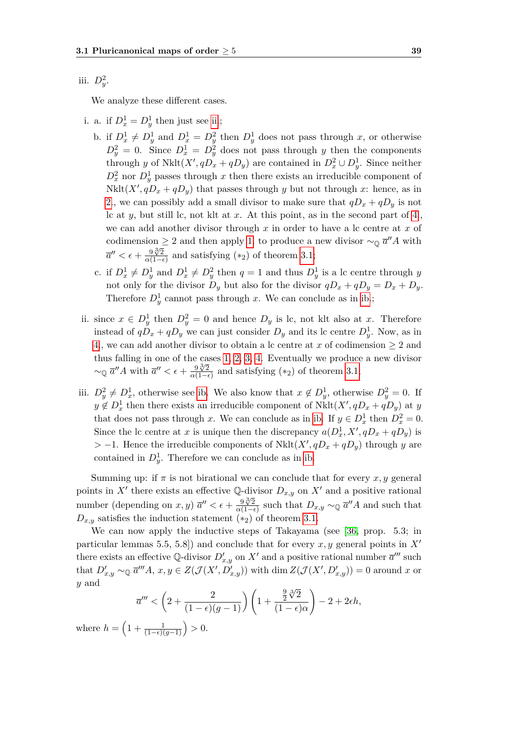iii.  $D_y^2$ .

We analyze these different cases.

- <span id="page-48-1"></span>i. a. if  $D_x^1 = D_y^1$  then just see [ii.](#page-48-0);
	- b. if  $D_x^1 \neq D_y^1$  and  $D_x^1 = D_y^2$  then  $D_y^1$  does not pass through *x*, or otherwise  $D_y^2 = 0$ . Since  $D_x^1 = D_y^2$  does not pass through *y* then the components through *y* of Nklt $(X', qD_x + qD_y)$  are contained in  $D_x^2 \cup D_y^1$ . Since neither  $D_x^2$  nor  $D_y^1$  passes through *x* then there exists an irreducible component of Nklt $(X', qD_x + qD_y)$  that passes through *y* but not through *x*: hence, as in [2.](#page-46-1), we can possibly add a small divisor to make sure that  $qD_x + qD_y$  is not lc at *y*, but still lc, not klt at *x*. At this point, as in the second part of [4.](#page-46-2), we can add another divisor through *x* in order to have a lc centre at *x* of codimension  $\geq 2$  and then apply [1.](#page-46-0) to produce a new divisor  $\sim_{\mathbb{Q}} \overline{a}'' A$  with  $\overline{a}'' < \epsilon + \frac{9\sqrt[3]{2}}{9(1-\epsilon)}$  $\frac{9 \sqrt[3]{2}}{\alpha(1-\epsilon)}$  and satisfying (\*<sub>2</sub>) of theorem [3.1;](#page-42-0)
	- c. if  $D_x^1 \neq D_y^1$  and  $D_x^1 \neq D_y^2$  then  $q = 1$  and thus  $D_y^1$  is a lc centre through *y* not only for the divisor  $D_y$  but also for the divisor  $qD_x + qD_y = D_x + D_y$ . Therefore  $D_y^1$  cannot pass through *x*. We can conclude as in [ib.](#page-48-1);
- <span id="page-48-0"></span>ii. since  $x \in D_y^1$  then  $D_y^2 = 0$  and hence  $D_y$  is lc, not klt also at *x*. Therefore instead of  $qD_x + qD_y$  we can just consider  $D_y$  and its lc centre  $D_y^1$ . Now, as in [4.](#page-46-2), we can add another divisor to obtain a lc centre at *x* of codimension  $\geq 2$  and thus falling in one of the cases [1,](#page-46-0) [2,](#page-46-1) [3,](#page-46-3) [4.](#page-46-2) Eventually we produce a new divisor *∼*<sup> $\alpha$ </sup>*a*<sup>*d*</sup>*A* with  $\overline{a}$ <sup>*n*</sup> <  $\epsilon + \frac{9\sqrt[3]{2}}{8\sqrt{1-4}}$  $\frac{9\sqrt[3]{2}}{\alpha(1-\epsilon)}$  and satisfying (\*2) of theorem [3.1;](#page-42-0)
- iii.  $D_y^2 \neq D_x^1$ , otherwise see [ib.](#page-48-1) We also know that  $x \notin D_y^1$ , otherwise  $D_y^2 = 0$ . If  $y \notin D_x^1$  then there exists an irreducible component of  $Nklt(X', qD_x + qD_y)$  at *y* that does not pass through *x*. We can conclude as in [ib.](#page-48-1) If  $y \in D_x^1$  then  $D_x^2 = 0$ . Since the lc centre at *x* is unique then the discrepancy  $a(D_x^1, X', qD_x + qD_y)$  is  $> -1$ . Hence the irreducible components of Nklt $(X', qD_x + qD_y)$  through *y* are contained in  $D_y^1$ . Therefore we can conclude as in [ib.](#page-48-1)

Summing up: if  $\pi$  is not birational we can conclude that for every  $x, y$  general points in X<sup>*i*</sup> there exists an effective Q-divisor  $D_{x,y}$  on X<sup>*i*</sup> and a positive rational number (depending on *x*, *y*)  $\overline{a}'' < \epsilon + \frac{9\sqrt[3]{2}}{2(1-\epsilon)}$  $\frac{9\sqrt[3]{2}}{\alpha(1-\epsilon)}$  such that  $D_{x,y} \sim_{\mathbb{Q}} \overline{a}''A$  and such that  $D_{x,y}$  satisfies the induction statement  $(*_2)$  of theorem [3.1.](#page-42-0)

We can now apply the inductive steps of Takayama (see [\[36,](#page-76-2) prop. 5.3; in particular lemmas 5.5, 5.8]) and conclude that for every  $x, y$  general points in  $X'$ there exists an effective Q-divisor  $D'_{x,y}$  on  $X'$  and a positive rational number  $\overline{a}^{\prime\prime\prime}$  such that  $D'_{x,y} \sim_{\mathbb{Q}} \overline{a}''' A$ ,  $x, y \in Z(\mathcal{J}(X', D'_{x,y}))$  with dim  $Z(\mathcal{J}(X', D'_{x,y})) = 0$  around x or *y* and *√*3

$$
\overline{a}''' < \left(2 + \frac{2}{(1-\epsilon)(g-1)}\right) \left(1 + \frac{\frac{9}{2}\sqrt[3]{2}}{(1-\epsilon)\alpha}\right) - 2 + 2\epsilon h,
$$
\n
$$
+ \frac{1}{(1-\epsilon)(g-1)} > 0.
$$

where  $h = \left(1 + \frac{1}{(1-\epsilon)(g-1)}\right) > 0.$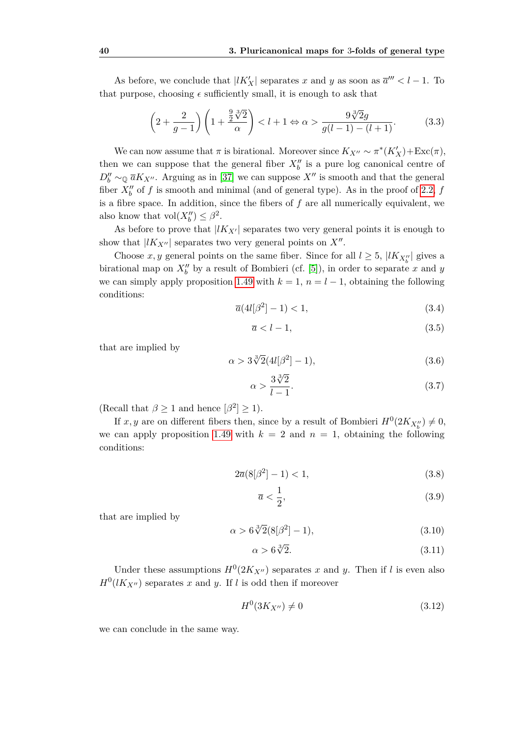As before, we conclude that  $|lK'_{X}|$  separates *x* and *y* as soon as  $\overline{a}''' < l - 1$ . To that purpose, choosing  $\epsilon$  sufficiently small, it is enough to ask that

<span id="page-49-2"></span>
$$
\left(2+\frac{2}{g-1}\right)\left(1+\frac{\frac{9}{2}\sqrt[3]{2}}{\alpha}\right) < l+1 \Leftrightarrow \alpha > \frac{9\sqrt[3]{2}g}{g(l-1)-(l+1)}.\tag{3.3}
$$

We can now assume that  $\pi$  is birational. Moreover since  $K_{X''} \sim \pi^*(K'_X) + \text{Exc}(\pi)$ , then we can suppose that the general fiber  $X_b''$  is a pure log canonical centre of *D*<sup>*n*</sup><sub>*b*</sub>  $\sim$   $\mathbb{Q}$   $\overline{a}K_{X}$ <sup>*n*</sup>. Arguing as in [\[37\]](#page-76-0) we can suppose *X<sup><i>n*</sup></sup> is smooth and that the general fiber  $X_b^{\prime\prime}$  of  $f$  is smooth and minimal (and of general type). As in the proof of [2.2,](#page-34-1)  $f$ is a fibre space. In addition, since the fibers of *f* are all numerically equivalent, we also know that  $\text{vol}(X_b'') \leq \beta^2$ .

As before to prove that  $|lK_{X'}|$  separates two very general points it is enough to show that  $|lK_{X''}|$  separates two very general points on  $X''$ .

Choose *x*, *y* general points on the same fiber. Since for all  $l \geq 5$ ,  $|lK_{X''_b}|$  gives a birational map on  $X''_b$  by a result of Bombieri (cf. [\[5\]](#page-74-3)), in order to separate *x* and *y* we can simply apply proposition [1.49](#page-31-2) with  $k = 1$ ,  $n = l - 1$ , obtaining the following conditions:

$$
\overline{a}(4l[\beta^2]-1) < 1,\tag{3.4}
$$

$$
\overline{a} < l - 1,\tag{3.5}
$$

that are implied by

<span id="page-49-1"></span>
$$
\alpha > 3\sqrt[3]{2}(4l[\beta^2] - 1),\tag{3.6}
$$

<span id="page-49-3"></span>
$$
\alpha > \frac{3\sqrt[3]{2}}{l-1}.\tag{3.7}
$$

 $(Recall that  $\beta \geq 1$  and hence  $[\beta^2] \geq 1$ ).$ 

If  $x, y$  are on different fibers then, since by a result of Bombieri  $H^0(2K_{X''_b}) \neq 0$ , we can apply proposition [1.49](#page-31-2) with  $k = 2$  and  $n = 1$ , obtaining the following conditions:

$$
2\overline{a}(8[\beta^2]-1) < 1,\tag{3.8}
$$

$$
\overline{a} < \frac{1}{2},\tag{3.9}
$$

that are implied by

<span id="page-49-4"></span>
$$
\alpha > 6\sqrt[3]{2}(8[\beta^2]-1),\tag{3.10}
$$

<span id="page-49-5"></span>
$$
\alpha > 6\sqrt[3]{2}.\tag{3.11}
$$

Under these assumptions  $H^0(2K_{X''})$  separates *x* and *y*. Then if *l* is even also  $H^0(lK_{X''})$  separates *x* and *y*. If *l* is odd then if moreover

<span id="page-49-0"></span>
$$
H^0(3K_{X''}) \neq 0 \tag{3.12}
$$

we can conclude in the same way.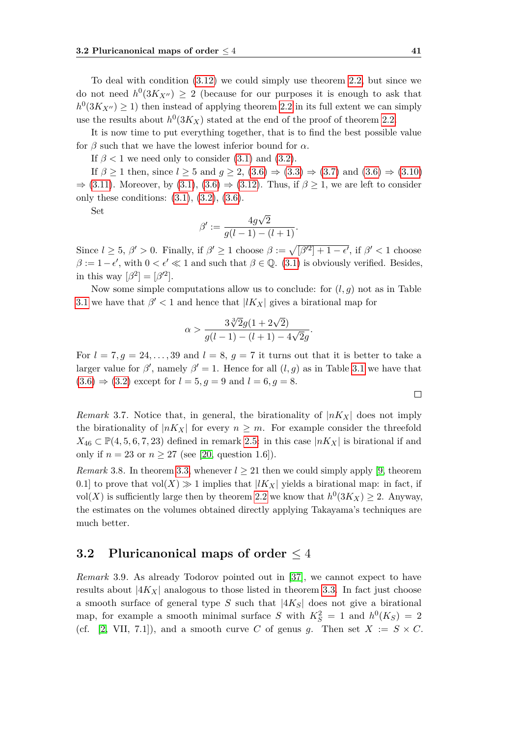To deal with condition [\(3.12\)](#page-49-0) we could simply use theorem [2.2,](#page-34-1) but since we do not need  $h^0(3K_{X''}) \geq 2$  (because for our purposes it is enough to ask that  $h^0(3K_{X''}) \geq 1$ ) then instead of applying theorem [2.2](#page-34-1) in its full extent we can simply use the results about  $h^0(3K_X)$  stated at the end of the proof of theorem [2.2.](#page-34-1)

It is now time to put everything together, that is to find the best possible value for  $\beta$  such that we have the lowest inferior bound for  $\alpha$ .

If  $\beta$  < 1 we need only to consider [\(3.1\)](#page-45-0) and [\(3.2\)](#page-45-1).

If  $\beta \ge 1$  then, since  $l \ge 5$  and  $g \ge 2$ ,  $(3.6) \Rightarrow (3.3) \Rightarrow (3.7)$  $(3.6) \Rightarrow (3.3) \Rightarrow (3.7)$  $(3.6) \Rightarrow (3.3) \Rightarrow (3.7)$  $(3.6) \Rightarrow (3.3) \Rightarrow (3.7)$  $(3.6) \Rightarrow (3.3) \Rightarrow (3.7)$  and  $(3.6) \Rightarrow (3.10)$  $(3.6) \Rightarrow (3.10)$ *⇒* [\(3.11\)](#page-49-5). Moreover, by [\(3.1\)](#page-45-0), [\(3.6\)](#page-49-1) *⇒* [\(3.12\)](#page-49-0). Thus, if *β ≥* 1, we are left to consider only these conditions: [\(3.1\)](#page-45-0), [\(3.2\)](#page-45-1), [\(3.6\)](#page-49-1).

Set

$$
\beta' := \frac{4g\sqrt{2}}{g(l-1) - (l+1)}.
$$

Since  $l \geq 5$ ,  $\beta' > 0$ . Finally, if  $\beta' \geq 1$  choose  $\beta := \sqrt{[\beta'^2] + 1 - \epsilon'}$ , if  $\beta' < 1$  choose  $\beta := 1 - \epsilon'$ , with  $0 < \epsilon' \ll 1$  and such that  $\beta \in \mathbb{Q}$ . [\(3.1\)](#page-45-0) is obviously verified. Besides, in this way  $[\beta^2] = [\beta'^2]$ .

Now some simple computations allow us to conclude: for  $(l, g)$  not as in Table [3.1](#page-43-1) we have that  $\beta' < 1$  and hence that  $|lK_X|$  gives a birational map for

$$
\alpha > \frac{3\sqrt[3]{2}g(1+2\sqrt{2})}{g(l-1) - (l+1) - 4\sqrt{2}g}.
$$

For  $l = 7, g = 24, \ldots, 39$  and  $l = 8, g = 7$  it turns out that it is better to take a larger value for  $\beta'$ , namely  $\beta' = 1$ . Hence for all  $(l, g)$  as in Table [3.1](#page-43-1) we have that  $(3.6) \Rightarrow (3.2)$  $(3.6) \Rightarrow (3.2)$  $(3.6) \Rightarrow (3.2)$  except for  $l = 5, g = 9$  and  $l = 6, g = 8$ .

<span id="page-50-1"></span>*Remark* 3.7. Notice that, in general, the birationality of  $|nK_X|$  does not imply the birationality of  $|nK_X|$  for every  $n \geq m$ . For example consider the threefold *X*<sub>46</sub> ⊂  $\mathbb{P}(4, 5, 6, 7, 23)$  defined in remark [2.5:](#page-41-0) in this case  $|nK_X|$  is birational if and only if  $n = 23$  or  $n \ge 27$  (see [\[20,](#page-75-0) question 1.6]).

*Remark* 3.8. In theorem [3.3,](#page-43-0) whenever  $l \geq 21$  then we could simply apply [\[9,](#page-74-4) theorem 0.1] to prove that  $vol(X) \gg 1$  implies that  $|lK_X|$  yields a birational map: in fact, if vol(*X*) is sufficiently large then by theorem [2.2](#page-34-1) we know that  $h^0(3K_X) \geq 2$ . Anyway, the estimates on the volumes obtained directly applying Takayama's techniques are much better.

#### **3.2 Pluricanonical maps of order** *≤* 4

<span id="page-50-0"></span>*Remark* 3.9*.* As already Todorov pointed out in [\[37\]](#page-76-0), we cannot expect to have results about  $|4K_X|$  analogous to those listed in theorem [3.3.](#page-43-0) In fact just choose a smooth surface of general type *S* such that *|*4*KS|* does not give a birational map, for example a smooth minimal surface *S* with  $K_S^2 = 1$  and  $h^0(K_S) = 2$ (cf. [\[2,](#page-74-1) VII, 7.1]), and a smooth curve *C* of genus *g*. Then set  $X := S \times C$ .

$$
\Box
$$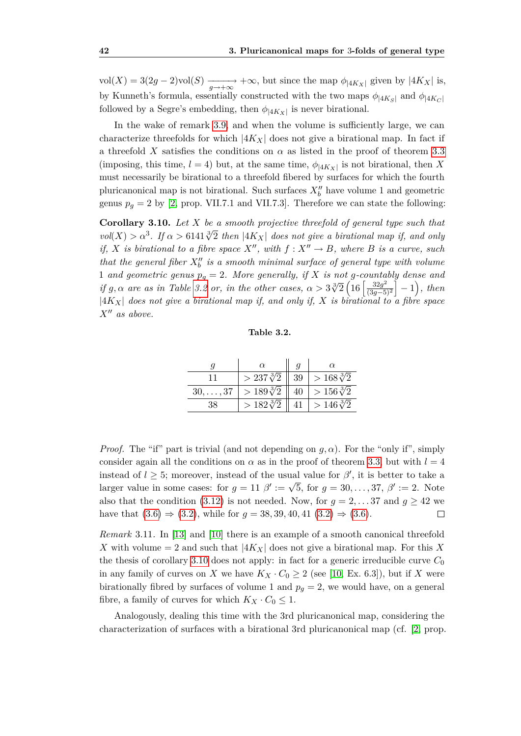vol(*X*) = 3(2*g* − 2)vol(*S*)  $\frac{1}{g \to +\infty}$  +∞, but since the map  $\phi_{|4K_X|}$  given by  $|4K_X|$  is, by Kunneth's formula, essentially constructed with the two maps  $\phi_{|4K_S|}$  and  $\phi_{|4K_C|}$ followed by a Segre's embedding, then  $\phi_{|4K_X|}$  is never birational.

In the wake of remark [3.9,](#page-50-0) and when the volume is sufficiently large, we can characterize threefolds for which  $|4K_X|$  does not give a birational map. In fact if a threefold *X* satisfies the conditions on  $\alpha$  as listed in the proof of theorem [3.3](#page-43-0) (imposing, this time,  $l = 4$ ) but, at the same time,  $\phi_{|4K_X|}$  is not birational, then X must necessarily be birational to a threefold fibered by surfaces for which the fourth pluricanonical map is not birational. Such surfaces  $X''_b$  have volume 1 and geometric genus  $p_q = 2$  by [\[2,](#page-74-1) prop. VII.7.1 and VII.7.3]. Therefore we can state the following:

<span id="page-51-1"></span>**Corollary 3.10.** *Let X be a smooth projective threefold of general type such that*  $vol(X) > \alpha^3$ . If  $\alpha > 6141\sqrt[3]{2}$  then  $|4K_X|$  does not give a birational map if, and only *if, X is birational to a fibre space*  $X''$ *, with*  $f: X'' \to B$ *, where B is a curve, such that the general fiber*  $X_b^{\prime\prime}$  *is a smooth minimal surface of general type with volume* 1 *and geometric genus*  $p_q = 2$ *. More generally, if X is not g-countably dense and if g*, *α are as in Table [3.2](#page-51-0) or, in the other cases,*  $\alpha > 3\sqrt[3]{2} \left( 16 \left[ \frac{32g^2}{32.25} \right] \right)$  $\frac{32g^2}{(3g-5)^2}$  | − 1), then *|*4*KX| does not give a birational map if, and only if, X is birational to a fibre space*  $X''$  *as above.* 

<span id="page-51-0"></span>**Table 3.2.**

|                  | $\alpha$           | a               | $\alpha$           |
|------------------|--------------------|-----------------|--------------------|
|                  | $> 237\sqrt[3]{2}$ | -39             | $>168\sqrt[3]{2}$  |
| $30, \ldots, 37$ | $> 189\sqrt[3]{2}$ | 40 <sub>1</sub> | $ >156\sqrt[3]{2}$ |
| 38               | $> 182\sqrt[3]{2}$ |                 | $> 146\sqrt[3]{2}$ |

*Proof.* The "if" part is trivial (and not depending on  $g, \alpha$ ). For the "only if", simply consider again all the conditions on  $\alpha$  as in the proof of theorem [3.3,](#page-43-0) but with  $l = 4$ instead of  $l \geq 5$ ; moreover, instead of the usual value for  $\beta'$ , it is better to take a larger value in some cases: for  $g = 11 \beta' := \sqrt{5}$ , for  $g = 30, \ldots, 37, \beta' := 2$ . Note also that the condition [\(3.12\)](#page-49-0) is not needed. Now, for  $g = 2, \ldots 37$  and  $g \ge 42$  we have that  $(3.6) \Rightarrow (3.2)$  $(3.6) \Rightarrow (3.2)$  $(3.6) \Rightarrow (3.2)$ , while for  $q = 38, 39, 40, 41, (3.2) \Rightarrow (3.6)$ .  $\Box$ 

*Remark* 3.11*.* In [\[13\]](#page-75-4) and [\[10\]](#page-74-5) there is an example of a smooth canonical threefold *X* with volume = 2 and such that  $|4K_X|$  does not give a birational map. For this *X* the thesis of corollary [3.10](#page-51-1) does not apply: in fact for a generic irreducible curve  $C_0$ in any family of curves on *X* we have  $K_X \cdot C_0 \geq 2$  (see [\[10,](#page-74-5) Ex. 6.3]), but if *X* were birationally fibred by surfaces of volume 1 and  $p<sub>g</sub> = 2$ , we would have, on a general fibre, a family of curves for which  $K_X \cdot C_0 \leq 1$ .

Analogously, dealing this time with the 3rd pluricanonical map, considering the characterization of surfaces with a birational 3rd pluricanonical map (cf. [\[2,](#page-74-1) prop.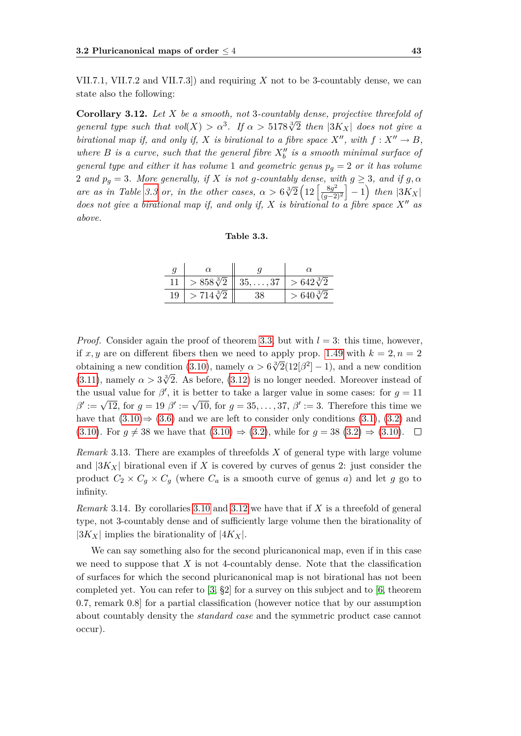VII.7.1, VII.7.2 and VII.7.3]) and requiring *X* not to be 3-countably dense, we can state also the following:

<span id="page-52-1"></span>**Corollary 3.12.** *Let X be a smooth, not* 3*-countably dense, projective threefold of general type such that*  $vol(X) > \alpha^3$ . If  $\alpha > 5178\sqrt[3]{2}$  then  $|3K_X|$  does not give a *birational map if, and only if, X is birational to a fibre space*  $X''$ *, with*  $f: X'' \to B$ *, where*  $B$  *is a curve, such that the general fibre*  $X_b''$  *is a smooth minimal surface of general type and either it has volume* 1 *and geometric genus*  $p_g = 2$  *or it has volume* 2 *and*  $p_g = 3$ *. More generally, if X is not g-countably dense, with*  $g \geq 3$ *, and if*  $g, \alpha$ *are as in Table [3.3](#page-52-0) or, in the other cases,*  $\alpha > 6\sqrt[3]{2} \left(12 \frac{8g^2}{\left(\frac{392}{\cdots}\right)^2}\right)$  $\left[\frac{8g^2}{(g-2)^2}\right] - 1$ ) then  $|3K_X|$ *does not give a birational map if, and only if,*  $X$  *is birational to a fibre space*  $X''$  *as above.*

<span id="page-52-0"></span>

| Table 3.3. |  |
|------------|--|
|------------|--|

| q  |                    |                                                    |                   |
|----|--------------------|----------------------------------------------------|-------------------|
|    |                    | $> 858\sqrt[3]{2}$   35, , 37   $> 642\sqrt[3]{2}$ |                   |
| 19 | $> 714\sqrt[3]{2}$ |                                                    | $>640\sqrt[3]{2}$ |

*Proof.* Consider again the proof of theorem [3.3,](#page-43-0) but with  $l = 3$ : this time, however, if x, y are on different fibers then we need to apply prop. [1.49](#page-31-2) with  $k = 2, n = 2$  $\alpha$ , *μ* are on dimerent moets then we need to apply prop. 1.43 with  $\kappa = 2, \kappa = 2$ <br>obtaining a new condition [\(3.10\)](#page-49-4), namely  $\alpha > 6\sqrt[3]{2}(12|\beta^2|-1)$ , and a new condition [\(3.11\)](#page-49-5), namely  $\alpha > 3\sqrt[3]{2}$ . As before, [\(3.12\)](#page-49-0) is no longer needed. Moreover instead of the usual value for  $\beta'$ , it is better to take a larger value in some cases: for  $g = 11$  $\beta' := \sqrt{12}$ , for  $g = 19$   $\beta' := \sqrt{10}$ , for  $g = 35, \ldots, 37$ ,  $\beta' := 3$ . Therefore this time we have that  $(3.10) \Rightarrow (3.6)$  $(3.10) \Rightarrow (3.6)$  $(3.10) \Rightarrow (3.6)$  and we are left to consider only conditions  $(3.1)$ ,  $(3.2)$  and [\(3.10\)](#page-49-4). For  $g \neq 38$  we have that  $(3.10) \Rightarrow (3.2)$  $(3.10) \Rightarrow (3.2)$ , while for  $g = 38$   $(3.2) \Rightarrow (3.10)$ .  $\Box$ 

*Remark* 3.13*.* There are examples of threefolds *X* of general type with large volume and  $|3K_X|$  birational even if X is covered by curves of genus 2: just consider the product  $C_2 \times C_g \times C_g$  (where  $C_a$  is a smooth curve of genus *a*) and let *g* go to infinity.

*Remark* 3.14*.* By corollaries [3.10](#page-51-1) and [3.12](#page-52-1) we have that if *X* is a threefold of general type, not 3-countably dense and of sufficiently large volume then the birationality of  $|3K_X|$  implies the birationality of  $|4K_X|$ .

We can say something also for the second pluricanonical map, even if in this case we need to suppose that *X* is not 4-countably dense. Note that the classification of surfaces for which the second pluricanonical map is not birational has not been completed yet. You can refer to  $[3, §2]$  $[3, §2]$  for a survey on this subject and to  $[6,$  theorem 0.7, remark 0.8] for a partial classification (however notice that by our assumption about countably density the *standard case* and the symmetric product case cannot occur).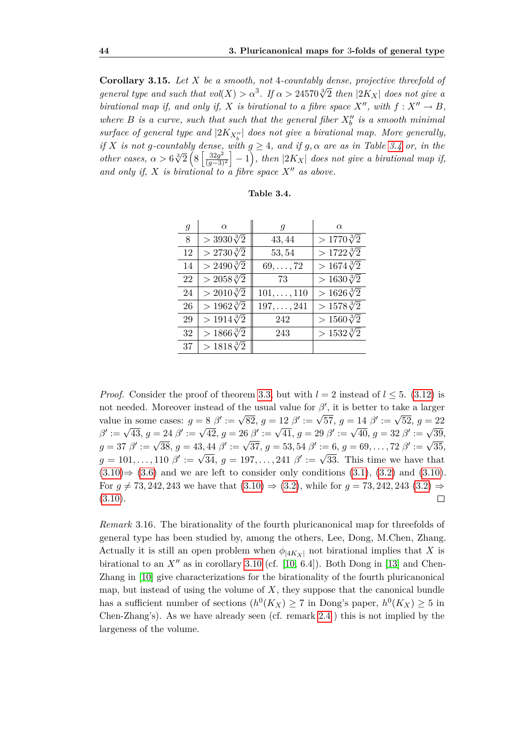**Corollary 3.15.** *Let X be a smooth, not* 4*-countably dense, projective threefold of general type and such that*  $vol(X) > \alpha^3$ . If  $\alpha > 24570\sqrt[3]{2}$  then  $|2K_X|$  does not give a *birational map if, and only if, X is birational to a fibre space*  $X''$ *, with*  $f: X'' \to B$ *,* where  $B$  *is a curve, such that such that the general fiber*  $X_0''$  *is a smooth minimal*  $\mathit{surface}$  of general type and  $|2K_{X''_b}|$  does not give a birational map. More generally, *if X is not g*-*countably dense, with*  $g \geq 4$ *, and if*  $g, \alpha$  *are as in Table [3.4](#page-53-0) or, in the other cases,*  $\alpha > 6\sqrt[3]{2} \left( 8 \left[ \frac{32g^2}{(a-3)} \right] \right)$  $\left(\frac{32g^2}{(g-3)^2}\right] - 1$ , then  $|2K_X|$  does not give a birational map if, and only if, X is birational to a fibre space  $X''$  as above.

<span id="page-53-0"></span>

| Table 3.4. |  |
|------------|--|
|------------|--|

| $\mathfrak{g}$ | $\alpha$               | $\boldsymbol{q}$   | $\alpha$             |
|----------------|------------------------|--------------------|----------------------|
| 8              | $>$ 3930 $\sqrt[3]{2}$ | 43, 44             | $>1770\sqrt[3]{2}$   |
| 12             | $> 2730\sqrt[3]{2}$    | 53,54              | $>1722\sqrt[3]{2}$   |
| 14             | $> 2490\sqrt[3]{2}$    | $69, \ldots, 72$   | $> 1674\sqrt[3]{2}$  |
| 22             | $> 2058\sqrt[3]{2}$    | 73                 | $> 1630\sqrt[3]{2}$  |
| 24             | $> 2010\sqrt[3]{2}$    | $101, \ldots, 110$ | $> 1626 \sqrt[3]{2}$ |
| 26             | $> 1962\sqrt[3]{2}$    | $197, \ldots, 241$ | $>1578\sqrt[3]{2}$   |
| 29             | $> 1914\sqrt[3]{2}$    | 242                | $>1560\sqrt[3]{2}$   |
| 32             | $> 1866\sqrt[3]{2}$    | 243                | $> 1532\sqrt[3]{2}$  |
| 37             | $> 1818\sqrt[3]{2}$    |                    |                      |

*Proof.* Consider the proof of theorem [3.3,](#page-43-0) but with  $l = 2$  instead of  $l \leq 5$ . [\(3.12\)](#page-49-0) is not needed. Moreover instead of the usual value for  $\beta'$ , it is better to take a larger value in some cases:  $g = 8 \beta' := \sqrt{82}, g = 12 \beta' := \sqrt{57}, g = 14 \beta' := \sqrt{52}, g = 22$ value in some cases.  $g - \delta p := \sqrt{2}, g = 12 p := \sqrt{31}, g = 14 p := \sqrt{32}, g = 22$ <br>  $\beta' := \sqrt{43}, g = 24 \beta' := \sqrt{42}, g = 26 \beta' := \sqrt{41}, g = 29 \beta' := \sqrt{40}, g = 32 \beta' := \sqrt{39},$  $g = 37 \ \beta' := \sqrt{38}, g = 43, 44 \ \beta' := \sqrt{37}, g = 53, 54 \ \beta' := 6, g = 69, \ldots, 72 \ \beta' := \sqrt{35},$  $g = 101, \ldots, 110 \; \beta' := \sqrt{34}, \ g = 197, \ldots, 241 \; \beta' := \sqrt{33}.$  This time we have that [\(3.10\)](#page-49-4)*⇒* [\(3.6\)](#page-49-1) and we are left to consider only conditions [\(3.1\)](#page-45-0), [\(3.2\)](#page-45-1) and [\(3.10\)](#page-49-4). For  $q \neq 73, 242, 243$  we have that  $(3.10) \Rightarrow (3.2)$  $(3.10) \Rightarrow (3.2)$  $(3.10) \Rightarrow (3.2)$ , while for  $q = 73, 242, 243$   $(3.2) \Rightarrow$  $(3.10).$  $(3.10).$  $\Box$ 

*Remark* 3.16*.* The birationality of the fourth pluricanonical map for threefolds of general type has been studied by, among the others, Lee, Dong, M.Chen, Zhang. Actually it is still an open problem when  $\phi_{|4K_X|}$  not birational implies that X is birational to an  $X''$  as in corollary [3.10](#page-51-1) (cf. [\[10,](#page-74-5) 6.4]). Both Dong in [\[13\]](#page-75-4) and Chen-Zhang in [\[10\]](#page-74-5) give characterizations for the birationality of the fourth pluricanonical map, but instead of using the volume of  $X$ , they suppose that the canonical bundle has a sufficient number of sections  $(h^0(K_X) \ge 7$  in Dong's paper,  $h^0(K_X) \ge 5$  in Chen-Zhang's). As we have already seen (cf. remark [2.4](#page-40-0) ) this is not implied by the largeness of the volume.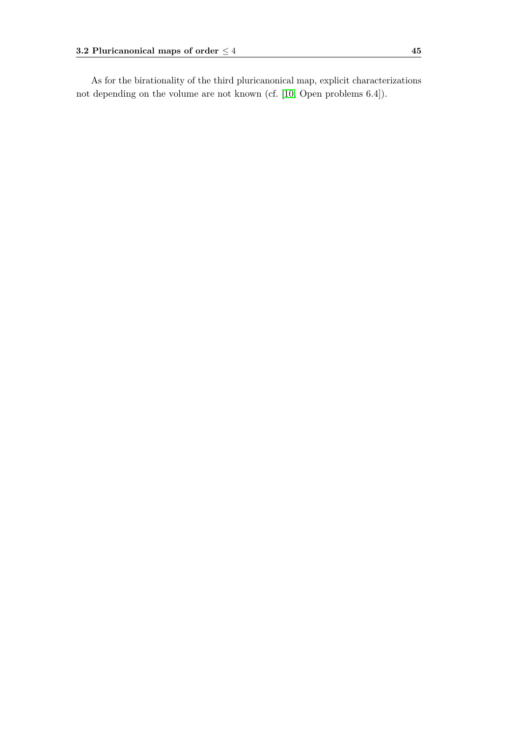As for the birationality of the third pluricanonical map, explicit characterizations not depending on the volume are not known (cf. [\[10,](#page-74-5) Open problems 6.4]).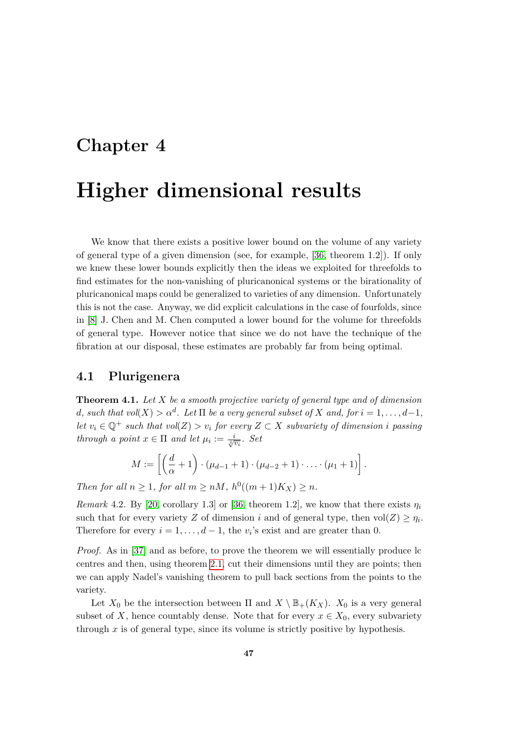### **Chapter 4**

## **Higher dimensional results**

We know that there exists a positive lower bound on the volume of any variety of general type of a given dimension (see, for example, [\[36,](#page-76-2) theorem 1.2]). If only we knew these lower bounds explicitly then the ideas we exploited for threefolds to find estimates for the non-vanishing of pluricanonical systems or the birationality of pluricanonical maps could be generalized to varieties of any dimension. Unfortunately this is not the case. Anyway, we did explicit calculations in the case of fourfolds, since in [\[8\]](#page-74-2) J. Chen and M. Chen computed a lower bound for the volume for threefolds of general type. However notice that since we do not have the technique of the fibration at our disposal, these estimates are probably far from being optimal.

#### **4.1 Plurigenera**

<span id="page-56-0"></span>**Theorem 4.1.** *Let X be a smooth projective variety of general type and of dimension d*, such that  $vol(X) > \alpha^d$ . Let  $\Pi$  be a very general subset of  $X$  and, for  $i = 1, \ldots, d-1$ , *let*  $v_i$  ∈  $\mathbb{Q}^+$  *such that*  $vol(Z) > v_i$  *for every*  $Z \subset X$  *subvariety of dimension i passing through a point*  $x \in \Pi$  *and let*  $\mu_i := \frac{i}{\sqrt[i]{v_i}}$ *. Set* 

$$
M := \left[ \left( \frac{d}{\alpha} + 1 \right) \cdot \left( \mu_{d-1} + 1 \right) \cdot \left( \mu_{d-2} + 1 \right) \cdot \ldots \cdot \left( \mu_1 + 1 \right) \right].
$$

*Then for all*  $n \geq 1$ *, for all*  $m \geq nM$ *,*  $h^0((m+1)K_X) \geq n$ *.* 

*Remark* 4.2. By [\[20,](#page-75-0) corollary 1.3] or [\[36,](#page-76-2) theorem 1.2], we know that there exists  $\eta_i$ such that for every variety *Z* of dimension *i* and of general type, then  $vol(Z) \ge \eta_i$ . Therefore for every  $i = 1, \ldots, d - 1$ , the *v*<sub>*i*</sub>'s exist and are greater than 0.

*Proof.* As in [\[37\]](#page-76-0) and as before, to prove the theorem we will essentially produce lc centres and then, using theorem [2.1,](#page-34-0) cut their dimensions until they are points; then we can apply Nadel's vanishing theorem to pull back sections from the points to the variety.

Let  $X_0$  be the intersection between  $\Pi$  and  $X \setminus \mathbb{B}_+(K_X)$ .  $X_0$  is a very general subset of *X*, hence countably dense. Note that for every  $x \in X_0$ , every subvariety through  $x$  is of general type, since its volume is strictly positive by hypothesis.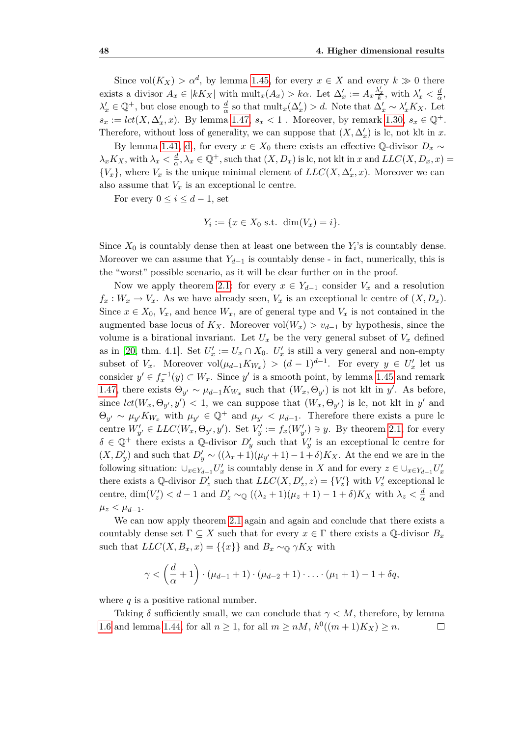Since  $vol(K_X) > \alpha^d$ , by lemma [1.45,](#page-30-0) for every  $x \in X$  and every  $k \gg 0$  there exists a divisor  $A_x \in |kK_X|$  with  $\text{mult}_x(A_x) > k\alpha$ . Let  $\Delta'_x := A_x \frac{\lambda'_x}{k}$ , with  $\lambda'_x < \frac{d}{\alpha}$  $\frac{d}{\alpha}$ ,  $\lambda'_x \in \mathbb{Q}^+$ , but close enough to  $\frac{d}{\alpha}$  so that  $\text{mult}_x(\Delta'_x) > d$ . Note that  $\Delta'_x \sim \lambda'_x K_X$ . Let  $s_x := \text{lct}(X, \Delta'_x, x)$ . By lemma [1.47,](#page-31-0)  $s_x < 1$ . Moreover, by remark [1.30,](#page-21-0)  $s_x \in \mathbb{Q}^+$ . Therefore, without loss of generality, we can suppose that  $(X, \Delta'_x)$  is lc, not klt in *x*.

By lemma [1.41,](#page-24-0) [d.](#page-24-1), for every  $x \in X_0$  there exists an effective Q-divisor  $D_x \sim$  $\lambda_x K_X$ , with  $\lambda_x < \frac{d}{\alpha}$  $\frac{d}{dx}$ ,  $\lambda_x \in \mathbb{Q}^+$ , such that  $(X, D_x)$  is lc, not klt in *x* and  $LLC(X, D_x, x)$  =  $\{V_x\}$ , where  $V_x$  is the unique minimal element of  $LLC(X, \Delta'_x, x)$ . Moreover we can also assume that  $V_x$  is an exceptional lc centre.

For every  $0 \leq i \leq d-1$ , set

$$
Y_i := \{x \in X_0 \text{ s.t. } \dim(V_x) = i\}.
$$

Since  $X_0$  is countably dense then at least one between the  $Y_i$ 's is countably dense. Moreover we can assume that  $Y_{d-1}$  is countably dense - in fact, numerically, this is the "worst" possible scenario, as it will be clear further on in the proof.

Now we apply theorem [2.1:](#page-34-0) for every  $x \in Y_{d-1}$  consider  $V_x$  and a resolution  $f_x: W_x \to V_x$ . As we have already seen,  $V_x$  is an exceptional lc centre of  $(X, D_x)$ . Since  $x \in X_0$ ,  $V_x$ , and hence  $W_x$ , are of general type and  $V_x$  is not contained in the augmented base locus of  $K_X$ . Moreover vol $(W_x) > v_{d-1}$  by hypothesis, since the volume is a birational invariant. Let  $U_x$  be the very general subset of  $V_x$  defined as in [\[20,](#page-75-0) thm. 4.1]. Set  $U'_x := U_x \cap X_0$ .  $U'_x$  is still a very general and non-empty subset of  $V_x$ . Moreover  $vol(\mu_{d-1}K_{W_x}) > (d-1)^{d-1}$ . For every  $y \in U'_x$  let us consider  $y' \in f_x^{-1}(y) \subset W_x$ . Since  $y'$  is a smooth point, by lemma [1.45](#page-30-0) and remark [1.47,](#page-31-0) there exists  $\Theta_{y'} \sim \mu_{d-1} K_{W_x}$  such that  $(W_x, \Theta_{y'})$  is not klt in *y'*. As before, since  $lct(W_x, \Theta_{y'}, y') < 1$ , we can suppose that  $(W_x, \Theta_{y'})$  is lc, not klt in  $y'$  and  $\Theta_{y'} \sim \mu_{y'} K_{W_x}$  with  $\mu_{y'} \in \mathbb{Q}^+$  and  $\mu_{y'} < \mu_{d-1}$ . Therefore there exists a pure lc centre  $W'_{y'} \in LLC(W_x, \Theta_{y'}, y')$ . Set  $V'_{y} := f_x(W'_{y'}) \ni y$ . By theorem [2.1,](#page-34-0) for every  $\delta \in \mathbb{Q}^+$  there exists a Q-divisor  $D'_y$  such that  $V'_y$  is an exceptional lc centre for  $(X, D'_y)$  and such that  $D'_y \sim ((\lambda_x + 1)(\mu_{y'} + 1) - 1 + \delta)K_X$ . At the end we are in the following situation:  $\cup_{x\in Y_{d-1}}U'_x$  is countably dense in X and for every  $z\in\cup_{x\in Y_{d-1}}U'_x$ there exists a Q-divisor  $D'_z$  such that  $LLC(X, D'_z, z) = \{V'_z\}$  with  $V'_z$  exceptional lc centre, dim $(V'_z)$  < d - 1 and  $D'_z \sim_{\mathbb{Q}} ((\lambda_z + 1)(\mu_z + 1) - 1 + \delta)K_X$  with  $\lambda_z < \frac{d}{\alpha}$  $\frac{d}{\alpha}$  and  $\mu_z < \mu_{d-1}$ .

We can now apply theorem [2.1](#page-34-0) again and again and conclude that there exists a countably dense set  $\Gamma \subseteq X$  such that for every  $x \in \Gamma$  there exists a  $\mathbb{Q}$ -divisor  $B_x$ such that  $LLC(X, B_x, x) = \{\{x\}\}\$ and  $B_x \sim_{\mathbb{Q}} \gamma K_X$  with

$$
\gamma < \left(\frac{d}{\alpha}+1\right)\cdot(\mu_{d-1}+1)\cdot(\mu_{d-2}+1)\cdot\ldots\cdot(\mu_1+1)-1+\delta q,
$$

where *q* is a positive rational number.

<span id="page-57-0"></span>Taking  $\delta$  sufficiently small, we can conclude that  $\gamma < M$ , therefore, by lemma [1.6](#page-13-0) and lemma [1.44,](#page-29-0) for all  $n \ge 1$ , for all  $m \ge nM$ ,  $h^0((m+1)K_X) \ge n$ .  $\Box$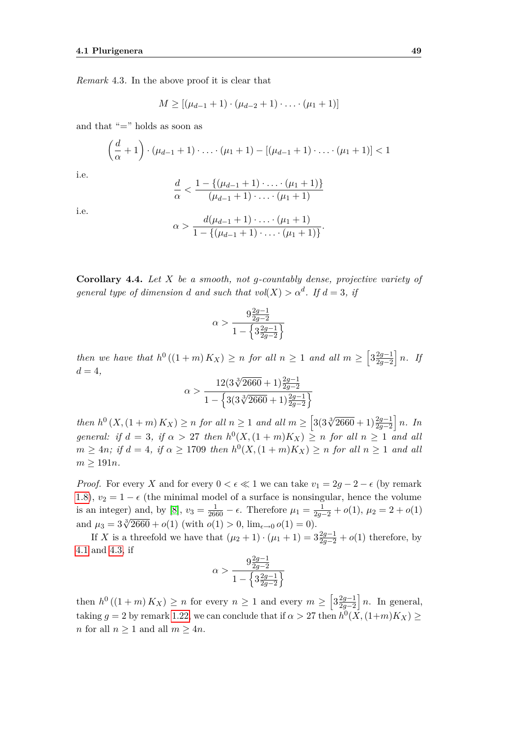*Remark* 4.3*.* In the above proof it is clear that

$$
M \geq [(\mu_{d-1} + 1) \cdot (\mu_{d-2} + 1) \cdot \ldots \cdot (\mu_1 + 1)]
$$

and that "=" holds as soon as

$$
\left(\frac{d}{\alpha}+1\right) \cdot \left(\mu_{d-1}+1\right) \cdot \ldots \cdot \left(\mu_1+1\right) - \left[\left(\mu_{d-1}+1\right) \cdot \ldots \cdot \left(\mu_1+1\right)\right] < 1
$$

i.e.

$$
\frac{d}{\alpha} < \frac{1 - \{(\mu_{d-1} + 1) \cdot \ldots \cdot (\mu_1 + 1)\}}{(\mu_{d-1} + 1) \cdot \ldots \cdot (\mu_1 + 1)}
$$

i.e.

$$
\alpha > \frac{d(\mu_{d-1}+1)\cdot \ldots \cdot (\mu_1+1)}{1-\{(\mu_{d-1}+1)\cdot \ldots \cdot (\mu_1+1)\}}
$$

*.*

<span id="page-58-0"></span>**Corollary 4.4.** *Let X be a smooth, not g-countably dense, projective variety of general type of dimension d and such that vol*( $X$ )  $> \alpha^d$ . If  $d = 3$ , *if* 

$$
\alpha>\frac{9\frac{2g-1}{2g-2}}{1-\left\{3\frac{2g-1}{2g-2}\right\}}
$$

*then* we have that  $h^0((1+m)K_X) \geq n$  for all  $n \geq 1$  and all  $m \geq \left[3\frac{2g-1}{2g-2}\right]$  $\frac{2g-1}{2g-2}$  *n. If*  $d = 4,$ 

$$
\alpha > \frac{12(3\sqrt[3]{2660} + 1)\frac{2g-1}{2g-2}}{1 - \left\{3(3\sqrt[3]{2660} + 1)\frac{2g-1}{2g-2}\right\}}
$$

then  $h^0(X,(1+m)K_X) \ge n$  for all  $n \ge 1$  and all  $m \ge \left[3(3\sqrt[3]{2660}+1)\frac{2g-1}{2g-2}\right]n$ . In *general: if*  $d = 3$ *, if*  $\alpha > 27$  *then*  $h^0(X, (1 + m)K_X) \ge n$  *for all*  $n \ge 1$  *and all*  $m \geq 4n$ ; if  $d = 4$ , if  $\alpha \geq 1709$  then  $h^0(X, (1 + m)K_X) \geq n$  for all  $n \geq 1$  and all  $m \geq 191n$ .

*Proof.* For every *X* and for every  $0 < \epsilon \ll 1$  we can take  $v_1 = 2g - 2 - \epsilon$  (by remark [1.8\)](#page-14-1),  $v_2 = 1 - \epsilon$  (the minimal model of a surface is nonsingular, hence the volume is an integer) and, by [\[8\]](#page-74-2),  $v_3 = \frac{1}{2660} - \epsilon$ . Therefore  $\mu_1 = \frac{1}{2g-2} + o(1)$ ,  $\mu_2 = 2 + o(1)$ and  $\mu_3 = 3\sqrt[3]{2660} + o(1)$  (with  $o(1) > 0$ ,  $\lim_{\epsilon \to 0} o(1) = 0$ ).

If *X* is a threefold we have that  $(\mu_2 + 1) \cdot (\mu_1 + 1) = 3\frac{2g-1}{2g-2} + o(1)$  therefore, by [4.1](#page-56-0) and [4.3,](#page-57-0) if

$$
\alpha>\frac{9\frac{2g-1}{2g-2}}{1-\left\{3\frac{2g-1}{2g-2}\right\}}
$$

then  $h^0((1+m)K_X) \ge n$  for every  $n \ge 1$  and every  $m \ge \left[3\frac{2g-1}{2g-2}\right]$  $\frac{2g-1}{2g-2}$  *n*. In general, taking  $g = 2$  by remark [1.22,](#page-18-0) we can conclude that if  $\alpha > 27$  then  $h^0(\overline{X}, (1+m)K_X) \ge$ *n* for all *n ≥* 1 and all *m ≥* 4*n*.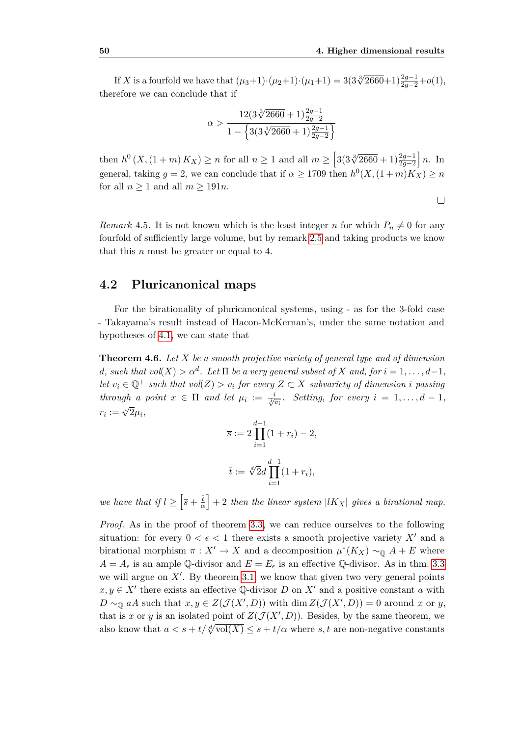If *X* is a fourfold we have that  $(\mu_3+1)\cdot(\mu_2+1)\cdot(\mu_1+1) = 3(3\sqrt[3]{2660}+1)\frac{2g-1}{2g-2}+o(1)$ , therefore we can conclude that if

$$
\alpha > \frac{12(3\sqrt[3]{2660} + 1)\frac{2g-1}{2g-2}}{1 - \left\{3(3\sqrt[3]{2660} + 1)\frac{2g-1}{2g-2}\right\}}
$$

then  $h^0(X, (1 + m) K_X) \ge n$  for all  $n \ge 1$  and all  $m \ge \left[3(3\sqrt[3]{2660} + 1)\frac{2g-1}{2g-2}\right]n$ . In general, taking  $g = 2$ , we can conclude that if  $\alpha \geq 1709$  then  $h^0(X, (1+m)K_X) \geq n$ for all  $n > 1$  and all  $m > 191n$ .

*Remark* 4.5. It is not known which is the least integer *n* for which  $P_n \neq 0$  for any fourfold of sufficiently large volume, but by remark [2.5](#page-41-0) and taking products we know that this *n* must be greater or equal to 4.

#### **4.2 Pluricanonical maps**

For the birationality of pluricanonical systems, using - as for the 3-fold case - Takayama's result instead of Hacon-McKernan's, under the same notation and hypotheses of [4.1,](#page-56-0) we can state that

<span id="page-59-0"></span>**Theorem 4.6.** *Let X be a smooth projective variety of general type and of dimension d*, such that  $vol(X) > \alpha^d$ . Let  $\Pi$  be a very general subset of  $X$  and, for  $i = 1, \ldots, d-1$ , *let*  $v_i \in \mathbb{Q}^+$  *such that*  $vol(Z) > v_i$  *for every*  $Z \subset X$  *subvariety of dimension i passing through a point*  $x \in \Pi$  *and let*  $\mu_i := \frac{i}{\sqrt[n]{v_i}}$ *. Setting, for every*  $i = 1, \ldots, d - 1$ *,*  $r_i := \sqrt[i]{2} \mu_i$ 

$$
\overline{s} := 2 \prod_{i=1}^{d-1} (1 + r_i) - 2,
$$
  

$$
\overline{t} := \sqrt[d]{2} d \prod_{i=1}^{d-1} (1 + r_i),
$$

*we have that if*  $l \geq \left[\overline{s} + \frac{\overline{t}}{2}\right]$  $\left(\frac{\overline{t}}{\alpha}\right]$  + 2 *then the linear system*  $|lK_X|$  *gives a birational map.* 

*Proof.* As in the proof of theorem [3.3,](#page-43-0) we can reduce ourselves to the following situation: for every  $0 < \epsilon < 1$  there exists a smooth projective variety X<sup>*i*</sup> and a birational morphism  $\pi : X' \to X$  and a decomposition  $\mu^*(K_X) \sim_{\mathbb{Q}} A + E$  where  $A = A_{\epsilon}$  is an ample Q-divisor and  $E = E_{\epsilon}$  is an effective Q-divisor. As in thm. [3.3](#page-43-0) we will argue on  $X'$ . By theorem [3.1,](#page-42-0) we know that given two very general points  $x, y \in X'$  there exists an effective Q-divisor *D* on  $X'$  and a positive constant *a* with  $D \sim_{\mathbb{Q}} aA$  such that  $x, y \in Z(\mathcal{J}(X', D))$  with dim  $Z(\mathcal{J}(X', D)) = 0$  around *x* or *y*, that is *x* or *y* is an isolated point of  $Z(\mathcal{J}(X', D))$ . Besides, by the same theorem, we also know that  $a < s + t/\sqrt[d]{\text{vol}(X)} \leq s + t/\alpha$  where *s*, *t* are non-negative constants

 $\Box$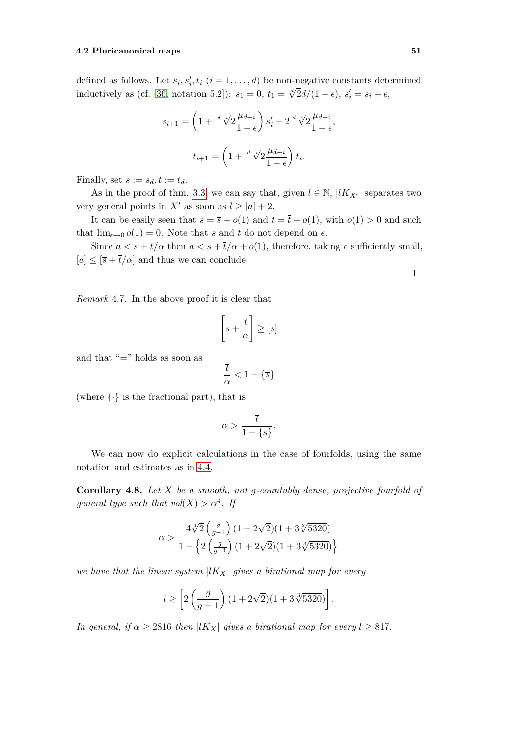defined as follows. Let  $s_i, s'_i, t_i$   $(i = 1, \ldots, d)$  be non-negative constants determined inductively as (cf. [\[36,](#page-76-2) notation 5.2]):  $s_1 = 0$ ,  $t_1 = \sqrt[4]{2}d/(1 - \epsilon)$ ,  $s'_i = s_i + \epsilon$ ,

$$
s_{i+1} = \left(1 + \sqrt[d-4]{2} \frac{\mu_{d-i}}{1 - \epsilon}\right) s'_i + 2 \sqrt[d-4]{2} \frac{\mu_{d-i}}{1 - \epsilon},
$$
  

$$
t_{i+1} = \left(1 + \sqrt[d-4]{2} \frac{\mu_{d-i}}{1 - \epsilon}\right) t_i.
$$

Finally, set  $s := s_d, t := t_d$ .

As in the proof of thm. [3.3,](#page-43-0) we can say that, given  $l \in \mathbb{N}$ ,  $|lK_{X'}|$  separates two very general points in  $X'$  as soon as  $l \geq [a] + 2$ .

It can be easily seen that  $s = \overline{s} + o(1)$  and  $t = \overline{t} + o(1)$ , with  $o(1) > 0$  and such that  $\lim_{\epsilon \to 0} o(1) = 0$ . Note that  $\overline{s}$  and  $\overline{t}$  do not depend on  $\epsilon$ .

Since  $a < s + t/\alpha$  then  $a < \overline{s} + \overline{t}/\alpha + o(1)$ , therefore, taking  $\epsilon$  sufficiently small,  $[a] \leq [\overline{s} + \overline{t}/\alpha]$  and thus we can conclude.

*Remark* 4.7*.* In the above proof it is clear that

$$
\left[\overline{s} + \frac{\overline{t}}{\alpha}\right] \geq [\overline{s}]
$$

and that "=" holds as soon as

$$
\frac{\overline{t}}{\alpha} < 1 - \{\overline{s}\}
$$

(where *{·}* is the fractional part), that is

$$
\alpha > \frac{\overline{t}}{1 - \{\overline{s}\}}.
$$

We can now do explicit calculations in the case of fourfolds, using the same notation and estimates as in [4.4.](#page-58-0)

**Corollary 4.8.** *Let X be a smooth, not g-countably dense, projective fourfold of general type such that*  $vol(X) > \alpha^4$ *. If* 

$$
\alpha > \frac{4 \sqrt[4]{2} \left(\frac{g}{g-1}\right) (1 + 2 \sqrt{2}) (1 + 3 \sqrt[3]{5320})}{1 - \left\{2 \left(\frac{g}{g-1}\right) (1 + 2 \sqrt{2}) (1 + 3 \sqrt[3]{5320})\right\}}
$$

*we have that the linear system*  $|lK_X|$  *gives a birational map for every* 

$$
l \ge \left[2\left(\frac{g}{g-1}\right)(1+2\sqrt{2})(1+3\sqrt[3]{5320})\right].
$$

*In general, if*  $\alpha \geq 2816$  *then*  $|lK_X|$  *gives a birational map for every*  $l \geq 817$ *.* 

 $\Box$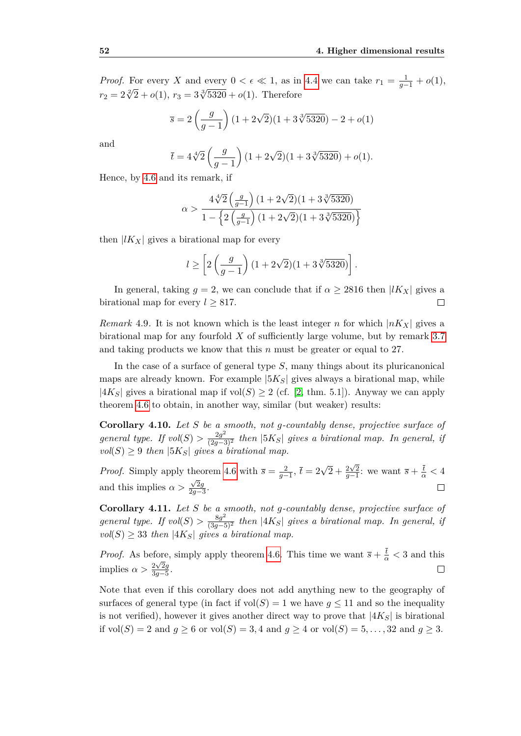*Proof.* For every *X* and every  $0 < \epsilon \ll 1$ , as in [4.4](#page-58-0) we can take  $r_1 = \frac{1}{g-1} + o(1)$ ,  $r_2 = 2\sqrt[3]{2} + o(1), r_3 = 3\sqrt[3]{5320} + o(1).$  Therefore

$$
\overline{s} = 2\left(\frac{g}{g-1}\right)(1+2\sqrt{2})(1+3\sqrt[3]{5320}) - 2 + o(1)
$$

and

$$
\bar{t} = 4\sqrt[4]{2}\left(\frac{g}{g-1}\right)(1+2\sqrt{2})(1+3\sqrt[3]{5320})+o(1).
$$

Hence, by [4.6](#page-59-0) and its remark, if

$$
\alpha>\frac{4\sqrt[4]{2}\left(\frac{g}{g-1}\right)(1+2\sqrt{2})(1+3\sqrt[3]{5320})}{1-\left\{2\left(\frac{g}{g-1}\right)(1+2\sqrt{2})(1+3\sqrt[3]{5320})\right\}}
$$

then  $|lK_X|$  gives a birational map for every

$$
l \ge \left[2\left(\frac{g}{g-1}\right)(1+2\sqrt{2})(1+3\sqrt[3]{5320})\right].
$$

In general, taking  $g = 2$ , we can conclude that if  $\alpha \geq 2816$  then  $|lK_X|$  gives a birational map for every  $l > 817$ .  $\Box$ 

*Remark* 4.9. It is not known which is the least integer *n* for which  $|nK_X|$  gives a birational map for any fourfold *X* of sufficiently large volume, but by remark [3.7](#page-50-1) and taking products we know that this *n* must be greater or equal to 27.

In the case of a surface of general type *S*, many things about its pluricanonical maps are already known. For example  $|5K_S|$  gives always a birational map, while  $|4K_S|$  gives a birational map if vol $(S) \geq 2$  (cf. [\[2,](#page-74-1) thm. 5.1]). Anyway we can apply theorem [4.6](#page-59-0) to obtain, in another way, similar (but weaker) results:

**Corollary 4.10.** *Let S be a smooth, not g-countably dense, projective surface of general type. If*  $vol(S) > \frac{2g^2}{(2g-3)^2}$  *then*  $|5K_S|$  *gives a birational map. In general, if*  $vol(S) \geq 9$  *then*  $|5K_S|$  *gives a birational map.* 

*Proof.* Simply apply theorem [4.6](#page-59-0) with  $\overline{s} = \frac{2}{g-1}$ ,  $\overline{t} = 2\sqrt{2} + \frac{2\sqrt{2}}{g-1}$ ; we want  $\overline{s} + \frac{\overline{t}}{\alpha} < 4$ and this implies  $\alpha > \frac{\sqrt{2}g}{2g}$  $\Box$  $\frac{\sqrt{2g}}{2g-3}$ .

**Corollary 4.11.** *Let S be a smooth, not g-countably dense, projective surface of general type. If*  $vol(S) > \frac{8g^2}{(3g-5)^2}$  *then*  $|4K_S|$  *gives a birational map. In general, if*  $vol(S) \geq 33$  *then*  $|4K_S|$  *gives a birational map.* 

*Proof.* As before, simply apply theorem [4.6.](#page-59-0) This time we want  $\overline{s} + \frac{\overline{t}}{\alpha} < 3$  and this implies  $\alpha > \frac{2\sqrt{2g}}{3g-5}$  $\Box$ 3*g−*5 .

Note that even if this corollary does not add anything new to the geography of surfaces of general type (in fact if  $vol(S) = 1$  we have  $g \le 11$  and so the inequality is not verified), however it gives another direct way to prove that  $|4K_S|$  is birational if  $vol(S) = 2$  and  $g \ge 6$  or  $vol(S) = 3, 4$  and  $g \ge 4$  or  $vol(S) = 5, \ldots, 32$  and  $g \ge 3$ .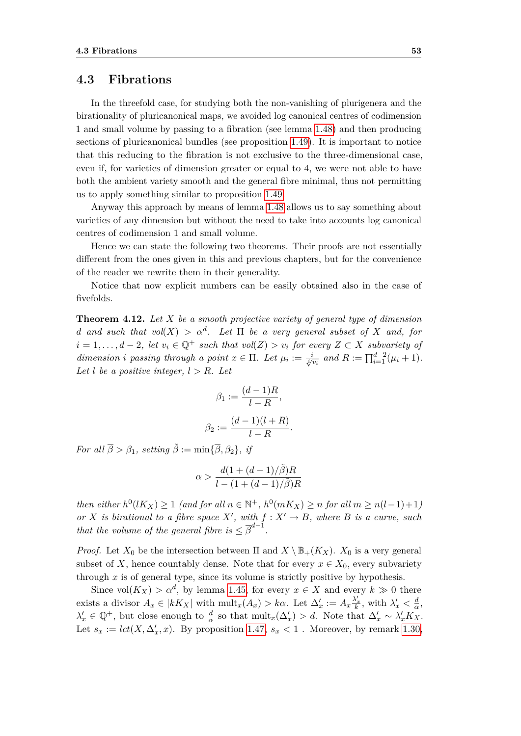#### **4.3 Fibrations**

In the threefold case, for studying both the non-vanishing of plurigenera and the birationality of pluricanonical maps, we avoided log canonical centres of codimension 1 and small volume by passing to a fibration (see lemma [1.48\)](#page-31-1) and then producing sections of pluricanonical bundles (see proposition [1.49\)](#page-31-2). It is important to notice that this reducing to the fibration is not exclusive to the three-dimensional case, even if, for varieties of dimension greater or equal to 4, we were not able to have both the ambient variety smooth and the general fibre minimal, thus not permitting us to apply something similar to proposition [1.49.](#page-31-2)

Anyway this approach by means of lemma [1.48](#page-31-1) allows us to say something about varieties of any dimension but without the need to take into accounts log canonical centres of codimension 1 and small volume.

Hence we can state the following two theorems. Their proofs are not essentially different from the ones given in this and previous chapters, but for the convenience of the reader we rewrite them in their generality.

Notice that now explicit numbers can be easily obtained also in the case of fivefolds.

**Theorem 4.12.** *Let X be a smooth projective variety of general type of dimension d* and such that  $vol(X) > \alpha^d$ . Let  $\Pi$  be a very general subset of X and, for *i* = 1,..., *d* − 2*, let*  $v_i \in \mathbb{Q}^+$  *such that*  $vol(Z) > v_i$  *for every*  $Z \subset X$  *subvariety of* dimension i passing through a point  $x \in \Pi$ . Let  $\mu_i := \frac{i}{\sqrt[n]{v_i}}$  and  $R := \prod_{i=1}^{d-2} (\mu_i + 1)$ . Let *l* be a positive integer,  $l > R$ *. Let* 

$$
\beta_1 := \frac{(d-1)R}{l-R},
$$

$$
\beta_2 := \frac{(d-1)(l+R)}{l-R}
$$

*.*

*For all*  $\overline{\beta} > \beta_1$ *, setting*  $\tilde{\beta} := \min\{\overline{\beta}, \beta_2\}$ *, if* 

$$
\alpha > \frac{d(1 + (d - 1)/\tilde{\beta})R}{l - (1 + (d - 1)/\tilde{\beta})R}
$$

then either  $h^0(lK_X) \ge 1$  (and for all  $n \in \mathbb{N}^+$ ,  $h^0(mK_X) \ge n$  for all  $m \ge n(l-1)+1$ ) *or X is birational to a fibre space*  $X'$ *, with*  $f: X' \to B$ *, where B is a curve, such that the volume of the general fibre is*  $\leq \overline{\beta}^{d-1}$ .

*Proof.* Let  $X_0$  be the intersection between  $\Pi$  and  $X \setminus \mathbb{B}_+(K_X)$ .  $X_0$  is a very general subset of *X*, hence countably dense. Note that for every  $x \in X_0$ , every subvariety through  $x$  is of general type, since its volume is strictly positive by hypothesis.

Since  $vol(K_X) > \alpha^d$ , by lemma [1.45,](#page-30-0) for every  $x \in X$  and every  $k \gg 0$  there exists a divisor  $A_x \in |kK_X|$  with  $\text{mult}_x(A_x) > k\alpha$ . Let  $\Delta'_x := A_x \frac{\lambda'_x}{k}$ , with  $\lambda'_x < \frac{d}{\alpha}$  $\frac{d}{\alpha}$ ,  $\lambda'_x \in \mathbb{Q}^+$ , but close enough to  $\frac{d}{\alpha}$  so that  $\text{mult}_x(\Delta'_x) > d$ . Note that  $\Delta'_x \sim \lambda'_x K_X$ . Let  $s_x := \text{lct}(X, \Delta'_x, x)$ . By proposition [1.47,](#page-31-0)  $s_x < 1$ . Moreover, by remark [1.30,](#page-21-0)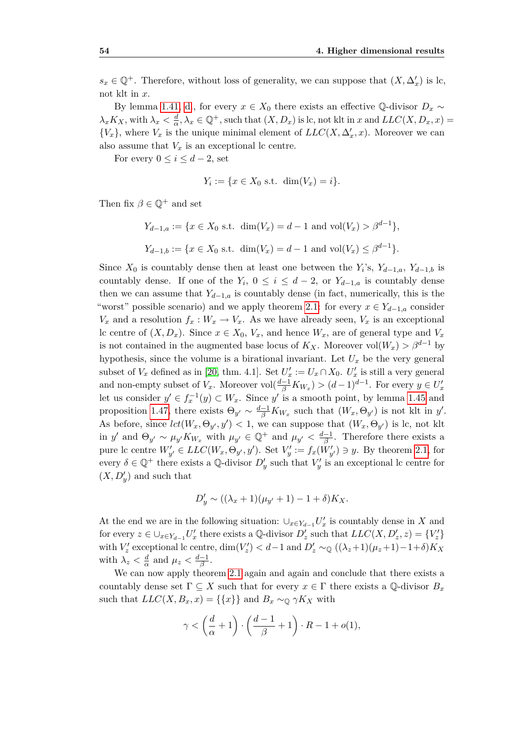$s_x \in \mathbb{Q}^+$ . Therefore, without loss of generality, we can suppose that  $(X, \Delta'_x)$  is lc, not klt in *x*.

By lemma [1.41,](#page-24-0) [d.](#page-24-1), for every  $x \in X_0$  there exists an effective Q-divisor  $D_x \sim$  $\lambda_x K_X$ , with  $\lambda_x < \frac{d}{\alpha}$  $\frac{d}{dx}$ ,  $\lambda_x \in \mathbb{Q}^+$ , such that  $(X, D_x)$  is lc, not klt in *x* and  $LLC(X, D_x, x)$  =  ${V_x}$ , where  $V_x$  is the unique minimal element of  $LLC(X, \Delta'_x, x)$ . Moreover we can also assume that  $V_x$  is an exceptional lc centre.

For every  $0 \leq i \leq d-2$ , set

$$
Y_i := \{x \in X_0 \text{ s.t. } \dim(V_x) = i\}.
$$

Then fix  $\beta \in \mathbb{Q}^+$  and set

$$
Y_{d-1,a} := \{ x \in X_0 \text{ s.t. } \dim(V_x) = d - 1 \text{ and } \text{vol}(V_x) > \beta^{d-1} \},
$$
  

$$
Y_{d-1,b} := \{ x \in X_0 \text{ s.t. } \dim(V_x) = d - 1 \text{ and } \text{vol}(V_x) \le \beta^{d-1} \}.
$$

Since  $X_0$  is countably dense then at least one between the  $Y_i$ 's,  $Y_{d-1,a}$ ,  $Y_{d-1,b}$  is countably dense. If one of the  $Y_i$ ,  $0 \leq i \leq d-2$ , or  $Y_{d-1,a}$  is countably dense then we can assume that  $Y_{d-1,a}$  is countably dense (in fact, numerically, this is the "worst" possible scenario) and we apply theorem [2.1:](#page-34-0) for every  $x \in Y_{d-1,a}$  consider  $V_x$  and a resolution  $f_x : W_x \to V_x$ . As we have already seen,  $V_x$  is an exceptional lc centre of  $(X, D_x)$ . Since  $x \in X_0$ ,  $V_x$ , and hence  $W_x$ , are of general type and  $V_x$ is not contained in the augmented base locus of  $K_X$ . Moreover vol $(W_x) > \beta^{d-1}$  by hypothesis, since the volume is a birational invariant. Let  $U_x$  be the very general subset of  $V_x$  defined as in [\[20,](#page-75-0) thm. 4.1]. Set  $U'_x := U_x \cap X_0$ .  $U'_x$  is still a very general and non-empty subset of  $V_x$ . Moreover  $vol(\frac{d-1}{\beta}K_{W_x}) > (d-1)^{d-1}$ . For every  $y \in U'_x$ let us consider  $y' \in f_x^{-1}(y) \subset W_x$ . Since  $y'$  is a smooth point, by lemma [1.45](#page-30-0) and proposition [1.47,](#page-31-0) there exists  $\Theta_{y'} \sim \frac{d-1}{\beta} K_{W_x}$  such that  $(W_x, \Theta_{y'})$  is not klt in *y'*. As before, since  $lct(W_x, \Theta_{y'}, y') < 1$ , we can suppose that  $(W_x, \Theta_{y'})$  is lc, not klt in *y*<sup>*'*</sup> and  $\Theta_{y'} \sim \mu_{y'} K_{W_x}$  with  $\mu_{y'} \in \mathbb{Q}^+$  and  $\mu_{y'} < \frac{d-1}{\beta}$  $\frac{-1}{\beta}$ . Therefore there exists a pure lc centre  $W'_{y'} \in LLC(W_x, \Theta_{y'}, y')$ . Set  $V'_{y} := f_x(W'_{y'}) \ni y$ . By theorem [2.1,](#page-34-0) for every  $\delta \in \mathbb{Q}^+$  there exists a  $\mathbb{Q}$ -divisor  $D'_y$  such that  $V'_y$  is an exceptional lc centre for  $(X, D'_y)$  and such that

$$
D'_{y} \sim ((\lambda_x + 1)(\mu_{y'} + 1) - 1 + \delta)K_X.
$$

At the end we are in the following situation:  $\cup_{x \in Y_{d-1}} U'_x$  is countably dense in *X* and for every  $z \in \bigcup_{x \in Y_{d-1}} U'_x$  there exists a Q-divisor  $D'_z$  such that  $LLC(X, D'_z, z) = \{V'_z\}$ with  $V'_z$  exceptional lc centre,  $\dim(V'_z) < d-1$  and  $D'_z \sim_{\mathbb{Q}} ((\lambda_z+1)(\mu_z+1)-1+\delta)K_X$ with  $\lambda_z < \frac{d}{\alpha}$  $\frac{d}{\alpha}$  and  $\mu_z < \frac{d-1}{\beta}$  $\frac{-1}{\beta}$ .

We can now apply theorem [2.1](#page-34-0) again and again and conclude that there exists a countably dense set  $\Gamma \subseteq X$  such that for every  $x \in \Gamma$  there exists a Q-divisor  $B_x$ such that  $LLC(X, B_x, x) = \{\{x\}\}\$ and  $B_x \sim_{\mathbb{Q}} \gamma K_X$  with

$$
\gamma < \left(\frac{d}{\alpha} + 1\right) \cdot \left(\frac{d-1}{\beta} + 1\right) \cdot R - 1 + o(1),
$$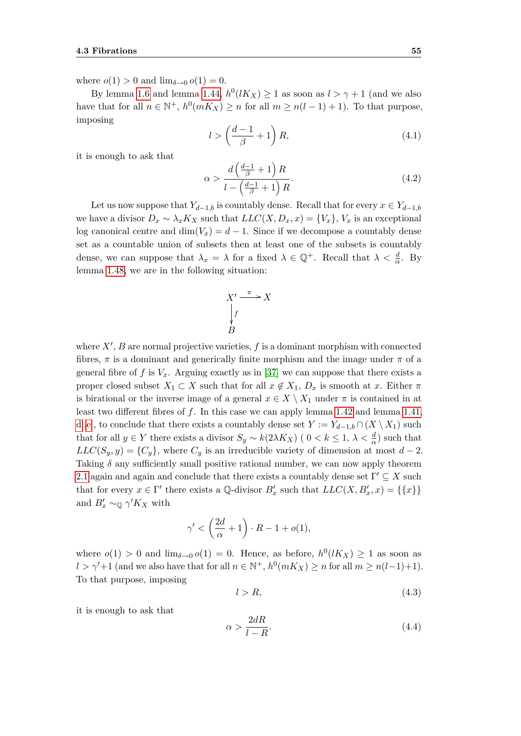where  $o(1) > 0$  and  $\lim_{\delta \to 0} o(1) = 0$ .

By lemma [1.6](#page-13-0) and lemma [1.44,](#page-29-0)  $h^0(lK_X) \geq 1$  as soon as  $l > \gamma + 1$  (and we also have that for all  $n \in \mathbb{N}^+$ ,  $h^0(mK_X) \ge n$  for all  $m \ge n(l-1)+1$ ). To that purpose, imposing

<span id="page-64-0"></span>
$$
l > \left(\frac{d-1}{\beta} + 1\right)R,\tag{4.1}
$$

it is enough to ask that

<span id="page-64-1"></span>
$$
\alpha > \frac{d\left(\frac{d-1}{\beta} + 1\right)R}{l - \left(\frac{d-1}{\beta} + 1\right)R}.\tag{4.2}
$$

Let us now suppose that  $Y_{d-1,b}$  is countably dense. Recall that for every  $x \in Y_{d-1,b}$ we have a divisor  $D_x \sim \lambda_x K_X$  such that  $LLC(X, D_x, x) = \{V_x\}, V_x$  is an exceptional log canonical centre and  $\dim(V_x) = d - 1$ . Since if we decompose a countably dense set as a countable union of subsets then at least one of the subsets is countably dense, we can suppose that  $\lambda_x = \lambda$  for a fixed  $\lambda \in \mathbb{Q}^+$ . Recall that  $\lambda < \frac{d}{\alpha}$ . By lemma [1.48,](#page-31-1) we are in the following situation:

$$
X' \xrightarrow{\pi} X
$$
  
\n
$$
\downarrow f
$$
  
\n
$$
B
$$

where  $X'$ ,  $B$  are normal projective varieties,  $f$  is a dominant morphism with connected fibres,  $\pi$  is a dominant and generically finite morphism and the image under  $\pi$  of a general fibre of f is  $V_x$ . Arguing exactly as in [\[37\]](#page-76-0) we can suppose that there exists a proper closed subset  $X_1 \subset X$  such that for all  $x \notin X_1$ ,  $D_x$  is smooth at x. Either  $\pi$ is birational or the inverse image of a general  $x \in X \setminus X_1$  under  $\pi$  is contained in at least two different fibres of *f*. In this case we can apply lemma [1.42](#page-28-0) and lemma [1.41,](#page-24-0) [d.](#page-24-1)[,e.](#page-25-0), to conclude that there exists a countably dense set  $Y := Y_{d-1,b} \cap (X \setminus X_1)$  such that for all  $y \in Y$  there exists a divisor  $S_y \sim k(2\lambda K_X)$  (  $0 < k \leq 1, \lambda < \frac{d}{\alpha}$ ) such that  $LLC(S_y, y) = \{C_y\}$ , where  $C_y$  is an irreducible variety of dimension at most *d* − 2. Taking *δ* any sufficiently small positive rational number, we can now apply theorem [2.1](#page-34-0) again and again and conclude that there exists a countably dense set  $\Gamma' \subseteq X$  such that for every  $x \in \Gamma'$  there exists a Q-divisor  $B'_x$  such that  $LLC(X, B'_x, x) = \{\{x\}\}\$ and  $B'_x \sim_\mathbb{Q} \gamma' K_X$  with

$$
\gamma' < \left(\frac{2d}{\alpha} + 1\right) \cdot R - 1 + o(1),
$$

where  $o(1) > 0$  and  $\lim_{\delta \to 0} o(1) = 0$ . Hence, as before,  $h^0(lK_X) \geq 1$  as soon as  $l > \gamma' + 1$  (and we also have that for all  $n \in \mathbb{N}^+$ ,  $h^0(mK_X) \geq n$  for all  $m \geq n(l-1)+1$ ). To that purpose, imposing

<span id="page-64-2"></span>
$$
l > R,\tag{4.3}
$$

it is enough to ask that

<span id="page-64-3"></span>
$$
\alpha > \frac{2dR}{l - R}.\tag{4.4}
$$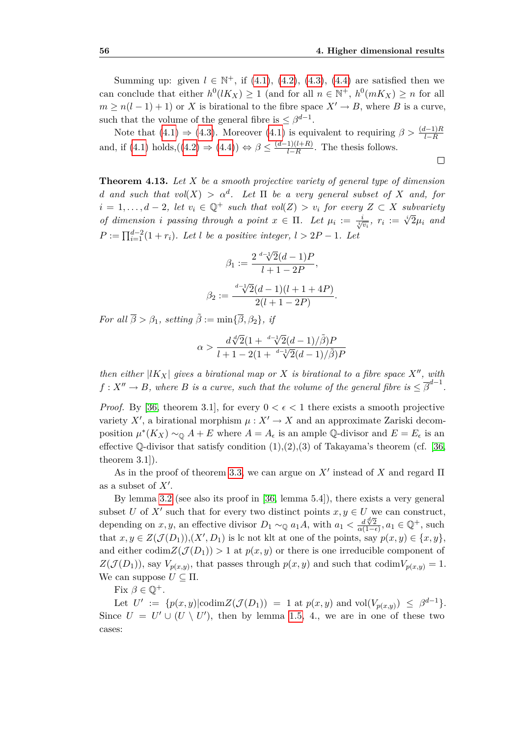Summing up: given  $l \in \mathbb{N}^+$ , if [\(4.1\)](#page-64-0), [\(4.2\)](#page-64-1), [\(4.3\)](#page-64-2), [\(4.4\)](#page-64-3) are satisfied then we can conclude that either  $h^0(lK_X) \geq 1$  (and for all  $n \in \mathbb{N}^+$ ,  $h^0(mK_X) \geq n$  for all  $m \geq n(l-1)+1$  or *X* is birational to the fibre space  $X' \to B$ , where *B* is a curve, such that the volume of the general fibre is  $\leq \beta^{d-1}$ .

Note that  $(4.1) \Rightarrow (4.3)$  $(4.1) \Rightarrow (4.3)$  $(4.1) \Rightarrow (4.3)$ . Moreover  $(4.1)$  is equivalent to requiring  $\beta > \frac{(d-1)R}{l-R}$ and, if  $(4.1)$  holds, $((4.2) \Rightarrow (4.4)) \Leftrightarrow \beta \leq \frac{(d-1)(l+R)}{l-R}$  $((4.2) \Rightarrow (4.4)) \Leftrightarrow \beta \leq \frac{(d-1)(l+R)}{l-R}$  $((4.2) \Rightarrow (4.4)) \Leftrightarrow \beta \leq \frac{(d-1)(l+R)}{l-R}$  $((4.2) \Rightarrow (4.4)) \Leftrightarrow \beta \leq \frac{(d-1)(l+R)}{l-R}$  $((4.2) \Rightarrow (4.4)) \Leftrightarrow \beta \leq \frac{(d-1)(l+R)}{l-R}$ *l−R* . The thesis follows.  $\Box$ 

**Theorem 4.13.** *Let X be a smooth projective variety of general type of dimension d* and such that  $vol(X) > \alpha^d$ . Let  $\Pi$  be a very general subset of X and, for *i* = 1, ..., *d* − 2*, let*  $v_i \in \mathbb{Q}^+$  *such that*  $vol(Z) > v_i$  *for every*  $Z \subset X$  *subvariety* of dimension *i* passing through a point  $x \in \Pi$ . Let  $\mu_i := \frac{i}{\sqrt[n]{v_i}}$ ,  $r_i := \sqrt[n]{2}\mu_i$  and  $\mu_i := \frac{i}{\sqrt[n]{v_i}}$ .  $P := \prod_{i=1}^{d-2} (1+r_i)$ *. Let l be a positive integer,*  $l > 2P - 1$ *. Let* 

$$
\beta_1 := \frac{2 \sqrt[d-1]{2}(d-1)P}{l+1-2P},
$$

$$
\beta_2 := \frac{\sqrt[d-1]{2}(d-1)(l+1+4P)}{2(l+1-2P)}
$$

*.*

*For all*  $\overline{\beta} > \beta_1$ *, setting*  $\tilde{\beta} := \min\{\overline{\beta}, \beta_2\}$ *, if* 

$$
\alpha > \frac{d\sqrt[d]{2}(1 + \sqrt[d-1]{2}(d-1)/\tilde{\beta})P}{l + 1 - 2(1 + \sqrt[d-1]{2}(d-1)/\tilde{\beta})P}
$$

*then either*  $|lK_X|$  *gives a birational map or X is birational to a fibre space*  $X''$ *, with*  $f: X'' \to B$ , where *B* is a curve, such that the volume of the general fibre is  $\leq \overline{\beta}^{d-1}$ .

*Proof.* By [\[36,](#page-76-2) theorem 3.1], for every  $0 < \epsilon < 1$  there exists a smooth projective variety  $X'$ , a birational morphism  $\mu: X' \to X$  and an approximate Zariski decomposition  $\mu^*(K_X) \sim_{\mathbb{Q}} A + E$  where  $A = A_{\epsilon}$  is an ample Q-divisor and  $E = E_{\epsilon}$  is an effective Q-divisor that satisfy condition  $(1),(2),(3)$  of Takayama's theorem (cf. [\[36,](#page-76-2) theorem 3.1]).

As in the proof of theorem [3.3,](#page-43-0) we can argue on  $X'$  instead of  $X$  and regard  $\Pi$ as a subset of  $X'$ .

By lemma [3.2](#page-43-2) (see also its proof in [\[36,](#page-76-2) lemma 5.4]), there exists a very general subset *U* of *X<sup>'</sup>* such that for every two distinct points  $x, y \in U$  we can construct, depending on *x*, *y*, an effective divisor  $D_1 \sim_{\mathbb{Q}} a_1 A$ , with  $a_1 < \frac{d\sqrt{2}}{\alpha(1-d)}$  $\frac{d\sqrt[\mathcal{A}]{2}}{\alpha(1-\epsilon)}$ ,  $a_1 \in \mathbb{Q}^+$ , such that  $x, y \in Z(\mathcal{J}(D_1)), (X', D_1)$  is lc not klt at one of the points, say  $p(x, y) \in \{x, y\}$ , and either codim $Z(\mathcal{J}(D_1)) > 1$  at  $p(x, y)$  or there is one irreducible component of  $Z(\mathcal{J}(D_1))$ , say  $V_{p(x,y)}$ , that passes through  $p(x,y)$  and such that codim $V_{p(x,y)} = 1$ . We can suppose  $U \subseteq \Pi$ .

Fix  $\beta \in \mathbb{O}^+$ .

Let  $U' := \{p(x, y) | \text{codim} Z(\mathcal{J}(D_1)) = 1 \text{ at } p(x, y) \text{ and } \text{vol}(V_{p(x, y)}) \leq \beta^{d-1}\}.$ Since  $U = U' \cup (U \setminus U')$ , then by lemma [1.5,](#page-12-0) 4., we are in one of these two cases: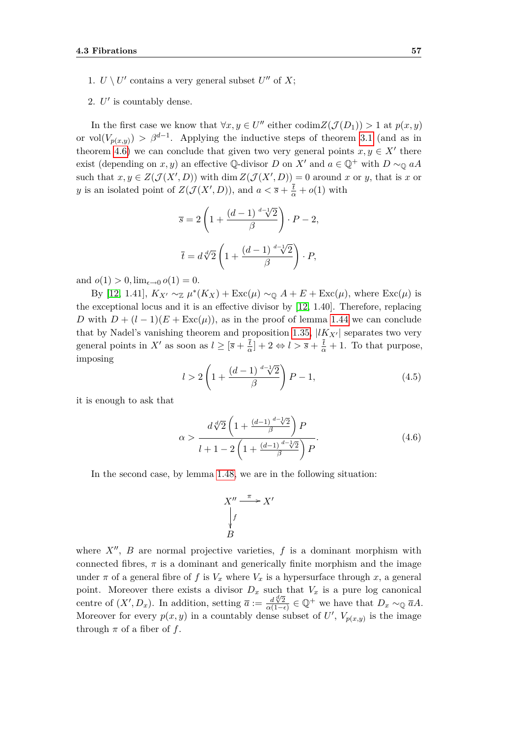- 1.  $U \setminus U'$  contains a very general subset  $U''$  of  $X$ ;
- 2.  $U'$  is countably dense.

In the first case we know that  $\forall x, y \in U''$  either  $\text{codim}Z(\mathcal{J}(D_1)) > 1$  at  $p(x, y)$ or vol $(V_{p(x,y)}) > \beta^{d-1}$ . Applying the inductive steps of theorem [3.1](#page-42-0) (and as in theorem [4.6\)](#page-59-0) we can conclude that given two very general points  $x, y \in X'$  there exist (depending on *x*, *y*) an effective Q-divisor *D* on *X'* and  $a \in \mathbb{Q}^+$  with  $D \sim_{\mathbb{Q}} aA$ such that  $x, y \in Z(\mathcal{J}(X', D))$  with dim  $Z(\mathcal{J}(X', D)) = 0$  around x or y, that is x or *y* is an isolated point of  $Z(\mathcal{J}(X', D))$ , and  $a < \overline{s} + \frac{\overline{t}}{\alpha} + o(1)$  with

$$
\overline{s} = 2\left(1 + \frac{(d-1)^{d-1}\sqrt{2}}{\beta}\right) \cdot P - 2,
$$
  

$$
\overline{t} = d\sqrt[d]{2}\left(1 + \frac{(d-1)^{d-1}\sqrt{2}}{\beta}\right) \cdot P,
$$

and  $o(1) > 0$ ,  $\lim_{\epsilon \to 0} o(1) = 0$ .

By [\[12,](#page-75-3) 1.41],  $K_{X'} \sim_{\mathbb{Z}} \mu^*(K_X) + \text{Exc}(\mu) \sim_{\mathbb{Q}} A + E + \text{Exc}(\mu)$ , where  $\text{Exc}(\mu)$  is the exceptional locus and it is an effective divisor by [\[12,](#page-75-3) 1.40]. Therefore, replacing *D* with  $D + (l-1)(E + \text{Exc}(\mu))$ , as in the proof of lemma [1.44](#page-29-0) we can conclude that by Nadel's vanishing theorem and proposition [1.35,](#page-22-0)  $|lK_{X'}|$  separates two very general points in  $X'$  as soon as  $l \geq \lceil \overline{s} + \frac{\overline{t}}{a} \rceil$  $\frac{\bar{t}}{\alpha}$  + 2  $\Leftrightarrow$  *l* >  $\bar{s} + \frac{\bar{t}}{\alpha} + 1$ . To that purpose, imposing

<span id="page-66-0"></span>
$$
l > 2\left(1 + \frac{(d-1)\sqrt[d-1]{2}}{\beta}\right)P - 1,\tag{4.5}
$$

it is enough to ask that

<span id="page-66-1"></span>
$$
\alpha > \frac{d\sqrt[4]{2}\left(1 + \frac{(d-1)^{d-1}\sqrt[4]{2}}{\beta}\right)P}{l+1-2\left(1 + \frac{(d-1)^{d-1}\sqrt[4]{2}}{\beta}\right)P}.
$$
\n(4.6)

In the second case, by lemma [1.48,](#page-31-1) we are in the following situation:

$$
X'' \xrightarrow{\pi} X'
$$
  
\n
$$
\downarrow f
$$
  
\n
$$
B
$$

where  $X''$ ,  $B$  are normal projective varieties,  $f$  is a dominant morphism with connected fibres,  $\pi$  is a dominant and generically finite morphism and the image under  $\pi$  of a general fibre of f is  $V_x$  where  $V_x$  is a hypersurface through x, a general point. Moreover there exists a divisor  $D_x$  such that  $V_x$  is a pure log canonical centre of  $(X', D_x)$ . In addition, setting  $\overline{a} := \frac{d\sqrt{2}}{a(1-a)}$  $\frac{d \sqrt[4]{2}}{\alpha(1-\epsilon)} \in \mathbb{Q}^+$  we have that  $D_x \sim_{\mathbb{Q}} \overline{a}A$ . Moreover for every  $p(x, y)$  in a countably dense subset of  $U'$ ,  $V_{p(x,y)}$  is the image through  $\pi$  of a fiber of  $f$ .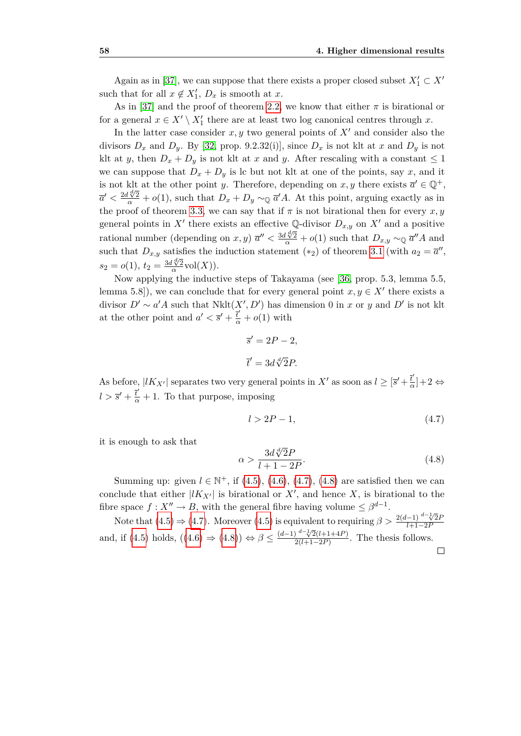Again as in [\[37\]](#page-76-0), we can suppose that there exists a proper closed subset  $X'_1 \subset X'$ such that for all  $x \notin X'_1$ ,  $D_x$  is smooth at  $x$ .

As in [\[37\]](#page-76-0) and the proof of theorem [2.2,](#page-34-1) we know that either  $\pi$  is birational or for a general  $x \in X' \setminus X'_1$  there are at least two log canonical centres through  $x$ .

In the latter case consider  $x, y$  two general points of  $X<sup>1</sup>$  and consider also the divisors  $D_x$  and  $D_y$ . By [\[32,](#page-76-3) prop. 9.2.32(i)], since  $D_x$  is not klt at x and  $D_y$  is not klt at *y*, then  $D_x + D_y$  is not klt at *x* and *y*. After rescaling with a constant  $\leq 1$ we can suppose that  $D_x + D_y$  is lc but not klt at one of the points, say *x*, and it is not klt at the other point *y*. Therefore, depending on *x*, *y* there exists  $\overline{a}' \in \mathbb{Q}^+$ ,  $\overline{a}' < \frac{2d\sqrt[d]{2}}{\alpha} + o(1)$ , such that  $D_x + D_y \sim_{\mathbb{Q}} \overline{a}' A$ . At this point, arguing exactly as in the proof of theorem [3.3,](#page-43-0) we can say that if  $\pi$  is not birational then for every  $x, y$ general points in X<sup>*i*</sup> there exists an effective Q-divisor  $D_{x,y}$  on X<sup>*i*</sup> and a positive rational number (depending on *x, y)*  $\overline{a}'' < \frac{3d \sqrt[d]{2}}{\alpha} + o(1)$  such that  $D_{x,y} \sim_{\mathbb{Q}} \overline{a}'' A$  and such that  $D_{x,y}$  satisfies the induction statement (\*<sub>2</sub>) of theorem [3.1](#page-42-0) (with  $a_2 = \overline{a}$ <sup>*n*</sup>,  $s_2 = o(1), t_2 = \frac{3d\sqrt[d]{2}}{\alpha}$  $\frac{\sqrt{X^2}}{\alpha}$ vol $(X)$ ).

Now applying the inductive steps of Takayama (see [\[36,](#page-76-2) prop. 5.3, lemma 5.5, lemma 5.8]), we can conclude that for every general point  $x, y \in X'$  there exists a divisor  $D' \sim a'A$  such that  $Nklt(X', D')$  has dimension 0 in *x* or *y* and  $D'$  is not klt at the other point and  $a' < \bar{s}' + \frac{\bar{t}'}{a} + o(1)$  with

$$
\overline{s}' = 2P - 2,
$$
  

$$
\overline{t}' = 3d\sqrt[d]{2}P.
$$

As before,  $|lK_{X'}|$  separates two very general points in  $X'$  as soon as  $l \geq [\bar{s}' + \frac{\bar{t}'}{2}]$  $\frac{t}{\alpha}$  + 2 ⇔  $l > \bar{s}' + \frac{\bar{t}'}{\alpha} + 1$ . To that purpose, imposing

<span id="page-67-0"></span>
$$
l > 2P - 1,\tag{4.7}
$$

it is enough to ask that

<span id="page-67-1"></span>
$$
\alpha > \frac{3d\sqrt[d]{2}P}{l+1-2P}.\tag{4.8}
$$

Summing up: given  $l \in \mathbb{N}^+$ , if [\(4.5\)](#page-66-0), [\(4.6\)](#page-66-1), [\(4.7\)](#page-67-0), [\(4.8\)](#page-67-1) are satisfied then we can conclude that either  $|lK_{X'}|$  is birational or  $X'$ , and hence  $X$ , is birational to the fibre space  $f: X'' \to B$ , with the general fibre having volume  $\leq \beta^{d-1}$ .

Note that  $(4.5) \Rightarrow (4.7)$  $(4.5) \Rightarrow (4.7)$  $(4.5) \Rightarrow (4.7)$ . Moreover  $(4.5)$  $(4.5)$  is equivalent to requiring  $\beta > \frac{2(d-1)}{l+1-2P}$ *l*+1*−*2*P* and, if [\(4](#page-66-0).5) holds,  $((4.6) \Rightarrow (4.8)) \Leftrightarrow \beta \leq \frac{(d-1)^{d-1}\sqrt{2}(l+1+4P)}{2(l+1-P)}$  $((4.6) \Rightarrow (4.8)) \Leftrightarrow \beta \leq \frac{(d-1)^{d-1}\sqrt{2}(l+1+4P)}{2(l+1-P)}$  $((4.6) \Rightarrow (4.8)) \Leftrightarrow \beta \leq \frac{(d-1)^{d-1}\sqrt{2}(l+1+4P)}{2(l+1-P)}$  $((4.6) \Rightarrow (4.8)) \Leftrightarrow \beta \leq \frac{(d-1)^{d-1}\sqrt{2}(l+1+4P)}{2(l+1-P)}$  $((4.6) \Rightarrow (4.8)) \Leftrightarrow \beta \leq \frac{(d-1)^{d-1}\sqrt{2}(l+1+4P)}{2(l+1-P)}$  $\frac{2(l+1-2P)}{2(l+1-2P)}$ . The thesis follows.  $\Box$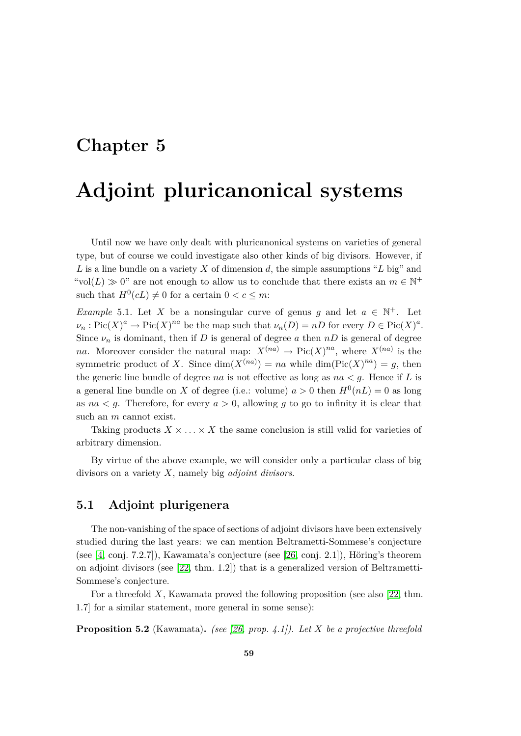## **Chapter 5**

## **Adjoint pluricanonical systems**

Until now we have only dealt with pluricanonical systems on varieties of general type, but of course we could investigate also other kinds of big divisors. However, if *L* is a line bundle on a variety *X* of dimension *d*, the simple assumptions "*L* big" and "vol(*L*)  $\gg$  0" are not enough to allow us to conclude that there exists an  $m \in \mathbb{N}^+$ such that  $H^0(cL) \neq 0$  for a certain  $0 < c \leq m$ :

*Example* 5.1. Let *X* be a nonsingular curve of genus *g* and let  $a \in \mathbb{N}^+$ . Let  $\nu_n$ : Pic(*X*)<sup>*a*</sup>  $\rightarrow$  Pic(*X*)<sup>*na*</sup> be the map such that  $\nu_n(D) = nD$  for every  $D \in \text{Pic}(X)^a$ . Since  $\nu_n$  is dominant, then if *D* is general of degree *a* then  $nD$  is general of degree *na*. Moreover consider the natural map:  $X^{(na)} \to Pic(X)^{na}$ , where  $X^{(na)}$  is the symmetric product of *X*. Since  $dim(X^{(na)}) = na$  while  $dim(Pic(X)^{na}) = g$ , then the generic line bundle of degree *na* is not effective as long as  $na < g$ . Hence if *L* is a general line bundle on *X* of degree (i.e.: volume)  $a > 0$  then  $H^0(nL) = 0$  as long as  $na < g$ . Therefore, for every  $a > 0$ , allowing g to go to infinity it is clear that such an *m* cannot exist.

Taking products  $X \times \ldots \times X$  the same conclusion is still valid for varieties of arbitrary dimension.

By virtue of the above example, we will consider only a particular class of big divisors on a variety *X*, namely big *adjoint divisors*.

#### **5.1 Adjoint plurigenera**

The non-vanishing of the space of sections of adjoint divisors have been extensively studied during the last years: we can mention Beltrametti-Sommese's conjecture (see [\[4,](#page-74-8) conj. 7.2.7]), Kawamata's conjecture (see [\[26,](#page-76-4) conj. 2.1]), Höring's theorem on adjoint divisors (see [\[22,](#page-75-5) thm. 1.2]) that is a generalized version of Beltrametti-Sommese's conjecture.

For a threefold *X*, Kawamata proved the following proposition (see also [\[22,](#page-75-5) thm. 1.7] for a similar statement, more general in some sense):

**Proposition 5.2** (Kawamata)**.** *(see [\[26,](#page-76-4) prop. 4.1]). Let X be a projective threefold*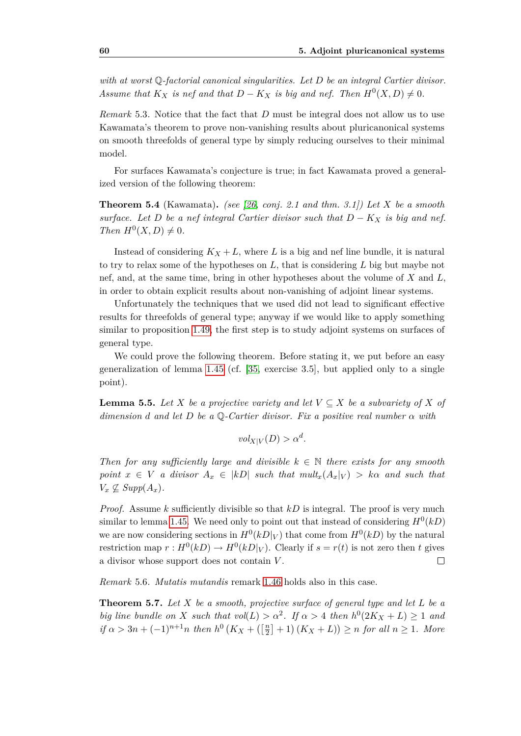*with at worst* Q*-factorial canonical singularities. Let D be an integral Cartier divisor. Assume that*  $K_X$  *is nef and that*  $D - K_X$  *is big and nef. Then*  $H^0(X, D) \neq 0$ *.* 

*Remark* 5.3*.* Notice that the fact that *D* must be integral does not allow us to use Kawamata's theorem to prove non-vanishing results about pluricanonical systems on smooth threefolds of general type by simply reducing ourselves to their minimal model.

For surfaces Kawamata's conjecture is true; in fact Kawamata proved a generalized version of the following theorem:

**Theorem 5.4** (Kawamata)**.** *(see [\[26,](#page-76-4) conj. 2.1 and thm. 3.1]) Let X be a smooth surface. Let D be a nef integral Cartier divisor such that*  $D - K_X$  *is big and nef. Then*  $H^0(X, D) \neq 0$ *.* 

Instead of considering  $K_X + L$ , where L is a big and nef line bundle, it is natural to try to relax some of the hypotheses on *L*, that is considering *L* big but maybe not nef, and, at the same time, bring in other hypotheses about the volume of *X* and *L*, in order to obtain explicit results about non-vanishing of adjoint linear systems.

Unfortunately the techniques that we used did not lead to significant effective results for threefolds of general type; anyway if we would like to apply something similar to proposition [1.49,](#page-31-2) the first step is to study adjoint systems on surfaces of general type.

We could prove the following theorem. Before stating it, we put before an easy generalization of lemma [1.45](#page-30-0) (cf. [\[35,](#page-76-5) exercise 3.5], but applied only to a single point).

<span id="page-69-0"></span>**Lemma 5.5.** *Let X be a projective variety and let*  $V \subseteq X$  *be a subvariety of X of dimension d and let D be a* Q*-Cartier divisor. Fix a positive real number α with*

 $vol_{X|V}(D) > \alpha^d$ .

*Then for any sufficiently large and divisible*  $k \in \mathbb{N}$  *there exists for any smooth point*  $x \in V$  *a divisor*  $A_x \in |kD|$  *such that*  $mult_x(A_x|_V) > k\alpha$  *and such that*  $V_x \nsubseteq \text{Supp}(A_x)$ .

*Proof.* Assume *k* sufficiently divisible so that *kD* is integral. The proof is very much similar to lemma [1.45.](#page-30-0) We need only to point out that instead of considering  $H^0(kD)$ we are now considering sections in  $H^0(kD|_V)$  that come from  $H^0(kD)$  by the natural restriction map  $r: H^0(kD) \to H^0(kD|_V)$ . Clearly if  $s = r(t)$  is not zero then *t* gives a divisor whose support does not contain *V* .  $\Box$ 

*Remark* 5.6*. Mutatis mutandis* remark [1.46](#page-31-3) holds also in this case.

<span id="page-69-1"></span>**Theorem 5.7.** *Let X be a smooth, projective surface of general type and let L be a big line bundle on X such that*  $vol(L) > \alpha^2$ . If  $\alpha > 4$  *then*  $h^0(2K_X + L) \ge 1$  *and if*  $\alpha > 3n + (-1)^{n+1}n$  *then*  $h^0(K_X + (\frac{n}{2})^n)$  $\left[\frac{n}{2}\right] + 1$   $(K_X + L)$   $\geq n$  *for all*  $n \geq 1$ *. More*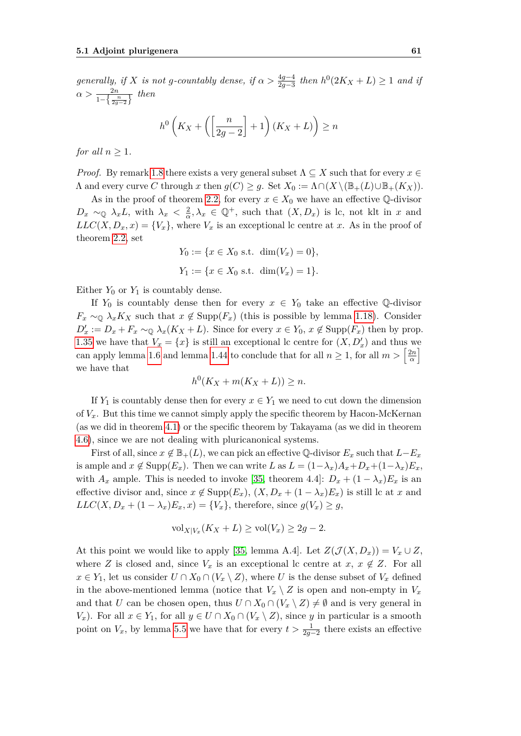$generally, if X is not g-countably dense, if  $\alpha > \frac{4g-4}{2g-3}$  then  $h^0(2K_X + L) \ge 1$  and if$  $\alpha > \frac{2n}{1-\left\{\frac{n}{2g-2}\right\}}$  then

$$
h^0\left(K_X + \left(\left[\frac{n}{2g-2}\right] + 1\right)(K_X + L)\right) \ge n
$$

*for all*  $n \geq 1$ *.* 

*Proof.* By remark [1.8](#page-14-1) there exists a very general subset  $\Lambda \subseteq X$  such that for every  $x \in \Lambda$  $\Lambda$  and every curve *C* through *x* then  $g(C) \geq g$ . Set  $X_0 := \Lambda \cap (X \setminus (\mathbb{B}_+(L) \cup \mathbb{B}_+(K_X)).$ 

As in the proof of theorem [2.2,](#page-34-1) for every  $x \in X_0$  we have an effective Q-divisor  $D_x \sim_{\mathbb{Q}} \lambda_x L$ , with  $\lambda_x < \frac{2}{\alpha}$  $\frac{2}{\alpha}, \lambda_x \in \mathbb{Q}^+,$  such that  $(X, D_x)$  is lc, not klt in *x* and  $LLC(X, D_x, x) = \{V_x\}$ , where  $V_x$  is an exceptional lc centre at *x*. As in the proof of theorem [2.2,](#page-34-1) set

$$
Y_0 := \{ x \in X_0 \text{ s.t. } \dim(V_x) = 0 \},
$$
  

$$
Y_1 := \{ x \in X_0 \text{ s.t. } \dim(V_x) = 1 \}.
$$

Either  $Y_0$  or  $Y_1$  is countably dense.

If  $Y_0$  is countably dense then for every  $x \in Y_0$  take an effective Q-divisor  $F_x \sim_\mathbb{Q} \lambda_x K_X$  such that  $x \notin \text{Supp}(F_x)$  (this is possible by lemma [1.18\)](#page-17-0). Consider  $D'_x := D_x + F_x \sim_{\mathbb{Q}} \lambda_x (K_X + L)$ . Since for every  $x \in Y_0$ ,  $x \notin \text{Supp}(F_x)$  then by prop. [1.35](#page-22-0) we have that  $V_x = \{x\}$  is still an exceptional lc centre for  $(X, D'_x)$  and thus we can apply lemma [1.6](#page-13-0) and lemma [1.44](#page-29-0) to conclude that for all  $n \geq 1$ , for all  $m > \frac{2n}{\alpha}$  $\frac{2n}{\alpha}$ we have that

$$
h^0(K_X + m(K_X + L)) \ge n.
$$

If  $Y_1$  is countably dense then for every  $x \in Y_1$  we need to cut down the dimension of  $V_x$ . But this time we cannot simply apply the specific theorem by Hacon-McKernan (as we did in theorem [4.1\)](#page-56-0) or the specific theorem by Takayama (as we did in theorem [4.6\)](#page-59-0), since we are not dealing with pluricanonical systems.

First of all, since  $x \notin \mathbb{B}_+(L)$ , we can pick an effective Q-divisor  $E_x$  such that  $L-E_x$ is ample and  $x \notin \text{Supp}(E_x)$ . Then we can write *L* as  $L = (1 - \lambda_x)A_x + D_x + (1 - \lambda_x)E_x$ , with  $A_x$  ample. This is needed to invoke [\[35,](#page-76-5) theorem 4.4]:  $D_x + (1 - \lambda_x)E_x$  is an effective divisor and, since  $x \notin \text{Supp}(E_x)$ ,  $(X, D_x + (1 - \lambda_x)E_x)$  is still lc at *x* and  $LLC(X, D_x + (1 - \lambda_x)E_x, x) = \{V_x\}$ , therefore, since  $g(V_x) \geq g$ ,

$$
\text{vol}_{X|V_x}(K_X + L) \ge \text{vol}(V_x) \ge 2g - 2.
$$

At this point we would like to apply [\[35,](#page-76-5) lemma A.4]. Let  $Z(\mathcal{J}(X, D_x)) = V_x \cup Z$ , where *Z* is closed and, since  $V_x$  is an exceptional lc centre at  $x, x \notin Z$ . For all *x* ∈ *Y*<sub>1</sub>, let us consider  $U \cap X_0 \cap (V_x \setminus Z)$ , where *U* is the dense subset of  $V_x$  defined in the above-mentioned lemma (notice that  $V_x \setminus Z$  is open and non-empty in  $V_x$ and that *U* can be chosen open, thus  $U \cap X_0 \cap (V_x \setminus Z) \neq \emptyset$  and is very general in *V*<sub>x</sub>). For all  $x \in Y_1$ , for all  $y \in U \cap X_0 \cap (V_x \setminus Z)$ , since *y* in particular is a smooth point on  $V_x$ , by lemma [5.5](#page-69-0) we have that for every  $t > \frac{1}{2g-2}$  there exists an effective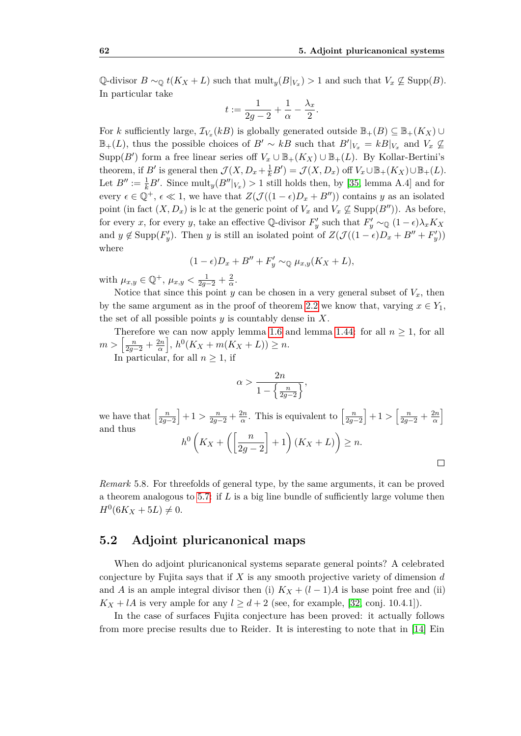$\Box$ 

 $\mathbb{Q}$ -divisor  $B \sim_{\mathbb{Q}} t(K_X + L)$  such that  $\text{mult}_y(B|_{V_x}) > 1$  and such that  $V_x \not\subseteq \text{Supp}(B)$ . In particular take

$$
t:=\frac{1}{2g-2}+\frac{1}{\alpha}-\frac{\lambda_x}{2}.
$$

For *k* sufficiently large,  $\mathcal{I}_{V_x}(kB)$  is globally generated outside  $\mathbb{B}_+(B) \subseteq \mathbb{B}_+(K_X) \cup$  $\mathbb{B}_+(L)$ , thus the possible choices of  $B' \sim kB$  such that  $B'|_{V_x} = kB|_{V_x}$  and  $V_x \nsubseteq$ Supp(*B<sup><i>i*</sup>) form a free linear series off  $V_x \cup \mathbb{B}_+(K_X) \cup \mathbb{B}_+(L)$ . By Kollar-Bertini's theorem, if *B<sup><i>i*</sup> is general then  $\mathcal{J}(X, D_x + \frac{1}{k}B') = \mathcal{J}(X, D_x)$  off  $V_x \cup \mathbb{B}_+(K_X) \cup \mathbb{B}_+(L)$ . Let  $B'' := \frac{1}{k}B'$ . Since  $\text{mult}_y(B''|_{V_x}) > 1$  still holds then, by [\[35,](#page-76-5) lemma A.4] and for every  $\epsilon \in \mathbb{Q}^+$ ,  $\epsilon \ll 1$ , we have that  $Z(\mathcal{J}((1-\epsilon)D_x + B''))$  contains *y* as an isolated point (in fact  $(X, D_x)$  is lc at the generic point of  $V_x$  and  $V_x \nsubseteq \text{Supp}(B'')$ ). As before, for every *x*, for every *y*, take an effective Q-divisor  $F'_y$  such that  $F'_y \sim_{\mathbb{Q}} (1 - \epsilon) \lambda_x K_X$ and  $y \notin \text{Supp}(F'_y)$ . Then *y* is still an isolated point of  $Z(\mathcal{J}((1-\epsilon)D_x + B'' + F'_y))$ where

$$
(1 - \epsilon)D_x + B'' + F'_y \sim_{\mathbb{Q}} \mu_{x,y}(K_X + L),
$$

with  $\mu_{x,y} \in \mathbb{Q}^+$ ,  $\mu_{x,y} < \frac{1}{2g-2} + \frac{2}{\alpha}$ *α* .

Notice that since this point *y* can be chosen in a very general subset of  $V_x$ , then by the same argument as in the proof of theorem [2.2](#page-34-1) we know that, varying  $x \in Y_1$ , the set of all possible points *y* is countably dense in *X*.

Therefore we can now apply lemma [1.6](#page-13-0) and lemma [1.44:](#page-29-0) for all  $n \geq 1$ , for all  $m > \left[\frac{n}{2g-2} + \frac{2n}{\alpha}\right]$  $\left(\frac{2n}{\alpha}\right], h^0(K_X + m(K_X + L)) \geq n.$ 

In particular, for all  $n \geq 1$ , if

$$
\alpha > \frac{2n}{1 - \left\{\frac{n}{2g - 2}\right\}},
$$

we have that  $\left[\frac{n}{2g-2}\right]+1 > \frac{n}{2g-2} + \frac{2n}{\alpha}$  $\frac{2n}{\alpha}$ . This is equivalent to  $\left[\frac{n}{2g-2}\right]+1>\left[\frac{n}{2g-2}+\frac{2n}{\alpha}\right]$  $\frac{2n}{\alpha}$ and thus  $h^0\left(K_X+\left(\frac{n}{2\pi}\right)\right]$ 2*g −* 2  $\Big\{+1\Big\}(K_X+L)\Big\}\geq n.$ 

*Remark* 5.8*.* For threefolds of general type, by the same arguments, it can be proved a theorem analogous to [5.7:](#page-69-1) if *L* is a big line bundle of sufficiently large volume then  $H^0(6K_X + 5L) \neq 0.$ 

#### **5.2 Adjoint pluricanonical maps**

When do adjoint pluricanonical systems separate general points? A celebrated conjecture by Fujita says that if *X* is any smooth projective variety of dimension *d* and *A* is an ample integral divisor then (i)  $K_X + (l-1)A$  is base point free and (ii)  $K_X + lA$  is very ample for any  $l \geq d+2$  (see, for example, [\[32,](#page-76-3) conj. 10.4.1]).

In the case of surfaces Fujita conjecture has been proved: it actually follows from more precise results due to Reider. It is interesting to note that in [\[14\]](#page-75-6) Ein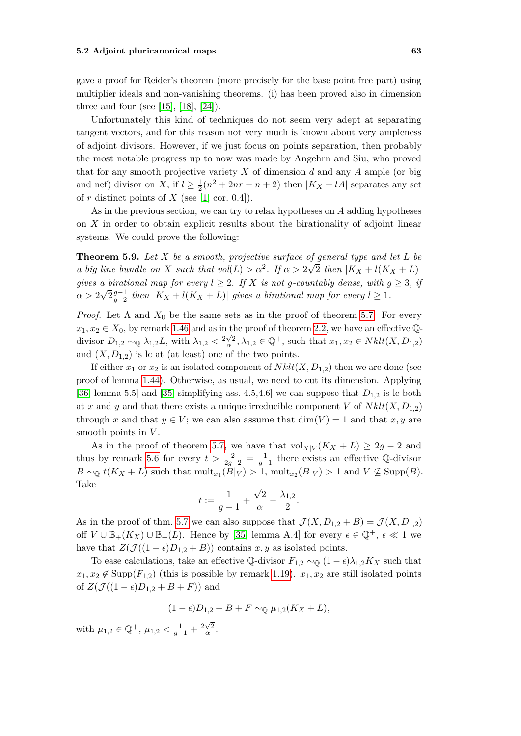gave a proof for Reider's theorem (more precisely for the base point free part) using multiplier ideals and non-vanishing theorems. (i) has been proved also in dimension three and four (see [\[15\]](#page-75-0), [\[18\]](#page-75-1), [\[24\]](#page-75-2)).

Unfortunately this kind of techniques do not seem very adept at separating tangent vectors, and for this reason not very much is known about very ampleness of adjoint divisors. However, if we just focus on points separation, then probably the most notable progress up to now was made by Angehrn and Siu, who proved that for any smooth projective variety *X* of dimension *d* and any *A* ample (or big and nef) divisor on *X*, if  $l \geq \frac{1}{2}$  $\frac{1}{2}(n^2 + 2nr - n + 2)$  then  $|K_X + lA|$  separates any set of  $r$  distinct points of  $X$  (see [\[1,](#page-74-0) cor. 0.4]).

As in the previous section, we can try to relax hypotheses on *A* adding hypotheses on *X* in order to obtain explicit results about the birationality of adjoint linear systems. We could prove the following:

<span id="page-72-0"></span>**Theorem 5.9.** Let *X* be a smooth, projective surface of general type and let *L* be *a big line bundle on X such that*  $vol(L) > \alpha^2$ . If  $\alpha > 2\sqrt{2}$  then  $|K_X + l(K_X + L)|$ *gives a birational map for every*  $l \geq 2$ *. If*  $X$  *is not g*-countably dense, with  $g \geq 3$ *, if*  $\alpha > 2\sqrt{2}\frac{g-1}{g-2}$ *g*<sup>−1</sup></sup> *then*  $|K_X + l(K_X + L)|$  *gives a birational map for every*  $l \ge 1$ *.* 

*Proof.* Let  $\Lambda$  and  $X_0$  be the same sets as in the proof of theorem [5.7.](#page-69-0) For every  $x_1, x_2 \in X_0$ , by remark [1.46](#page-31-0) and as in the proof of theorem [2.2,](#page-34-0) we have an effective  $\mathbb{Q}$ divisor  $D_{1,2} \sim_{\mathbb{Q}} \lambda_{1,2}L$ , with  $\lambda_{1,2} < \frac{2\sqrt{2}}{\alpha}$  $\frac{\sqrt{2}}{\alpha}$ ,  $\lambda_{1,2} \in \mathbb{Q}^+$ , such that  $x_1, x_2 \in Nklt(X, D_{1,2})$ and  $(X, D_{1,2})$  is lc at (at least) one of the two points.

If either  $x_1$  or  $x_2$  is an isolated component of  $Nklt(X, D_{1,2})$  then we are done (see proof of lemma [1.44\)](#page-29-0). Otherwise, as usual, we need to cut its dimension. Applying [\[36,](#page-76-0) lemma 5.5] and [\[35,](#page-76-1) simplifying ass. 4.5,4.6] we can suppose that  $D_{1,2}$  is lc both at x and y and that there exists a unique irreducible component V of  $Nklt(X, D_{1,2})$ through *x* and that  $y \in V$ ; we can also assume that  $\dim(V) = 1$  and that *x, y* are smooth points in *V* .

As in the proof of theorem [5.7,](#page-69-0) we have that  $\text{vol}_{X|V}(K_X + L) \geq 2g - 2$  and thus by remark [5.6](#page-69-1) for every  $t > \frac{2}{2g-2} = \frac{1}{g-1}$  there exists an effective Q-divisor *B* ∼<sub>Q</sub> *t*(*K<sub>X</sub>* + *L*) such that  $\text{mult}_{x_1}(B|_V) > 1$ ,  $\text{mult}_{x_2}(B|_V) > 1$  and  $V \not\subseteq \text{Supp}(B)$ . Take *√*

$$
t:=\frac{1}{g-1}+\frac{\sqrt{2}}{\alpha}-\frac{\lambda_{1,2}}{2}.
$$

As in the proof of thm. [5.7](#page-69-0) we can also suppose that  $\mathcal{J}(X, D_{1,2} + B) = \mathcal{J}(X, D_{1,2})$ off  $V \cup \mathbb{B}_+(K_X) \cup \mathbb{B}_+(L)$ . Hence by [\[35,](#page-76-1) lemma A.4] for every  $\epsilon \in \mathbb{Q}^+$ ,  $\epsilon \ll 1$  we have that  $Z(\mathcal{J}((1-\epsilon)D_{1,2}+B))$  contains *x*, *y* as isolated points.

To ease calculations, take an effective  $\mathbb{Q}$ -divisor  $F_{1,2} \sim_{\mathbb{Q}} (1 - \epsilon) \lambda_{1,2} K_X$  such that  $x_1, x_2 \notin \text{Supp}(F_{1,2})$  (this is possible by remark [1.19\)](#page-17-0).  $x_1, x_2$  are still isolated points of  $Z(\mathcal{J}((1 - \epsilon)D_{1,2} + B + F))$  and

$$
(1 - \epsilon)D_{1,2} + B + F \sim_{\mathbb{Q}} \mu_{1,2}(K_X + L),
$$

with  $\mu_{1,2} \in \mathbb{Q}^+$ ,  $\mu_{1,2} < \frac{1}{g-1} + \frac{2\sqrt{2}}{\alpha}$  $\frac{\sqrt{2}}{\alpha}$ .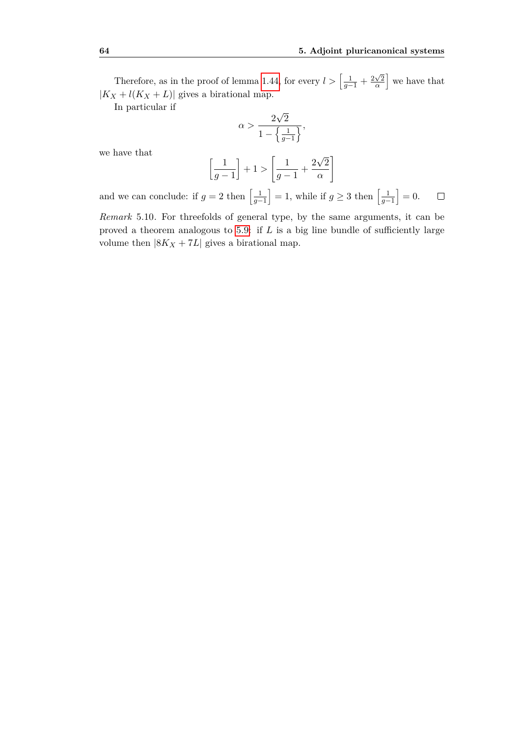Therefore, as in the proof of lemma [1.44,](#page-29-0) for every  $l > \left[\frac{1}{g-1} + \frac{2\sqrt{2}}{\alpha}\right]$  $\sqrt{\frac{2}{\alpha}}$  we have that  $|K_X + l(K_X + L)|$  gives a birational map.

In particular if

$$
\alpha > \frac{2\sqrt{2}}{1 - \left\{\frac{1}{g-1}\right\}},
$$

we have that

$$
\left[\frac{1}{g-1}\right]+1>\left[\frac{1}{g-1}+\frac{2\sqrt{2}}{\alpha}\right]
$$

and we can conclude: if  $g = 2$  then  $\left[\frac{1}{g-1}\right] = 1$ , while if  $g \ge 3$  then  $\left[\frac{1}{g-1}\right] = 0$ .  $\Box$ 

*Remark* 5.10*.* For threefolds of general type, by the same arguments, it can be proved a theorem analogous to [5.9:](#page-72-0) if *L* is a big line bundle of sufficiently large volume then  $|8K_X + 7L|$  gives a birational map.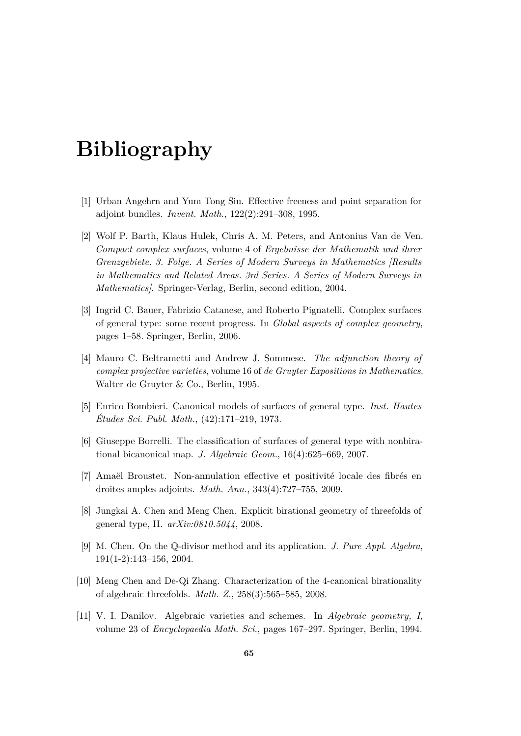## **Bibliography**

- <span id="page-74-0"></span>[1] Urban Angehrn and Yum Tong Siu. Effective freeness and point separation for adjoint bundles. *Invent. Math.*, 122(2):291–308, 1995.
- [2] Wolf P. Barth, Klaus Hulek, Chris A. M. Peters, and Antonius Van de Ven. *Compact complex surfaces*, volume 4 of *Ergebnisse der Mathematik und ihrer Grenzgebiete. 3. Folge. A Series of Modern Surveys in Mathematics [Results in Mathematics and Related Areas. 3rd Series. A Series of Modern Surveys in Mathematics]*. Springer-Verlag, Berlin, second edition, 2004.
- [3] Ingrid C. Bauer, Fabrizio Catanese, and Roberto Pignatelli. Complex surfaces of general type: some recent progress. In *Global aspects of complex geometry*, pages 1–58. Springer, Berlin, 2006.
- [4] Mauro C. Beltrametti and Andrew J. Sommese. *The adjunction theory of complex projective varieties*, volume 16 of *de Gruyter Expositions in Mathematics*. Walter de Gruyter & Co., Berlin, 1995.
- [5] Enrico Bombieri. Canonical models of surfaces of general type. *Inst. Hautes Études Sci. Publ. Math.*, (42):171–219, 1973.
- [6] Giuseppe Borrelli. The classification of surfaces of general type with nonbirational bicanonical map. *J. Algebraic Geom.*, 16(4):625–669, 2007.
- [7] Amaël Broustet. Non-annulation effective et positivité locale des fibrés en droites amples adjoints. *Math. Ann.*, 343(4):727–755, 2009.
- [8] Jungkai A. Chen and Meng Chen. Explicit birational geometry of threefolds of general type, II. *arXiv:0810.5044*, 2008.
- [9] M. Chen. On the Q-divisor method and its application. *J. Pure Appl. Algebra*, 191(1-2):143–156, 2004.
- [10] Meng Chen and De-Qi Zhang. Characterization of the 4-canonical birationality of algebraic threefolds. *Math. Z.*, 258(3):565–585, 2008.
- [11] V. I. Danilov. Algebraic varieties and schemes. In *Algebraic geometry, I*, volume 23 of *Encyclopaedia Math. Sci.*, pages 167–297. Springer, Berlin, 1994.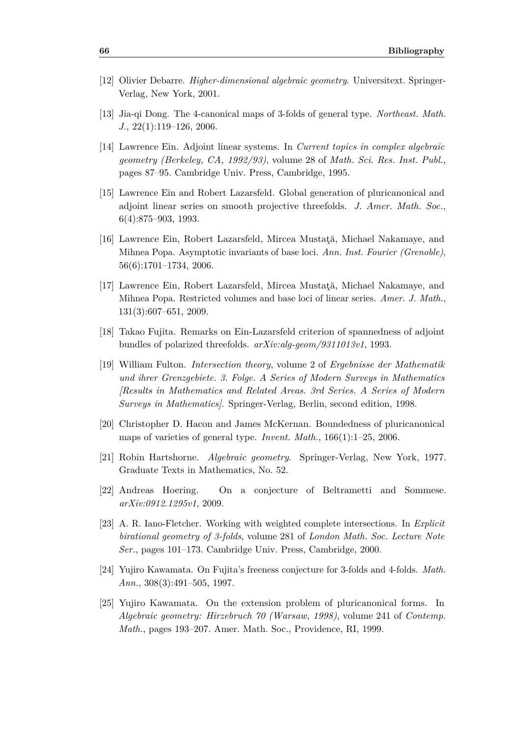- [12] Olivier Debarre. *Higher-dimensional algebraic geometry*. Universitext. Springer-Verlag, New York, 2001.
- [13] Jia-qi Dong. The 4-canonical maps of 3-folds of general type. *Northeast. Math. J.*, 22(1):119–126, 2006.
- [14] Lawrence Ein. Adjoint linear systems. In *Current topics in complex algebraic geometry (Berkeley, CA, 1992/93)*, volume 28 of *Math. Sci. Res. Inst. Publ.*, pages 87–95. Cambridge Univ. Press, Cambridge, 1995.
- <span id="page-75-0"></span>[15] Lawrence Ein and Robert Lazarsfeld. Global generation of pluricanonical and adjoint linear series on smooth projective threefolds. *J. Amer. Math. Soc.*, 6(4):875–903, 1993.
- [16] Lawrence Ein, Robert Lazarsfeld, Mircea Mustaţă, Michael Nakamaye, and Mihnea Popa. Asymptotic invariants of base loci. *Ann. Inst. Fourier (Grenoble)*, 56(6):1701–1734, 2006.
- [17] Lawrence Ein, Robert Lazarsfeld, Mircea Mustaţă, Michael Nakamaye, and Mihnea Popa. Restricted volumes and base loci of linear series. *Amer. J. Math.*, 131(3):607–651, 2009.
- <span id="page-75-1"></span>[18] Takao Fujita. Remarks on Ein-Lazarsfeld criterion of spannedness of adjoint bundles of polarized threefolds. *arXiv:alg-geom/9311013v1*, 1993.
- [19] William Fulton. *Intersection theory*, volume 2 of *Ergebnisse der Mathematik und ihrer Grenzgebiete. 3. Folge. A Series of Modern Surveys in Mathematics [Results in Mathematics and Related Areas. 3rd Series. A Series of Modern Surveys in Mathematics]*. Springer-Verlag, Berlin, second edition, 1998.
- [20] Christopher D. Hacon and James McKernan. Boundedness of pluricanonical maps of varieties of general type. *Invent. Math.*, 166(1):1–25, 2006.
- [21] Robin Hartshorne. *Algebraic geometry*. Springer-Verlag, New York, 1977. Graduate Texts in Mathematics, No. 52.
- [22] Andreas Hoering. On a conjecture of Beltrametti and Sommese. *arXiv:0912.1295v1*, 2009.
- [23] A. R. Iano-Fletcher. Working with weighted complete intersections. In *Explicit birational geometry of 3-folds*, volume 281 of *London Math. Soc. Lecture Note Ser.*, pages 101–173. Cambridge Univ. Press, Cambridge, 2000.
- <span id="page-75-2"></span>[24] Yujiro Kawamata. On Fujita's freeness conjecture for 3-folds and 4-folds. *Math. Ann.*, 308(3):491–505, 1997.
- [25] Yujiro Kawamata. On the extension problem of pluricanonical forms. In *Algebraic geometry: Hirzebruch 70 (Warsaw, 1998)*, volume 241 of *Contemp. Math.*, pages 193–207. Amer. Math. Soc., Providence, RI, 1999.